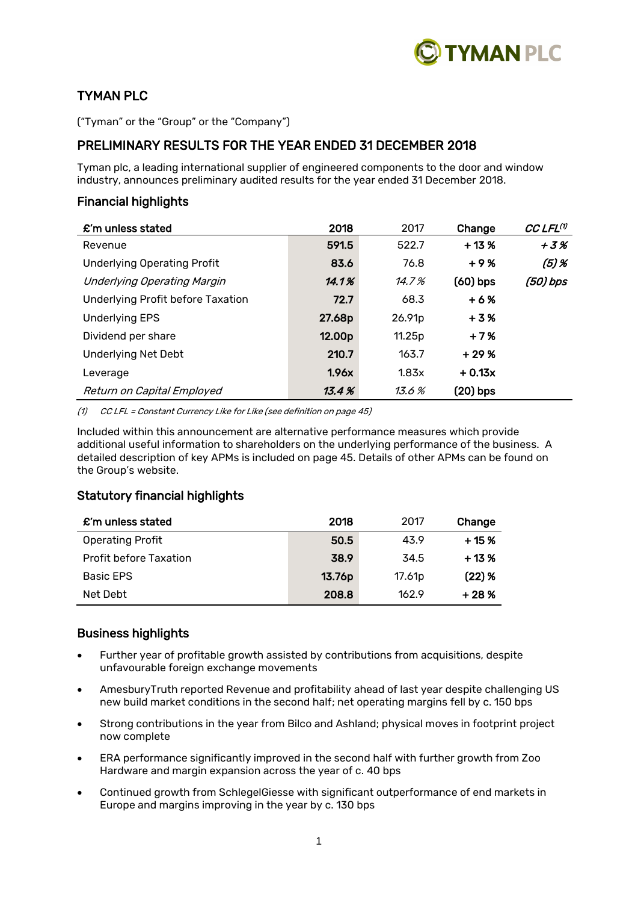

# TYMAN PLC

("Tyman" or the "Group" or the "Company")

# PRELIMINARY RESULTS FOR THE YEAR ENDED 31 DECEMBER 2018

Tyman plc, a leading international supplier of engineered components to the door and window industry, announces preliminary audited results for the year ended 31 December 2018.

# Financial highlights

| £'m unless stated                        | 2018   | 2017   | Change     | CC LFL <sup>(1)</sup> |
|------------------------------------------|--------|--------|------------|-----------------------|
| Revenue                                  | 591.5  | 522.7  | $+13%$     | $+3%$                 |
| <b>Underlying Operating Profit</b>       | 83.6   | 76.8   | $+9%$      | $(5)$ %               |
| <b>Underlying Operating Margin</b>       | 14.1%  | 14.7%  | $(60)$ bps | (50) bps              |
| <b>Underlying Profit before Taxation</b> | 72.7   | 68.3   | $+6%$      |                       |
| <b>Underlying EPS</b>                    | 27.68p | 26.91p | $+3%$      |                       |
| Dividend per share                       | 12.00p | 11.25p | $+7%$      |                       |
| Underlying Net Debt                      | 210.7  | 163.7  | $+29%$     |                       |
| Leverage                                 | 1.96x  | 1.83x  | $+0.13x$   |                       |
| Return on Capital Employed               | 13.4%  | 13.6 % | (20) bps   |                       |

(1) CC LFL = Constant Currency Like for Like (see definition on page 45)

Included within this announcement are alternative performance measures which provide additional useful information to shareholders on the underlying performance of the business. A detailed description of key APMs is included on page 45. Details of other APMs can be found on the Group's website.

# Statutory financial highlights

| £'m unless stated             | 2018   | 2017               | Change   |
|-------------------------------|--------|--------------------|----------|
| <b>Operating Profit</b>       | 50.5   | 43.9               | $+15%$   |
| <b>Profit before Taxation</b> | 38.9   | 34.5               | $+13%$   |
| <b>Basic EPS</b>              | 13.76p | 17.61 <sub>p</sub> | $(22)$ % |
| Net Debt                      | 208.8  | 162.9              | $+28%$   |

# Business highlights

- Further year of profitable growth assisted by contributions from acquisitions, despite unfavourable foreign exchange movements
- AmesburyTruth reported Revenue and profitability ahead of last year despite challenging US new build market conditions in the second half; net operating margins fell by c. 150 bps
- Strong contributions in the year from Bilco and Ashland; physical moves in footprint project now complete
- ERA performance significantly improved in the second half with further growth from Zoo Hardware and margin expansion across the year of c. 40 bps
- Continued growth from SchlegelGiesse with significant outperformance of end markets in Europe and margins improving in the year by c. 130 bps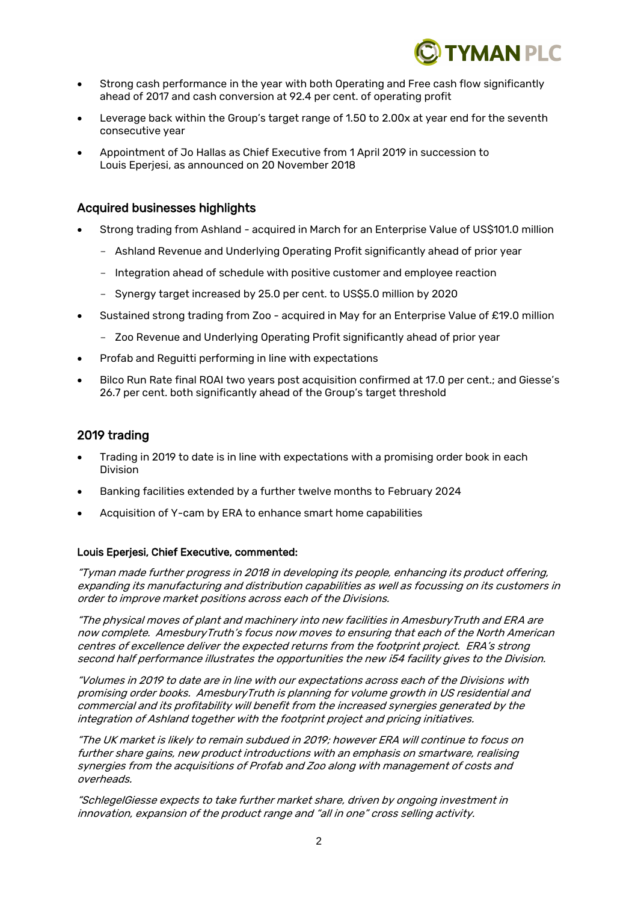

- Strong cash performance in the year with both Operating and Free cash flow significantly ahead of 2017 and cash conversion at 92.4 per cent. of operating profit
- Leverage back within the Group's target range of 1.50 to 2.00x at year end for the seventh consecutive year
- Appointment of Jo Hallas as Chief Executive from 1 April 2019 in succession to Louis Eperjesi, as announced on 20 November 2018

# Acquired businesses highlights

- Strong trading from Ashland acquired in March for an Enterprise Value of US\$101.0 million
	- Ashland Revenue and Underlying Operating Profit significantly ahead of prior year
	- Integration ahead of schedule with positive customer and employee reaction
	- Synergy target increased by 25.0 per cent. to US\$5.0 million by 2020
- Sustained strong trading from Zoo acquired in May for an Enterprise Value of £19.0 million
	- Zoo Revenue and Underlying Operating Profit significantly ahead of prior year
- Profab and Reguitti performing in line with expectations
- Bilco Run Rate final ROAI two years post acquisition confirmed at 17.0 per cent.; and Giesse's 26.7 per cent. both significantly ahead of the Group's target threshold

# 2019 trading

- Trading in 2019 to date is in line with expectations with a promising order book in each Division
- Banking facilities extended by a further twelve months to February 2024
- Acquisition of Y-cam by ERA to enhance smart home capabilities

# Louis Eperjesi, Chief Executive, commented:

"Tyman made further progress in 2018 in developing its people, enhancing its product offering, expanding its manufacturing and distribution capabilities as well as focussing on its customers in order to improve market positions across each of the Divisions.

"The physical moves of plant and machinery into new facilities in AmesburyTruth and ERA are now complete. AmesburyTruth's focus now moves to ensuring that each of the North American centres of excellence deliver the expected returns from the footprint project. ERA's strong second half performance illustrates the opportunities the new i54 facility gives to the Division.

"Volumes in 2019 to date are in line with our expectations across each of the Divisions with promising order books. AmesburyTruth is planning for volume growth in US residential and commercial and its profitability will benefit from the increased synergies generated by the integration of Ashland together with the footprint project and pricing initiatives.

"The UK market is likely to remain subdued in 2019; however ERA will continue to focus on further share gains, new product introductions with an emphasis on smartware, realising synergies from the acquisitions of Profab and Zoo along with management of costs and overheads.

"SchlegelGiesse expects to take further market share, driven by ongoing investment in innovation, expansion of the product range and "all in one" cross selling activity.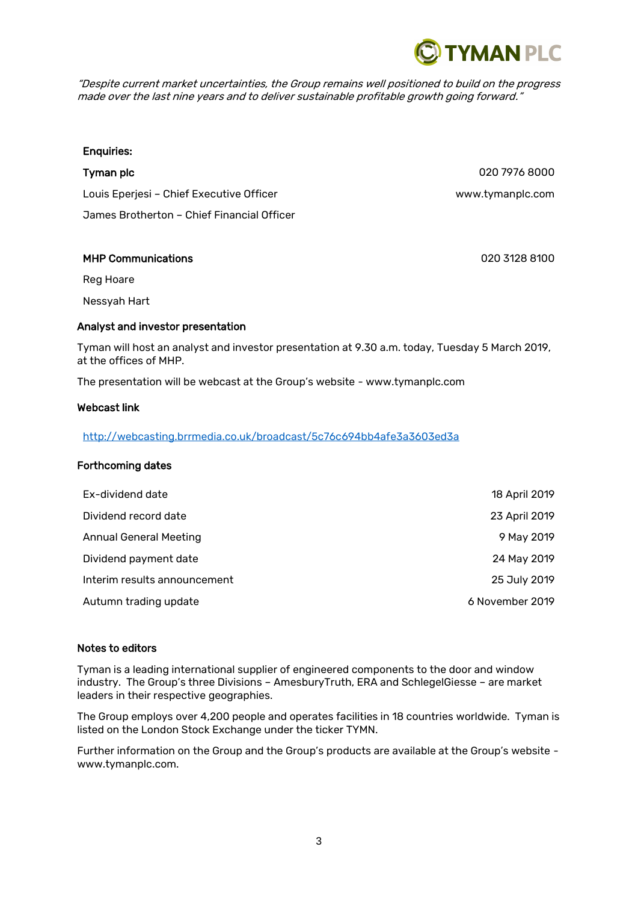"Despite current market uncertainties, the Group remains well positioned to build on the progress made over the last nine years and to deliver sustainable profitable growth going forward."

# Enquiries:

**Tyman plc** 020 7976 8000 Louis Eperjesi – Chief Executive Officer www.tymanplc.com James Brotherton – Chief Financial Officer

# MHP Communications 020 3128 8100

Reg Hoare

Nessyah Hart

# Analyst and investor presentation

Tyman will host an analyst and investor presentation at 9.30 a.m. today, Tuesday 5 March 2019, at the offices of MHP.

The presentation will be webcast at the Group's website - www.tymanplc.com

#### Webcast link

# [http://webcasting.brrmedia.co.uk/broadcast/5c76c694bb4afe3a3603ed3a](https://emea01.safelinks.protection.outlook.com/?url=http%3A%2F%2Fwebcasting.brrmedia.co.uk%2Fbroadcast%2F5c76c694bb4afe3a3603ed3a&data=02%7C01%7Cjuliette.lowes%40tymanplc.com%7C09c6b6a331214a4b423308d69e5b10a4%7C4f7adb5b083a417596749783fd8af0a5%7C1%7C0%7C636870511298739203&sdata=VLUyDwqxXLugyDCIGj%2BFrsrSnkX7GbS6DQcd3Ky1esw%3D&reserved=0)

#### Forthcoming dates

| Ex-dividend date              | 18 April 2019   |
|-------------------------------|-----------------|
| Dividend record date          | 23 April 2019   |
| <b>Annual General Meeting</b> | 9 May 2019      |
| Dividend payment date         | 24 May 2019     |
| Interim results announcement  | 25 July 2019    |
| Autumn trading update         | 6 November 2019 |
|                               |                 |

# Notes to editors

Tyman is a leading international supplier of engineered components to the door and window industry. The Group's three Divisions – AmesburyTruth, ERA and SchlegelGiesse – are market leaders in their respective geographies.

The Group employs over 4,200 people and operates facilities in 18 countries worldwide. Tyman is listed on the London Stock Exchange under the ticker TYMN.

Further information on the Group and the Group's products are available at the Group's website www.tymanplc.com.

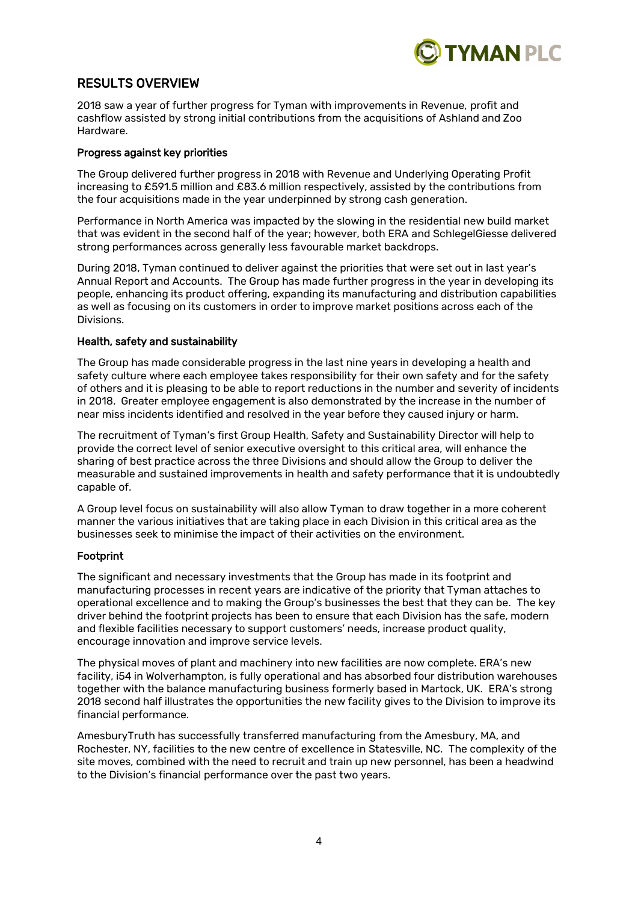

# RESULTS OVERVIEW

2018 saw a year of further progress for Tyman with improvements in Revenue, profit and cashflow assisted by strong initial contributions from the acquisitions of Ashland and Zoo Hardware.

### Progress against key priorities

The Group delivered further progress in 2018 with Revenue and Underlying Operating Profit increasing to £591.5 million and £83.6 million respectively, assisted by the contributions from the four acquisitions made in the year underpinned by strong cash generation.

Performance in North America was impacted by the slowing in the residential new build market that was evident in the second half of the year; however, both ERA and SchlegelGiesse delivered strong performances across generally less favourable market backdrops.

During 2018, Tyman continued to deliver against the priorities that were set out in last year's Annual Report and Accounts. The Group has made further progress in the year in developing its people, enhancing its product offering, expanding its manufacturing and distribution capabilities as well as focusing on its customers in order to improve market positions across each of the Divisions.

#### Health, safety and sustainability

The Group has made considerable progress in the last nine years in developing a health and safety culture where each employee takes responsibility for their own safety and for the safety of others and it is pleasing to be able to report reductions in the number and severity of incidents in 2018. Greater employee engagement is also demonstrated by the increase in the number of near miss incidents identified and resolved in the year before they caused injury or harm.

The recruitment of Tyman's first Group Health, Safety and Sustainability Director will help to provide the correct level of senior executive oversight to this critical area, will enhance the sharing of best practice across the three Divisions and should allow the Group to deliver the measurable and sustained improvements in health and safety performance that it is undoubtedly capable of.

A Group level focus on sustainability will also allow Tyman to draw together in a more coherent manner the various initiatives that are taking place in each Division in this critical area as the businesses seek to minimise the impact of their activities on the environment.

# Footprint

The significant and necessary investments that the Group has made in its footprint and manufacturing processes in recent years are indicative of the priority that Tyman attaches to operational excellence and to making the Group's businesses the best that they can be. The key driver behind the footprint projects has been to ensure that each Division has the safe, modern and flexible facilities necessary to support customers' needs, increase product quality, encourage innovation and improve service levels.

The physical moves of plant and machinery into new facilities are now complete. ERA's new facility, i54 in Wolverhampton, is fully operational and has absorbed four distribution warehouses together with the balance manufacturing business formerly based in Martock, UK. ERA's strong 2018 second half illustrates the opportunities the new facility gives to the Division to improve its financial performance.

AmesburyTruth has successfully transferred manufacturing from the Amesbury, MA, and Rochester, NY, facilities to the new centre of excellence in Statesville, NC. The complexity of the site moves, combined with the need to recruit and train up new personnel, has been a headwind to the Division's financial performance over the past two years.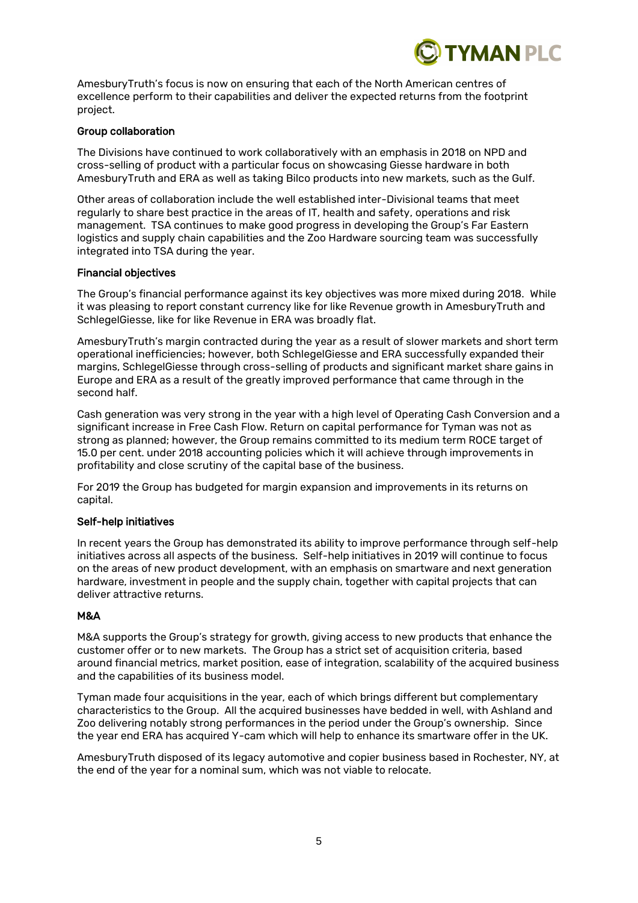

AmesburyTruth's focus is now on ensuring that each of the North American centres of excellence perform to their capabilities and deliver the expected returns from the footprint project.

#### Group collaboration

The Divisions have continued to work collaboratively with an emphasis in 2018 on NPD and cross-selling of product with a particular focus on showcasing Giesse hardware in both AmesburyTruth and ERA as well as taking Bilco products into new markets, such as the Gulf.

Other areas of collaboration include the well established inter-Divisional teams that meet regularly to share best practice in the areas of IT, health and safety, operations and risk management. TSA continues to make good progress in developing the Group's Far Eastern logistics and supply chain capabilities and the Zoo Hardware sourcing team was successfully integrated into TSA during the year.

#### Financial objectives

The Group's financial performance against its key objectives was more mixed during 2018. While it was pleasing to report constant currency like for like Revenue growth in AmesburyTruth and SchlegelGiesse, like for like Revenue in ERA was broadly flat.

AmesburyTruth's margin contracted during the year as a result of slower markets and short term operational inefficiencies; however, both SchlegelGiesse and ERA successfully expanded their margins, SchlegelGiesse through cross-selling of products and significant market share gains in Europe and ERA as a result of the greatly improved performance that came through in the second half.

Cash generation was very strong in the year with a high level of Operating Cash Conversion and a significant increase in Free Cash Flow. Return on capital performance for Tyman was not as strong as planned; however, the Group remains committed to its medium term ROCE target of 15.0 per cent. under 2018 accounting policies which it will achieve through improvements in profitability and close scrutiny of the capital base of the business.

For 2019 the Group has budgeted for margin expansion and improvements in its returns on capital.

# Self-help initiatives

In recent years the Group has demonstrated its ability to improve performance through self-help initiatives across all aspects of the business. Self-help initiatives in 2019 will continue to focus on the areas of new product development, with an emphasis on smartware and next generation hardware, investment in people and the supply chain, together with capital projects that can deliver attractive returns.

#### M&A

M&A supports the Group's strategy for growth, giving access to new products that enhance the customer offer or to new markets. The Group has a strict set of acquisition criteria, based around financial metrics, market position, ease of integration, scalability of the acquired business and the capabilities of its business model.

Tyman made four acquisitions in the year, each of which brings different but complementary characteristics to the Group. All the acquired businesses have bedded in well, with Ashland and Zoo delivering notably strong performances in the period under the Group's ownership. Since the year end ERA has acquired Y-cam which will help to enhance its smartware offer in the UK.

AmesburyTruth disposed of its legacy automotive and copier business based in Rochester, NY, at the end of the year for a nominal sum, which was not viable to relocate.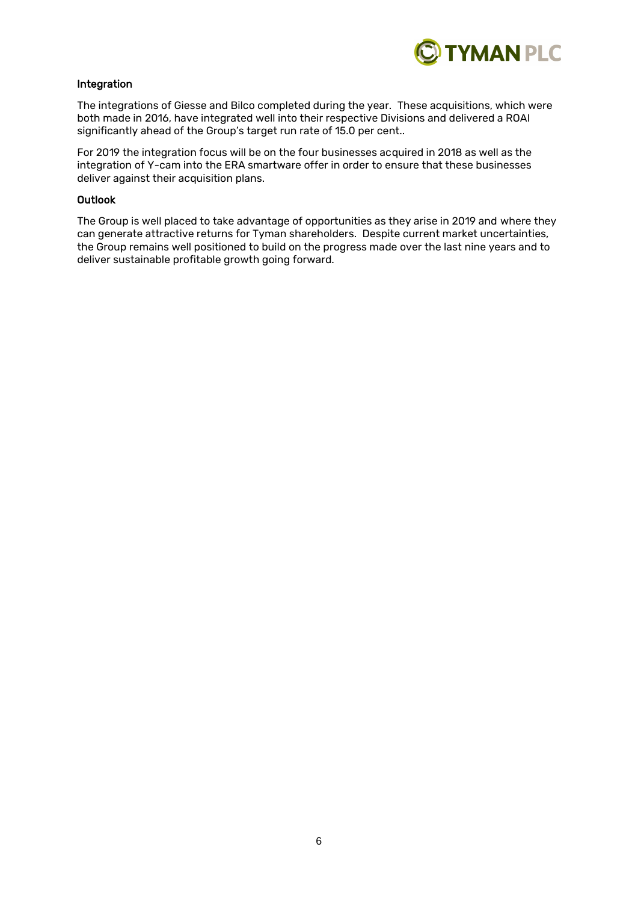

# Integration

The integrations of Giesse and Bilco completed during the year. These acquisitions, which were both made in 2016, have integrated well into their respective Divisions and delivered a ROAI significantly ahead of the Group's target run rate of 15.0 per cent..

For 2019 the integration focus will be on the four businesses acquired in 2018 as well as the integration of Y-cam into the ERA smartware offer in order to ensure that these businesses deliver against their acquisition plans.

#### Outlook

The Group is well placed to take advantage of opportunities as they arise in 2019 and where they can generate attractive returns for Tyman shareholders. Despite current market uncertainties, the Group remains well positioned to build on the progress made over the last nine years and to deliver sustainable profitable growth going forward.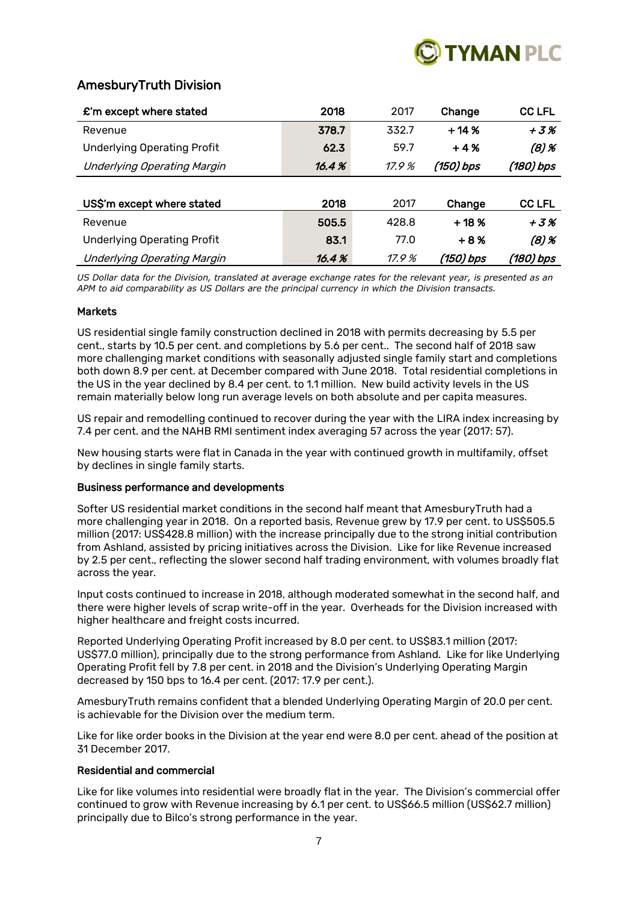

# AmesburyTruth Division

| $\mathbf{\pounds}$ 'm except where stated | 2018  | 2017  | Change    | <b>CC LFL</b> |
|-------------------------------------------|-------|-------|-----------|---------------|
| Revenue                                   | 378.7 | 332.7 | $+14%$    | $+3%$         |
| <b>Underlying Operating Profit</b>        | 62.3  | 59.7  | $+4%$     | $(8)$ %       |
| <b>Underlying Operating Margin</b>        | 16.4% | 17.9% | (150) bps | (180) bps     |
|                                           |       |       |           |               |
| US\$'m except where stated                | 2018  | 2017  | Change    | <b>CC LFL</b> |
| Revenue                                   | 505.5 | 428.8 | $+18%$    | $+3%$         |
| <b>Underlying Operating Profit</b>        | 83.1  | 77.0  | $+8%$     | $(8)$ %       |
| <b>Underlying Operating Margin</b>        | 16.4% | 17.9% | (150) bps | (180) bps     |

*US Dollar data for the Division, translated at average exchange rates for the relevant year, is presented as an APM to aid comparability as US Dollars are the principal currency in which the Division transacts.*

#### Markets

US residential single family construction declined in 2018 with permits decreasing by 5.5 per cent., starts by 10.5 per cent. and completions by 5.6 per cent.. The second half of 2018 saw more challenging market conditions with seasonally adjusted single family start and completions both down 8.9 per cent. at December compared with June 2018. Total residential completions in the US in the year declined by 8.4 per cent. to 1.1 million. New build activity levels in the US remain materially below long run average levels on both absolute and per capita measures.

US repair and remodelling continued to recover during the year with the LIRA index increasing by 7.4 per cent. and the NAHB RMI sentiment index averaging 57 across the year (2017: 57).

New housing starts were flat in Canada in the year with continued growth in multifamily, offset by declines in single family starts.

# Business performance and developments

Softer US residential market conditions in the second half meant that AmesburyTruth had a more challenging year in 2018. On a reported basis, Revenue grew by 17.9 per cent. to US\$505.5 million (2017: US\$428.8 million) with the increase principally due to the strong initial contribution from Ashland, assisted by pricing initiatives across the Division. Like for like Revenue increased by 2.5 per cent., reflecting the slower second half trading environment, with volumes broadly flat across the year.

Input costs continued to increase in 2018, although moderated somewhat in the second half, and there were higher levels of scrap write-off in the year. Overheads for the Division increased with higher healthcare and freight costs incurred.

Reported Underlying Operating Profit increased by 8.0 per cent. to US\$83.1 million (2017: US\$77.0 million), principally due to the strong performance from Ashland. Like for like Underlying Operating Profit fell by 7.8 per cent. in 2018 and the Division's Underlying Operating Margin decreased by 150 bps to 16.4 per cent. (2017: 17.9 per cent.).

AmesburyTruth remains confident that a blended Underlying Operating Margin of 20.0 per cent. is achievable for the Division over the medium term.

Like for like order books in the Division at the year end were 8.0 per cent. ahead of the position at 31 December 2017.

#### Residential and commercial

Like for like volumes into residential were broadly flat in the year. The Division's commercial offer continued to grow with Revenue increasing by 6.1 per cent. to US\$66.5 million (US\$62.7 million) principally due to Bilco's strong performance in the year.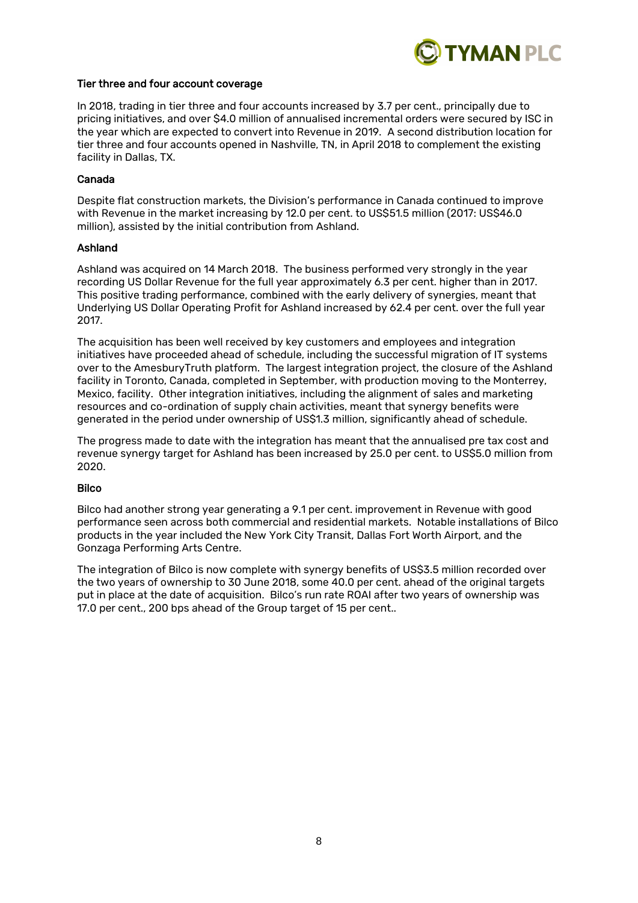

#### Tier three and four account coverage

In 2018, trading in tier three and four accounts increased by 3.7 per cent., principally due to pricing initiatives, and over \$4.0 million of annualised incremental orders were secured by ISC in the year which are expected to convert into Revenue in 2019. A second distribution location for tier three and four accounts opened in Nashville, TN, in April 2018 to complement the existing facility in Dallas, TX.

#### Canada

Despite flat construction markets, the Division's performance in Canada continued to improve with Revenue in the market increasing by 12.0 per cent. to US\$51.5 million (2017: US\$46.0 million), assisted by the initial contribution from Ashland.

#### Ashland

Ashland was acquired on 14 March 2018. The business performed very strongly in the year recording US Dollar Revenue for the full year approximately 6.3 per cent. higher than in 2017. This positive trading performance, combined with the early delivery of synergies, meant that Underlying US Dollar Operating Profit for Ashland increased by 62.4 per cent. over the full year 2017.

The acquisition has been well received by key customers and employees and integration initiatives have proceeded ahead of schedule, including the successful migration of IT systems over to the AmesburyTruth platform. The largest integration project, the closure of the Ashland facility in Toronto, Canada, completed in September, with production moving to the Monterrey, Mexico, facility. Other integration initiatives, including the alignment of sales and marketing resources and co-ordination of supply chain activities, meant that synergy benefits were generated in the period under ownership of US\$1.3 million, significantly ahead of schedule.

The progress made to date with the integration has meant that the annualised pre tax cost and revenue synergy target for Ashland has been increased by 25.0 per cent. to US\$5.0 million from 2020.

#### **Bilco**

Bilco had another strong year generating a 9.1 per cent. improvement in Revenue with good performance seen across both commercial and residential markets. Notable installations of Bilco products in the year included the New York City Transit, Dallas Fort Worth Airport, and the Gonzaga Performing Arts Centre.

The integration of Bilco is now complete with synergy benefits of US\$3.5 million recorded over the two years of ownership to 30 June 2018, some 40.0 per cent. ahead of the original targets put in place at the date of acquisition. Bilco's run rate ROAI after two years of ownership was 17.0 per cent., 200 bps ahead of the Group target of 15 per cent..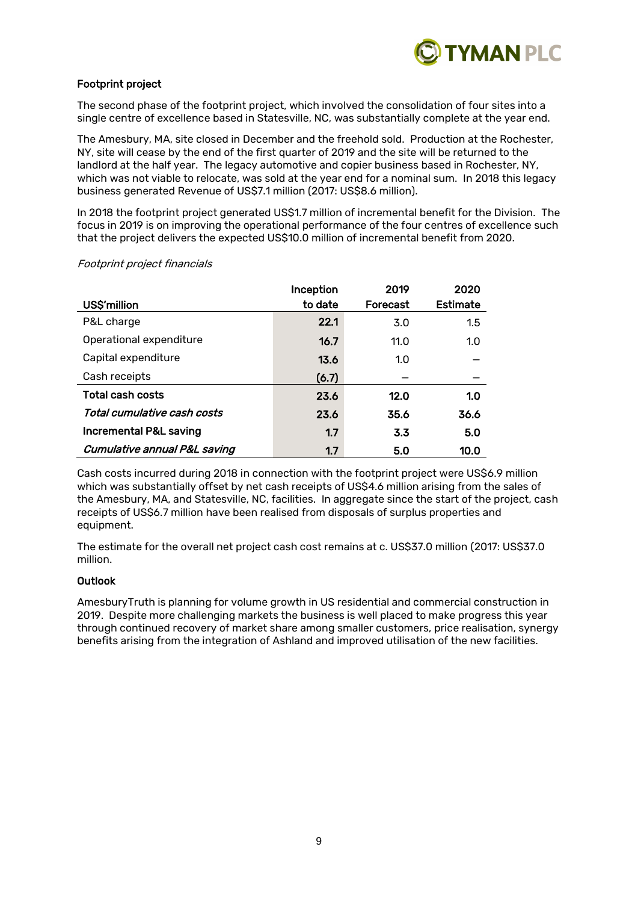

# Footprint project

The second phase of the footprint project, which involved the consolidation of four sites into a single centre of excellence based in Statesville, NC, was substantially complete at the year end.

The Amesbury, MA, site closed in December and the freehold sold. Production at the Rochester, NY, site will cease by the end of the first quarter of 2019 and the site will be returned to the landlord at the half year. The legacy automotive and copier business based in Rochester, NY, which was not viable to relocate, was sold at the year end for a nominal sum. In 2018 this legacy business generated Revenue of US\$7.1 million (2017: US\$8.6 million).

In 2018 the footprint project generated US\$1.7 million of incremental benefit for the Division. The focus in 2019 is on improving the operational performance of the four centres of excellence such that the project delivers the expected US\$10.0 million of incremental benefit from 2020.

|                                         | Inception | 2019     | 2020     |
|-----------------------------------------|-----------|----------|----------|
| US\$'million                            | to date   | Forecast | Estimate |
| P&L charge                              | 22.1      | 3.0      | 1.5      |
| Operational expenditure                 | 16.7      | 11.0     | 1.0      |
| Capital expenditure                     | 13.6      | 1.0      |          |
| Cash receipts                           | (6.7)     |          |          |
| <b>Total cash costs</b>                 | 23.6      | 12.0     | 1.0      |
| Total cumulative cash costs             | 23.6      | 35.6     | 36.6     |
| Incremental P&L saving                  | 1.7       | 3.3      | 5.0      |
| <b>Cumulative annual P&amp;L saving</b> | 1.7       | 5.0      | 10.0     |

#### Footprint project financials

Cash costs incurred during 2018 in connection with the footprint project were US\$6.9 million which was substantially offset by net cash receipts of US\$4.6 million arising from the sales of the Amesbury, MA, and Statesville, NC, facilities. In aggregate since the start of the project, cash receipts of US\$6.7 million have been realised from disposals of surplus properties and equipment.

The estimate for the overall net project cash cost remains at c. US\$37.0 million (2017: US\$37.0 million.

# **Outlook**

AmesburyTruth is planning for volume growth in US residential and commercial construction in 2019. Despite more challenging markets the business is well placed to make progress this year through continued recovery of market share among smaller customers, price realisation, synergy benefits arising from the integration of Ashland and improved utilisation of the new facilities.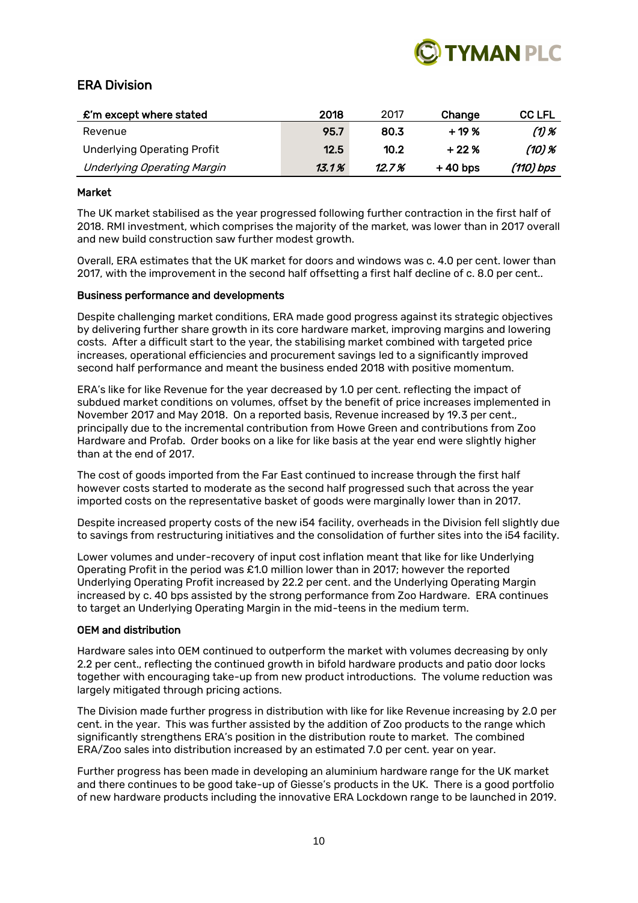

# ERA Division

| $\mathbf{\pounds}'$ m except where stated | 2018  | 2017   | Change    | <b>CC LFL</b> |
|-------------------------------------------|-------|--------|-----------|---------------|
| Revenue                                   | 95.7  | 80.3   | $+19%$    | (1) %         |
| <b>Underlying Operating Profit</b>        | 12.5  | 10.2   | $+22%$    | $(10)$ %      |
| Underlying Operating Margin               | 13.1% | 12.7 % | $+40$ bps | (110) bps     |

# Market

The UK market stabilised as the year progressed following further contraction in the first half of 2018. RMI investment, which comprises the majority of the market, was lower than in 2017 overall and new build construction saw further modest growth.

Overall, ERA estimates that the UK market for doors and windows was c. 4.0 per cent. lower than 2017, with the improvement in the second half offsetting a first half decline of c. 8.0 per cent..

# Business performance and developments

Despite challenging market conditions, ERA made good progress against its strategic objectives by delivering further share growth in its core hardware market, improving margins and lowering costs. After a difficult start to the year, the stabilising market combined with targeted price increases, operational efficiencies and procurement savings led to a significantly improved second half performance and meant the business ended 2018 with positive momentum.

ERA's like for like Revenue for the year decreased by 1.0 per cent. reflecting the impact of subdued market conditions on volumes, offset by the benefit of price increases implemented in November 2017 and May 2018. On a reported basis, Revenue increased by 19.3 per cent., principally due to the incremental contribution from Howe Green and contributions from Zoo Hardware and Profab. Order books on a like for like basis at the year end were slightly higher than at the end of 2017.

The cost of goods imported from the Far East continued to increase through the first half however costs started to moderate as the second half progressed such that across the year imported costs on the representative basket of goods were marginally lower than in 2017.

Despite increased property costs of the new i54 facility, overheads in the Division fell slightly due to savings from restructuring initiatives and the consolidation of further sites into the i54 facility.

Lower volumes and under-recovery of input cost inflation meant that like for like Underlying Operating Profit in the period was £1.0 million lower than in 2017; however the reported Underlying Operating Profit increased by 22.2 per cent. and the Underlying Operating Margin increased by c. 40 bps assisted by the strong performance from Zoo Hardware. ERA continues to target an Underlying Operating Margin in the mid-teens in the medium term.

# OEM and distribution

Hardware sales into OEM continued to outperform the market with volumes decreasing by only 2.2 per cent., reflecting the continued growth in bifold hardware products and patio door locks together with encouraging take-up from new product introductions. The volume reduction was largely mitigated through pricing actions.

The Division made further progress in distribution with like for like Revenue increasing by 2.0 per cent. in the year. This was further assisted by the addition of Zoo products to the range which significantly strengthens ERA's position in the distribution route to market. The combined ERA/Zoo sales into distribution increased by an estimated 7.0 per cent. year on year.

Further progress has been made in developing an aluminium hardware range for the UK market and there continues to be good take-up of Giesse's products in the UK. There is a good portfolio of new hardware products including the innovative ERA Lockdown range to be launched in 2019.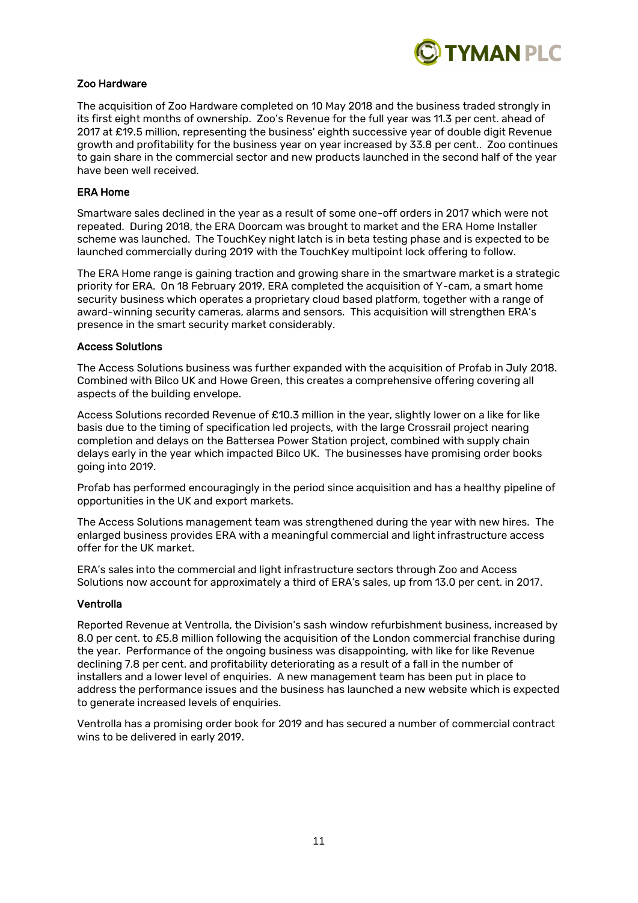

# Zoo Hardware

The acquisition of Zoo Hardware completed on 10 May 2018 and the business traded strongly in its first eight months of ownership. Zoo's Revenue for the full year was 11.3 per cent. ahead of 2017 at £19.5 million, representing the business' eighth successive year of double digit Revenue growth and profitability for the business year on year increased by 33.8 per cent.. Zoo continues to gain share in the commercial sector and new products launched in the second half of the year have been well received.

### ERA Home

Smartware sales declined in the year as a result of some one-off orders in 2017 which were not repeated. During 2018, the ERA Doorcam was brought to market and the ERA Home Installer scheme was launched. The TouchKey night latch is in beta testing phase and is expected to be launched commercially during 2019 with the TouchKey multipoint lock offering to follow.

The ERA Home range is gaining traction and growing share in the smartware market is a strategic priority for ERA. On 18 February 2019, ERA completed the acquisition of Y-cam, a smart home security business which operates a proprietary cloud based platform, together with a range of award-winning security cameras, alarms and sensors. This acquisition will strengthen ERA's presence in the smart security market considerably.

#### Access Solutions

The Access Solutions business was further expanded with the acquisition of Profab in July 2018. Combined with Bilco UK and Howe Green, this creates a comprehensive offering covering all aspects of the building envelope.

Access Solutions recorded Revenue of £10.3 million in the year, slightly lower on a like for like basis due to the timing of specification led projects, with the large Crossrail project nearing completion and delays on the Battersea Power Station project, combined with supply chain delays early in the year which impacted Bilco UK. The businesses have promising order books going into 2019.

Profab has performed encouragingly in the period since acquisition and has a healthy pipeline of opportunities in the UK and export markets.

The Access Solutions management team was strengthened during the year with new hires. The enlarged business provides ERA with a meaningful commercial and light infrastructure access offer for the UK market.

ERA's sales into the commercial and light infrastructure sectors through Zoo and Access Solutions now account for approximately a third of ERA's sales, up from 13.0 per cent. in 2017.

#### Ventrolla

Reported Revenue at Ventrolla, the Division's sash window refurbishment business, increased by 8.0 per cent. to £5.8 million following the acquisition of the London commercial franchise during the year. Performance of the ongoing business was disappointing, with like for like Revenue declining 7.8 per cent. and profitability deteriorating as a result of a fall in the number of installers and a lower level of enquiries. A new management team has been put in place to address the performance issues and the business has launched a new website which is expected to generate increased levels of enquiries.

Ventrolla has a promising order book for 2019 and has secured a number of commercial contract wins to be delivered in early 2019.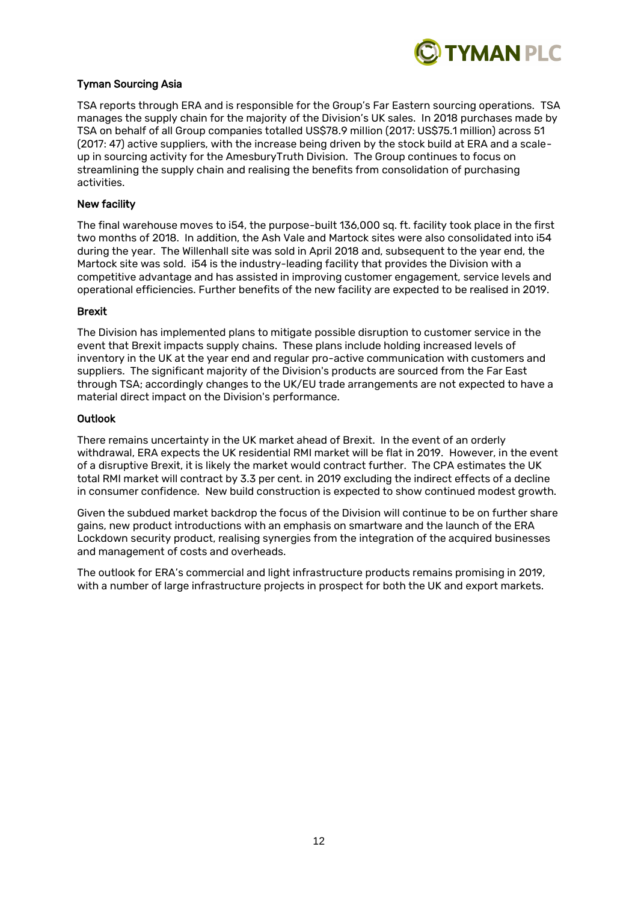

# Tyman Sourcing Asia

TSA reports through ERA and is responsible for the Group's Far Eastern sourcing operations. TSA manages the supply chain for the majority of the Division's UK sales. In 2018 purchases made by TSA on behalf of all Group companies totalled US\$78.9 million (2017: US\$75.1 million) across 51 (2017: 47) active suppliers, with the increase being driven by the stock build at ERA and a scaleup in sourcing activity for the AmesburyTruth Division. The Group continues to focus on streamlining the supply chain and realising the benefits from consolidation of purchasing activities.

### New facility

The final warehouse moves to i54, the purpose-built 136,000 sq. ft. facility took place in the first two months of 2018. In addition, the Ash Vale and Martock sites were also consolidated into i54 during the year. The Willenhall site was sold in April 2018 and, subsequent to the year end, the Martock site was sold. i54 is the industry-leading facility that provides the Division with a competitive advantage and has assisted in improving customer engagement, service levels and operational efficiencies. Further benefits of the new facility are expected to be realised in 2019.

#### Brexit

The Division has implemented plans to mitigate possible disruption to customer service in the event that Brexit impacts supply chains. These plans include holding increased levels of inventory in the UK at the year end and regular pro-active communication with customers and suppliers. The significant majority of the Division's products are sourced from the Far East through TSA; accordingly changes to the UK/EU trade arrangements are not expected to have a material direct impact on the Division's performance.

#### **Outlook**

There remains uncertainty in the UK market ahead of Brexit. In the event of an orderly withdrawal, ERA expects the UK residential RMI market will be flat in 2019. However, in the event of a disruptive Brexit, it is likely the market would contract further. The CPA estimates the UK total RMI market will contract by 3.3 per cent. in 2019 excluding the indirect effects of a decline in consumer confidence. New build construction is expected to show continued modest growth.

Given the subdued market backdrop the focus of the Division will continue to be on further share gains, new product introductions with an emphasis on smartware and the launch of the ERA Lockdown security product, realising synergies from the integration of the acquired businesses and management of costs and overheads.

The outlook for ERA's commercial and light infrastructure products remains promising in 2019, with a number of large infrastructure projects in prospect for both the UK and export markets.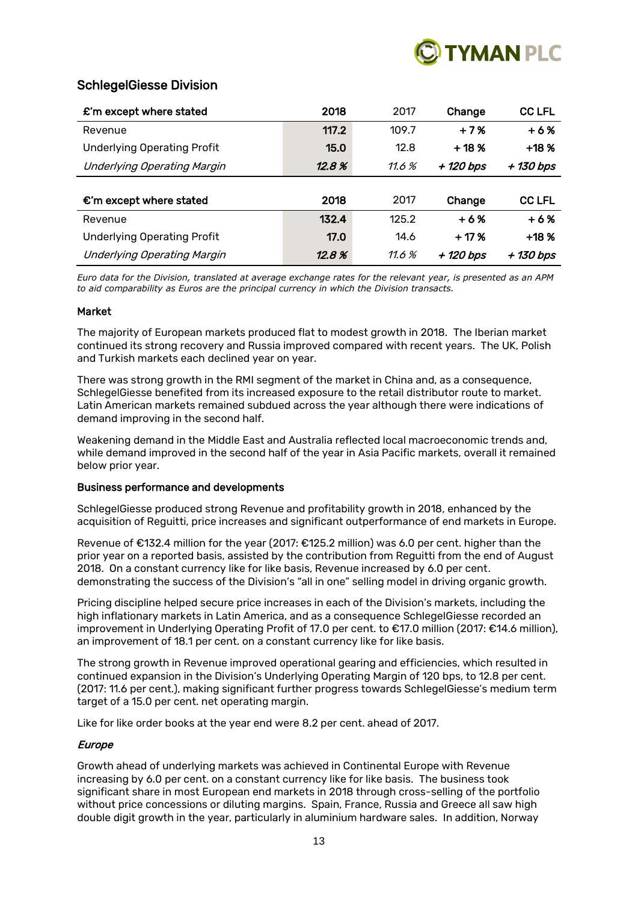

# SchlegelGiesse Division

| $\mathbf{\pounds}$ 'm except where stated | 2018  | 2017  | Change    | <b>CC LFL</b> |
|-------------------------------------------|-------|-------|-----------|---------------|
| Revenue                                   | 117.2 | 109.7 | $+7%$     | $+6%$         |
| <b>Underlying Operating Profit</b>        | 15.0  | 12.8  | $+18%$    | $+18%$        |
| <b>Underlying Operating Margin</b>        | 12.8% | 11.6% | + 120 bps | + 130 bps     |
|                                           |       |       |           |               |
| $\epsilon$ 'm except where stated         | 2018  | 2017  | Change    | <b>CC LFL</b> |
| Revenue                                   | 132.4 | 125.2 | $+6%$     | $+6%$         |
| <b>Underlying Operating Profit</b>        | 17.0  | 14.6  | $+17%$    | $+18%$        |
| <b>Underlying Operating Margin</b>        | 12.8% | 11.6% | + 120 bps | + 130 bps     |

*Euro data for the Division, translated at average exchange rates for the relevant year, is presented as an APM to aid comparability as Euros are the principal currency in which the Division transacts.*

#### Market

The majority of European markets produced flat to modest growth in 2018. The Iberian market continued its strong recovery and Russia improved compared with recent years. The UK, Polish and Turkish markets each declined year on year.

There was strong growth in the RMI segment of the market in China and, as a consequence. SchlegelGiesse benefited from its increased exposure to the retail distributor route to market. Latin American markets remained subdued across the year although there were indications of demand improving in the second half.

Weakening demand in the Middle East and Australia reflected local macroeconomic trends and, while demand improved in the second half of the year in Asia Pacific markets, overall it remained below prior year.

#### Business performance and developments

SchlegelGiesse produced strong Revenue and profitability growth in 2018, enhanced by the acquisition of Reguitti, price increases and significant outperformance of end markets in Europe.

Revenue of €132.4 million for the year (2017: €125.2 million) was 6.0 per cent. higher than the prior year on a reported basis, assisted by the contribution from Reguitti from the end of August 2018. On a constant currency like for like basis, Revenue increased by 6.0 per cent. demonstrating the success of the Division's "all in one" selling model in driving organic growth.

Pricing discipline helped secure price increases in each of the Division's markets, including the high inflationary markets in Latin America, and as a consequence SchlegelGiesse recorded an improvement in Underlying Operating Profit of 17.0 per cent. to €17.0 million (2017: €14.6 million), an improvement of 18.1 per cent. on a constant currency like for like basis.

The strong growth in Revenue improved operational gearing and efficiencies, which resulted in continued expansion in the Division's Underlying Operating Margin of 120 bps, to 12.8 per cent. (2017: 11.6 per cent.), making significant further progress towards SchlegelGiesse's medium term target of a 15.0 per cent. net operating margin.

Like for like order books at the year end were 8.2 per cent. ahead of 2017.

# Europe

Growth ahead of underlying markets was achieved in Continental Europe with Revenue increasing by 6.0 per cent. on a constant currency like for like basis. The business took significant share in most European end markets in 2018 through cross-selling of the portfolio without price concessions or diluting margins. Spain, France, Russia and Greece all saw high double digit growth in the year, particularly in aluminium hardware sales. In addition, Norway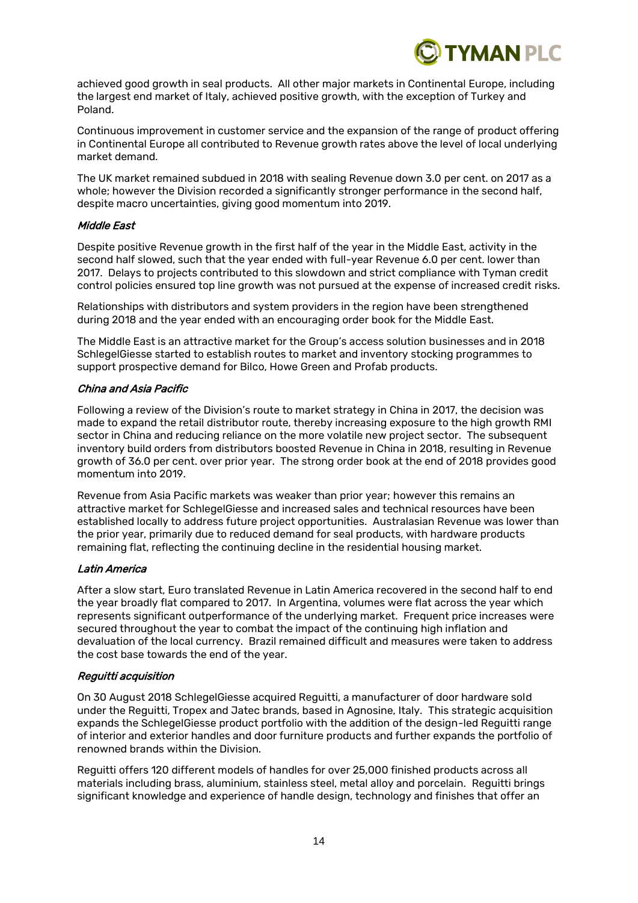

achieved good growth in seal products. All other major markets in Continental Europe, including the largest end market of Italy, achieved positive growth, with the exception of Turkey and Poland.

Continuous improvement in customer service and the expansion of the range of product offering in Continental Europe all contributed to Revenue growth rates above the level of local underlying market demand.

The UK market remained subdued in 2018 with sealing Revenue down 3.0 per cent. on 2017 as a whole; however the Division recorded a significantly stronger performance in the second half, despite macro uncertainties, giving good momentum into 2019.

#### Middle East

Despite positive Revenue growth in the first half of the year in the Middle East, activity in the second half slowed, such that the year ended with full-year Revenue 6.0 per cent. lower than 2017. Delays to projects contributed to this slowdown and strict compliance with Tyman credit control policies ensured top line growth was not pursued at the expense of increased credit risks.

Relationships with distributors and system providers in the region have been strengthened during 2018 and the year ended with an encouraging order book for the Middle East.

The Middle East is an attractive market for the Group's access solution businesses and in 2018 SchlegelGiesse started to establish routes to market and inventory stocking programmes to support prospective demand for Bilco, Howe Green and Profab products.

# China and Asia Pacific

Following a review of the Division's route to market strategy in China in 2017, the decision was made to expand the retail distributor route, thereby increasing exposure to the high growth RMI sector in China and reducing reliance on the more volatile new project sector. The subsequent inventory build orders from distributors boosted Revenue in China in 2018, resulting in Revenue growth of 36.0 per cent. over prior year. The strong order book at the end of 2018 provides good momentum into 2019.

Revenue from Asia Pacific markets was weaker than prior year; however this remains an attractive market for SchlegelGiesse and increased sales and technical resources have been established locally to address future project opportunities. Australasian Revenue was lower than the prior year, primarily due to reduced demand for seal products, with hardware products remaining flat, reflecting the continuing decline in the residential housing market.

#### Latin America

After a slow start, Euro translated Revenue in Latin America recovered in the second half to end the year broadly flat compared to 2017. In Argentina, volumes were flat across the year which represents significant outperformance of the underlying market. Frequent price increases were secured throughout the year to combat the impact of the continuing high inflation and devaluation of the local currency. Brazil remained difficult and measures were taken to address the cost base towards the end of the year.

# Reguitti acquisition

On 30 August 2018 SchlegelGiesse acquired Reguitti, a manufacturer of door hardware sold under the Reguitti, Tropex and Jatec brands, based in Agnosine, Italy. This strategic acquisition expands the SchlegelGiesse product portfolio with the addition of the design-led Reguitti range of interior and exterior handles and door furniture products and further expands the portfolio of renowned brands within the Division.

Reguitti offers 120 different models of handles for over 25,000 finished products across all materials including brass, aluminium, stainless steel, metal alloy and porcelain. Reguitti brings significant knowledge and experience of handle design, technology and finishes that offer an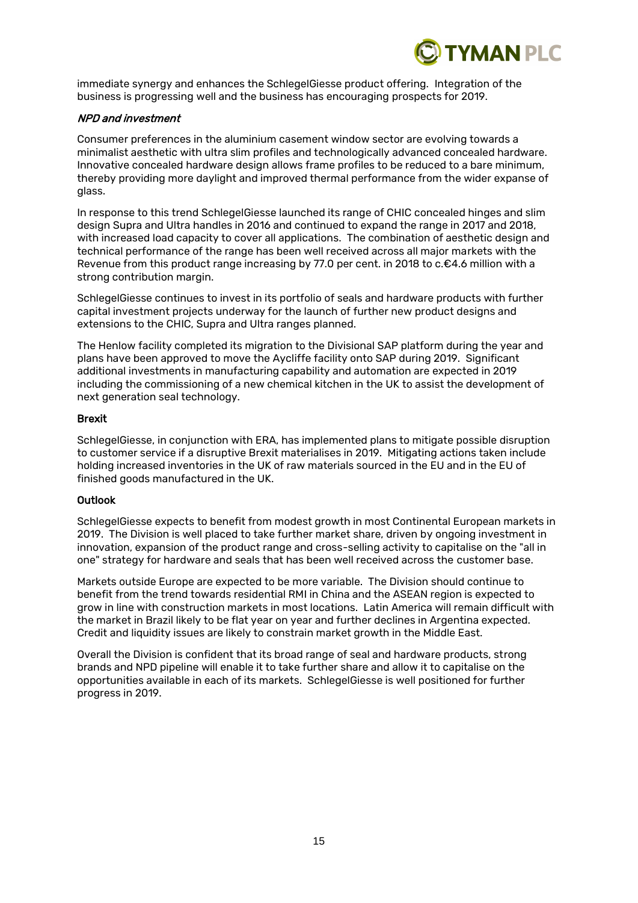

immediate synergy and enhances the SchlegelGiesse product offering. Integration of the business is progressing well and the business has encouraging prospects for 2019.

# NPD and investment

Consumer preferences in the aluminium casement window sector are evolving towards a minimalist aesthetic with ultra slim profiles and technologically advanced concealed hardware. Innovative concealed hardware design allows frame profiles to be reduced to a bare minimum, thereby providing more daylight and improved thermal performance from the wider expanse of glass.

In response to this trend SchlegelGiesse launched its range of CHIC concealed hinges and slim design Supra and Ultra handles in 2016 and continued to expand the range in 2017 and 2018, with increased load capacity to cover all applications. The combination of aesthetic design and technical performance of the range has been well received across all major markets with the Revenue from this product range increasing by 77.0 per cent. in 2018 to c.€4.6 million with a strong contribution margin.

SchlegelGiesse continues to invest in its portfolio of seals and hardware products with further capital investment projects underway for the launch of further new product designs and extensions to the CHIC, Supra and Ultra ranges planned.

The Henlow facility completed its migration to the Divisional SAP platform during the year and plans have been approved to move the Aycliffe facility onto SAP during 2019. Significant additional investments in manufacturing capability and automation are expected in 2019 including the commissioning of a new chemical kitchen in the UK to assist the development of next generation seal technology.

# Brexit

SchlegelGiesse, in conjunction with ERA, has implemented plans to mitigate possible disruption to customer service if a disruptive Brexit materialises in 2019. Mitigating actions taken include holding increased inventories in the UK of raw materials sourced in the EU and in the EU of finished goods manufactured in the UK.

# **Outlook**

SchlegelGiesse expects to benefit from modest growth in most Continental European markets in 2019. The Division is well placed to take further market share, driven by ongoing investment in innovation, expansion of the product range and cross-selling activity to capitalise on the "all in one" strategy for hardware and seals that has been well received across the customer base.

Markets outside Europe are expected to be more variable. The Division should continue to benefit from the trend towards residential RMI in China and the ASEAN region is expected to grow in line with construction markets in most locations. Latin America will remain difficult with the market in Brazil likely to be flat year on year and further declines in Argentina expected. Credit and liquidity issues are likely to constrain market growth in the Middle East.

Overall the Division is confident that its broad range of seal and hardware products, strong brands and NPD pipeline will enable it to take further share and allow it to capitalise on the opportunities available in each of its markets. SchlegelGiesse is well positioned for further progress in 2019.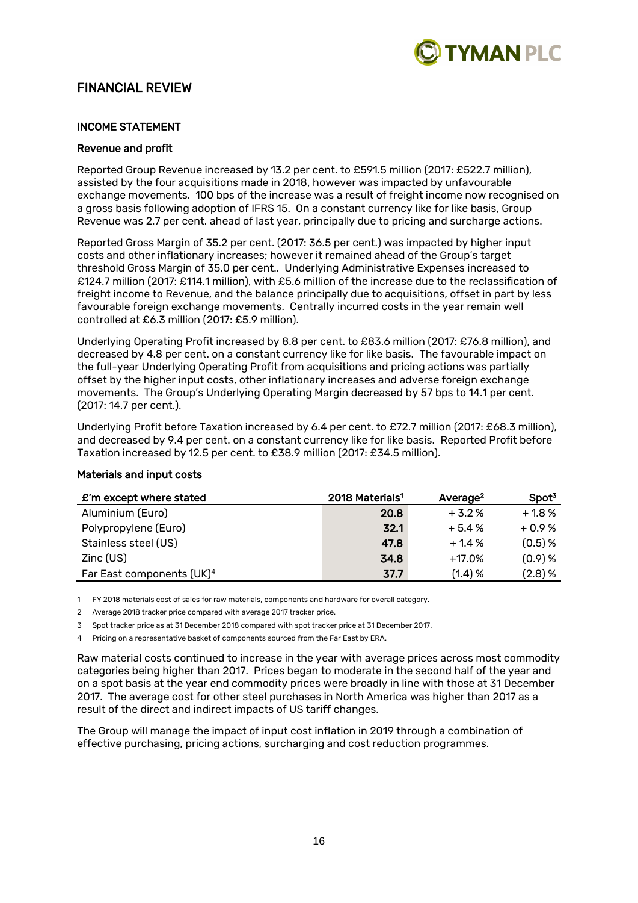

# FINANCIAL REVIEW

# INCOME STATEMENT

#### Revenue and profit

Reported Group Revenue increased by 13.2 per cent. to £591.5 million (2017: £522.7 million), assisted by the four acquisitions made in 2018, however was impacted by unfavourable exchange movements. 100 bps of the increase was a result of freight income now recognised on a gross basis following adoption of IFRS 15. On a constant currency like for like basis, Group Revenue was 2.7 per cent. ahead of last year, principally due to pricing and surcharge actions.

Reported Gross Margin of 35.2 per cent. (2017: 36.5 per cent.) was impacted by higher input costs and other inflationary increases; however it remained ahead of the Group's target threshold Gross Margin of 35.0 per cent.. Underlying Administrative Expenses increased to £124.7 million (2017: £114.1 million), with £5.6 million of the increase due to the reclassification of freight income to Revenue, and the balance principally due to acquisitions, offset in part by less favourable foreign exchange movements. Centrally incurred costs in the year remain well controlled at £6.3 million (2017: £5.9 million).

Underlying Operating Profit increased by 8.8 per cent. to £83.6 million (2017: £76.8 million), and decreased by 4.8 per cent. on a constant currency like for like basis. The favourable impact on the full-year Underlying Operating Profit from acquisitions and pricing actions was partially offset by the higher input costs, other inflationary increases and adverse foreign exchange movements. The Group's Underlying Operating Margin decreased by 57 bps to 14.1 per cent. (2017: 14.7 per cent.).

Underlying Profit before Taxation increased by 6.4 per cent. to £72.7 million (2017: £68.3 million), and decreased by 9.4 per cent. on a constant currency like for like basis. Reported Profit before Taxation increased by 12.5 per cent. to £38.9 million (2017: £34.5 million).

| £'m except where stated               | 2018 Materials <sup>1</sup> | Average <sup>2</sup> | Spot <sup>3</sup> |
|---------------------------------------|-----------------------------|----------------------|-------------------|
| Aluminium (Euro)                      | 20.8                        | $+3.2%$              | $+1.8%$           |
| Polypropylene (Euro)                  | 32.1                        | $+5.4%$              | $+0.9%$           |
| Stainless steel (US)                  | 47.8                        | $+1.4%$              | $(0.5)$ %         |
| $Zinc$ (US)                           | 34.8                        | $+17.0%$             | $(0.9)$ %         |
| Far East components (UK) <sup>4</sup> | 37.7                        | $(1.4)$ %            | $(2.8)$ %         |

# Materials and input costs

1 FY 2018 materials cost of sales for raw materials, components and hardware for overall category.

2 Average 2018 tracker price compared with average 2017 tracker price.

3 Spot tracker price as at 31 December 2018 compared with spot tracker price at 31 December 2017.

4 Pricing on a representative basket of components sourced from the Far East by ERA.

Raw material costs continued to increase in the year with average prices across most commodity categories being higher than 2017. Prices began to moderate in the second half of the year and on a spot basis at the year end commodity prices were broadly in line with those at 31 December 2017. The average cost for other steel purchases in North America was higher than 2017 as a result of the direct and indirect impacts of US tariff changes.

The Group will manage the impact of input cost inflation in 2019 through a combination of effective purchasing, pricing actions, surcharging and cost reduction programmes.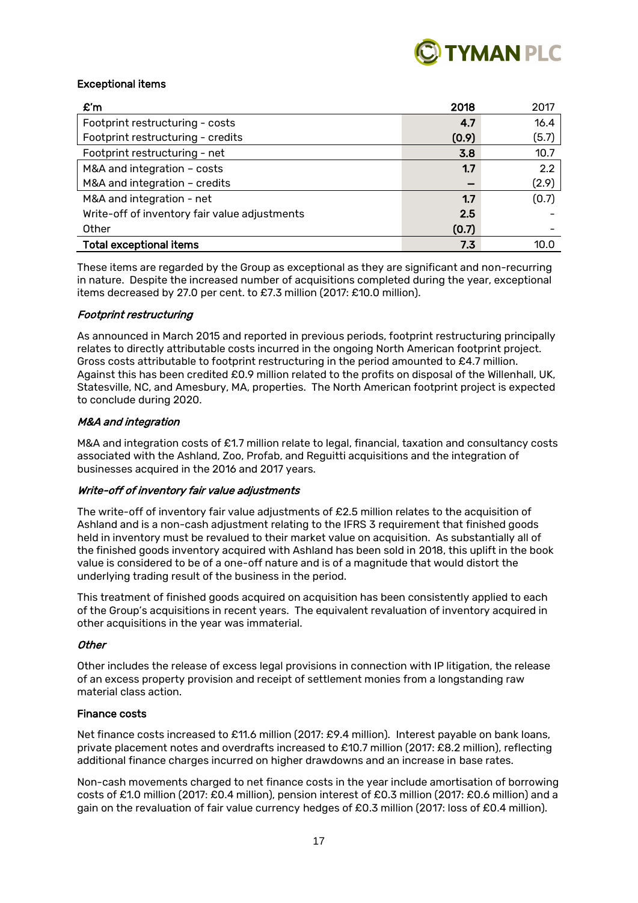

# Exceptional items

| $\mathbf{f}$ m                                | 2018  | 2017  |
|-----------------------------------------------|-------|-------|
| Footprint restructuring - costs               | 4.7   | 16.4  |
| Footprint restructuring - credits             | (0.9) | (5.7) |
| Footprint restructuring - net                 | 3.8   | 10.7  |
| M&A and integration - costs                   | 1.7   | 2.2   |
| M&A and integration - credits                 |       | (2.9) |
| M&A and integration - net                     | 1.7   | (0.7) |
| Write-off of inventory fair value adjustments | 2.5   |       |
| Other                                         | (0.7) |       |
| <b>Total exceptional items</b>                | 7.3   | 10.C  |

These items are regarded by the Group as exceptional as they are significant and non-recurring in nature. Despite the increased number of acquisitions completed during the year, exceptional items decreased by 27.0 per cent. to £7.3 million (2017: £10.0 million).

#### Footprint restructuring

As announced in March 2015 and reported in previous periods, footprint restructuring principally relates to directly attributable costs incurred in the ongoing North American footprint project. Gross costs attributable to footprint restructuring in the period amounted to £4.7 million. Against this has been credited £0.9 million related to the profits on disposal of the Willenhall, UK, Statesville, NC, and Amesbury, MA, properties. The North American footprint project is expected to conclude during 2020.

#### M&A and integration

M&A and integration costs of £1.7 million relate to legal, financial, taxation and consultancy costs associated with the Ashland, Zoo, Profab, and Reguitti acquisitions and the integration of businesses acquired in the 2016 and 2017 years.

# Write-off of inventory fair value adjustments

The write-off of inventory fair value adjustments of £2.5 million relates to the acquisition of Ashland and is a non-cash adjustment relating to the IFRS 3 requirement that finished goods held in inventory must be revalued to their market value on acquisition. As substantially all of the finished goods inventory acquired with Ashland has been sold in 2018, this uplift in the book value is considered to be of a one-off nature and is of a magnitude that would distort the underlying trading result of the business in the period.

This treatment of finished goods acquired on acquisition has been consistently applied to each of the Group's acquisitions in recent years. The equivalent revaluation of inventory acquired in other acquisitions in the year was immaterial.

#### **Other**

Other includes the release of excess legal provisions in connection with IP litigation, the release of an excess property provision and receipt of settlement monies from a longstanding raw material class action.

#### Finance costs

Net finance costs increased to £11.6 million (2017: £9.4 million). Interest payable on bank loans, private placement notes and overdrafts increased to £10.7 million (2017: £8.2 million), reflecting additional finance charges incurred on higher drawdowns and an increase in base rates.

Non-cash movements charged to net finance costs in the year include amortisation of borrowing costs of £1.0 million (2017: £0.4 million), pension interest of £0.3 million (2017: £0.6 million) and a gain on the revaluation of fair value currency hedges of £0.3 million (2017: loss of £0.4 million).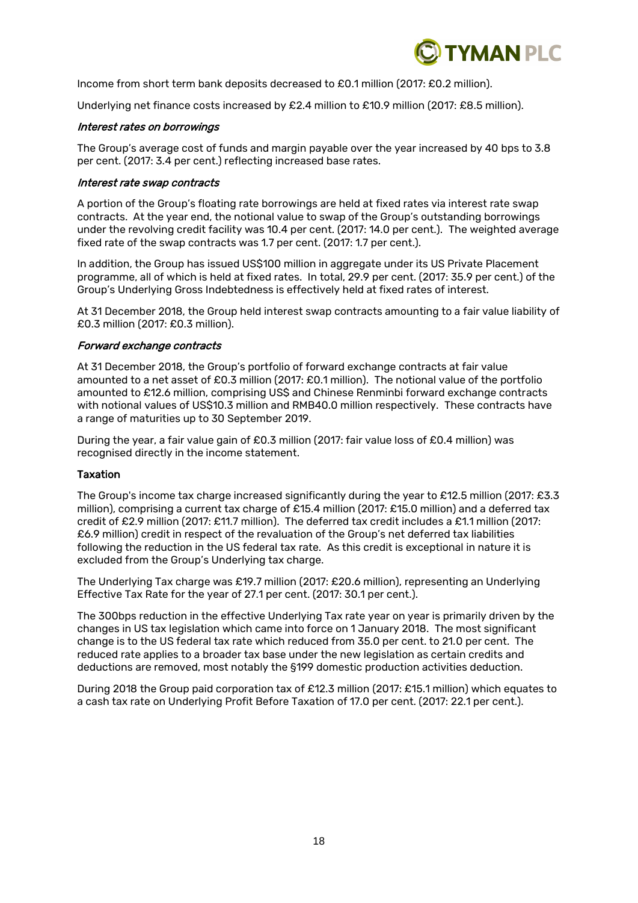

Income from short term bank deposits decreased to £0.1 million (2017: £0.2 million).

Underlying net finance costs increased by £2.4 million to £10.9 million (2017: £8.5 million).

#### Interest rates on borrowings

The Group's average cost of funds and margin payable over the year increased by 40 bps to 3.8 per cent. (2017: 3.4 per cent.) reflecting increased base rates.

#### Interest rate swap contracts

A portion of the Group's floating rate borrowings are held at fixed rates via interest rate swap contracts. At the year end, the notional value to swap of the Group's outstanding borrowings under the revolving credit facility was 10.4 per cent. (2017: 14.0 per cent.). The weighted average fixed rate of the swap contracts was 1.7 per cent. (2017: 1.7 per cent.).

In addition, the Group has issued US\$100 million in aggregate under its US Private Placement programme, all of which is held at fixed rates. In total, 29.9 per cent. (2017: 35.9 per cent.) of the Group's Underlying Gross Indebtedness is effectively held at fixed rates of interest.

At 31 December 2018, the Group held interest swap contracts amounting to a fair value liability of £0.3 million (2017: £0.3 million).

#### Forward exchange contracts

At 31 December 2018, the Group's portfolio of forward exchange contracts at fair value amounted to a net asset of £0.3 million (2017: £0.1 million). The notional value of the portfolio amounted to £12.6 million, comprising US\$ and Chinese Renminbi forward exchange contracts with notional values of US\$10.3 million and RMB40.0 million respectively. These contracts have a range of maturities up to 30 September 2019.

During the year, a fair value gain of £0.3 million (2017: fair value loss of £0.4 million) was recognised directly in the income statement.

#### Taxation

The Group's income tax charge increased significantly during the year to £12.5 million (2017: £3.3 million), comprising a current tax charge of £15.4 million (2017: £15.0 million) and a deferred tax credit of £2.9 million (2017: £11.7 million). The deferred tax credit includes a £1.1 million (2017: £6.9 million) credit in respect of the revaluation of the Group's net deferred tax liabilities following the reduction in the US federal tax rate. As this credit is exceptional in nature it is excluded from the Group's Underlying tax charge.

The Underlying Tax charge was £19.7 million (2017: £20.6 million), representing an Underlying Effective Tax Rate for the year of 27.1 per cent. (2017: 30.1 per cent.).

The 300bps reduction in the effective Underlying Tax rate year on year is primarily driven by the changes in US tax legislation which came into force on 1 January 2018. The most significant change is to the US federal tax rate which reduced from 35.0 per cent. to 21.0 per cent. The reduced rate applies to a broader tax base under the new legislation as certain credits and deductions are removed, most notably the §199 domestic production activities deduction.

During 2018 the Group paid corporation tax of £12.3 million (2017: £15.1 million) which equates to a cash tax rate on Underlying Profit Before Taxation of 17.0 per cent. (2017: 22.1 per cent.).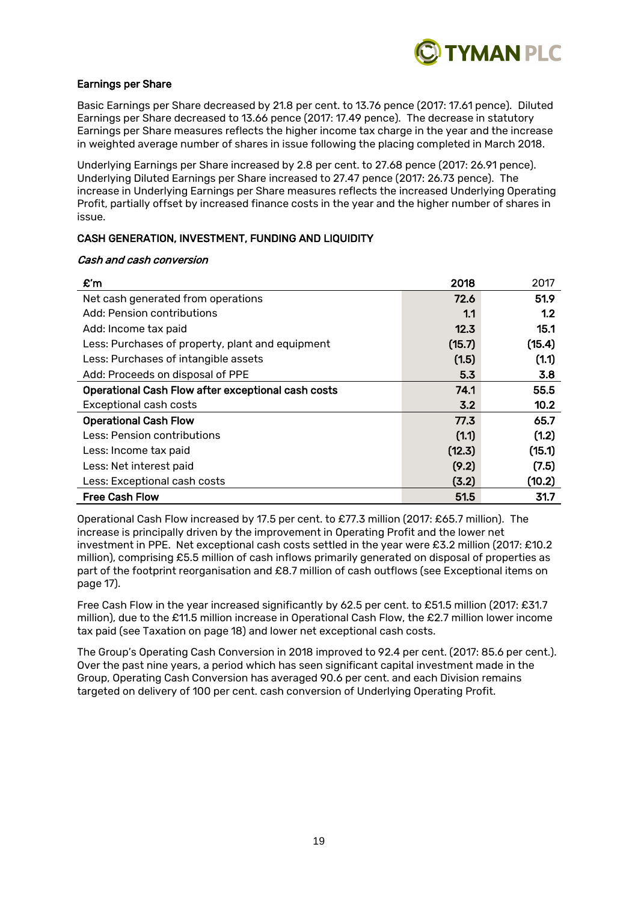

# Earnings per Share

Basic Earnings per Share decreased by 21.8 per cent. to 13.76 pence (2017: 17.61 pence). Diluted Earnings per Share decreased to 13.66 pence (2017: 17.49 pence). The decrease in statutory Earnings per Share measures reflects the higher income tax charge in the year and the increase in weighted average number of shares in issue following the placing completed in March 2018.

Underlying Earnings per Share increased by 2.8 per cent. to 27.68 pence (2017: 26.91 pence). Underlying Diluted Earnings per Share increased to 27.47 pence (2017: 26.73 pence). The increase in Underlying Earnings per Share measures reflects the increased Underlying Operating Profit, partially offset by increased finance costs in the year and the higher number of shares in issue.

# CASH GENERATION, INVESTMENT, FUNDING AND LIQUIDITY

#### Cash and cash conversion

| £'m                                                | 2018   | 2017   |
|----------------------------------------------------|--------|--------|
| Net cash generated from operations                 | 72.6   | 51.9   |
| Add: Pension contributions                         | 1.1    | 1.2    |
| Add: Income tax paid                               | 12.3   | 15.1   |
| Less: Purchases of property, plant and equipment   | (15.7) | (15.4) |
| Less: Purchases of intangible assets               | (1.5)  | (1.1)  |
| Add: Proceeds on disposal of PPE                   | 5.3    | 3.8    |
| Operational Cash Flow after exceptional cash costs | 74.1   | 55.5   |
| Exceptional cash costs                             | 3.2    | 10.2   |
| <b>Operational Cash Flow</b>                       | 77.3   | 65.7   |
| Less: Pension contributions                        | (1.1)  | (1.2)  |
| Less: Income tax paid                              | (12.3) | (15.1) |
| Less: Net interest paid                            | (9.2)  | (7.5)  |
| Less: Exceptional cash costs                       | (3.2)  | (10.2) |
| <b>Free Cash Flow</b>                              | 51.5   | 31.7   |

Operational Cash Flow increased by 17.5 per cent. to £77.3 million (2017: £65.7 million). The increase is principally driven by the improvement in Operating Profit and the lower net investment in PPE. Net exceptional cash costs settled in the year were £3.2 million (2017: £10.2 million), comprising £5.5 million of cash inflows primarily generated on disposal of properties as part of the footprint reorganisation and £8.7 million of cash outflows (see Exceptional items on page 17).

Free Cash Flow in the year increased significantly by 62.5 per cent. to £51.5 million (2017: £31.7 million), due to the £11.5 million increase in Operational Cash Flow, the £2.7 million lower income tax paid (see Taxation on page 18) and lower net exceptional cash costs.

The Group's Operating Cash Conversion in 2018 improved to 92.4 per cent. (2017: 85.6 per cent.). Over the past nine years, a period which has seen significant capital investment made in the Group, Operating Cash Conversion has averaged 90.6 per cent. and each Division remains targeted on delivery of 100 per cent. cash conversion of Underlying Operating Profit.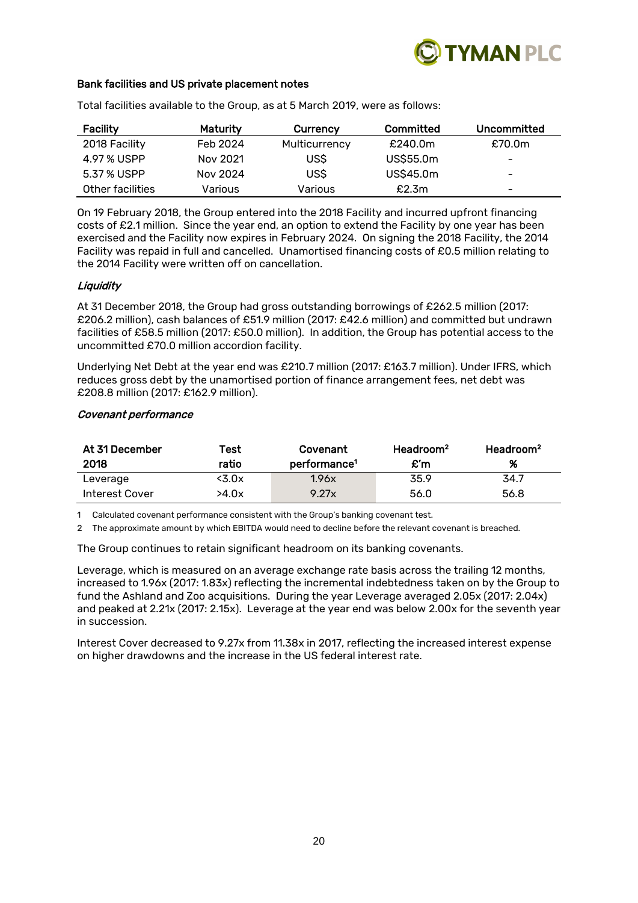

### Bank facilities and US private placement notes

| Facility         | Maturity | Currency      | Committed | Uncommitted |
|------------------|----------|---------------|-----------|-------------|
| 2018 Facility    | Feb 2024 | Multicurrency | £240.0m   | £70.0m      |
| 4.97 % USPP      | Nov 2021 | US\$          | US\$55.0m | -           |
| 5.37 % USPP      | Nov 2024 | US\$          | US\$45.0m | -           |
| Other facilities | Various  | Various       | £2.3m     | -           |

Total facilities available to the Group, as at 5 March 2019, were as follows:

On 19 February 2018, the Group entered into the 2018 Facility and incurred upfront financing costs of £2.1 million. Since the year end, an option to extend the Facility by one year has been exercised and the Facility now expires in February 2024. On signing the 2018 Facility, the 2014 Facility was repaid in full and cancelled. Unamortised financing costs of £0.5 million relating to the 2014 Facility were written off on cancellation.

# **Liquidity**

At 31 December 2018, the Group had gross outstanding borrowings of £262.5 million (2017: £206.2 million), cash balances of £51.9 million (2017: £42.6 million) and committed but undrawn facilities of £58.5 million (2017: £50.0 million). In addition, the Group has potential access to the uncommitted £70.0 million accordion facility.

Underlying Net Debt at the year end was £210.7 million (2017: £163.7 million). Under IFRS, which reduces gross debt by the unamortised portion of finance arrangement fees, net debt was £208.8 million (2017: £162.9 million).

#### Covenant performance

| At 31 December<br>2018 | Test<br>ratio | Covenant<br>performance <sup>1</sup> | Headroom <sup>2</sup><br>$\mathbf{f}$ m | Headroom <sup>2</sup><br>% |
|------------------------|---------------|--------------------------------------|-----------------------------------------|----------------------------|
| Leverage               | <3.0x         | 1.96x                                | 35.9                                    | 34.7                       |
| Interest Cover         | >4.0x         | 9.27x                                | 56.0                                    | 56.8                       |

1 Calculated covenant performance consistent with the Group's banking covenant test.

2 The approximate amount by which EBITDA would need to decline before the relevant covenant is breached.

The Group continues to retain significant headroom on its banking covenants.

Leverage, which is measured on an average exchange rate basis across the trailing 12 months, increased to 1.96x (2017: 1.83x) reflecting the incremental indebtedness taken on by the Group to fund the Ashland and Zoo acquisitions. During the year Leverage averaged 2.05x (2017: 2.04x) and peaked at 2.21x (2017: 2.15x). Leverage at the year end was below 2.00x for the seventh year in succession.

Interest Cover decreased to 9.27x from 11.38x in 2017, reflecting the increased interest expense on higher drawdowns and the increase in the US federal interest rate.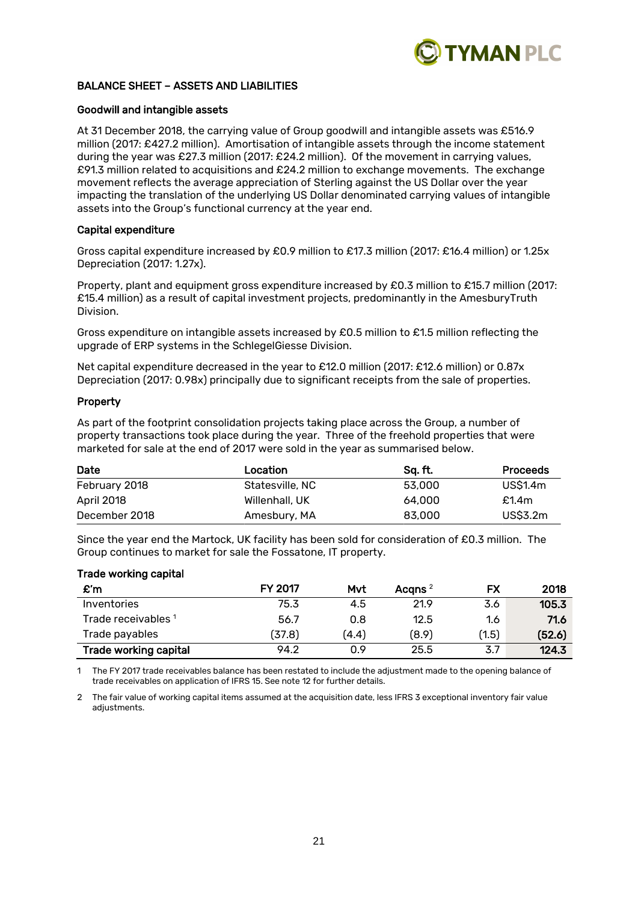

# BALANCE SHEET – ASSETS AND LIABILITIES

#### Goodwill and intangible assets

At 31 December 2018, the carrying value of Group goodwill and intangible assets was £516.9 million (2017: £427.2 million). Amortisation of intangible assets through the income statement during the year was £27.3 million (2017: £24.2 million). Of the movement in carrying values, £91.3 million related to acquisitions and £24.2 million to exchange movements. The exchange movement reflects the average appreciation of Sterling against the US Dollar over the year impacting the translation of the underlying US Dollar denominated carrying values of intangible assets into the Group's functional currency at the year end.

#### Capital expenditure

Gross capital expenditure increased by £0.9 million to £17.3 million (2017: £16.4 million) or 1.25x Depreciation (2017: 1.27x).

Property, plant and equipment gross expenditure increased by £0.3 million to £15.7 million (2017: £15.4 million) as a result of capital investment projects, predominantly in the AmesburyTruth Division.

Gross expenditure on intangible assets increased by £0.5 million to £1.5 million reflecting the upgrade of ERP systems in the SchlegelGiesse Division.

Net capital expenditure decreased in the year to £12.0 million (2017: £12.6 million) or 0.87x Depreciation (2017: 0.98x) principally due to significant receipts from the sale of properties.

#### Property

As part of the footprint consolidation projects taking place across the Group, a number of property transactions took place during the year. Three of the freehold properties that were marketed for sale at the end of 2017 were sold in the year as summarised below.

| Date          | Location        | Sa. ft. | <b>Proceeds</b> |
|---------------|-----------------|---------|-----------------|
| February 2018 | Statesville, NC | 53,000  | <b>US\$1.4m</b> |
| April 2018    | Willenhall, UK  | 64,000  | £1.4 $m$        |
| December 2018 | Amesbury, MA    | 83,000  | US\$3.2m        |

Since the year end the Martock, UK facility has been sold for consideration of £0.3 million. The Group continues to market for sale the Fossatone, IT property.

#### Trade working capital

| £'n                          | FY 2017 | Mvt   | Acqns $^2$ | FX    | 2018   |
|------------------------------|---------|-------|------------|-------|--------|
| Inventories                  | 75.3    | 4.5   | 21.9       | 3.6   | 105.3  |
| Trade receivables 1          | 56.7    | 0.8   | 12.5       | 1.6   | 71.6   |
| Trade payables               | (37.8)  | (4.4) | (8.9)      | (1.5) | (52.6) |
| <b>Trade working capital</b> | 94.2    | 0.9   | 25.5       | 3.7   | 124.3  |

The FY 2017 trade receivables balance has been restated to include the adjustment made to the opening balance of trade receivables on application of IFRS 15. See note 12 for further details.

2 The fair value of working capital items assumed at the acquisition date, less IFRS 3 exceptional inventory fair value adjustments.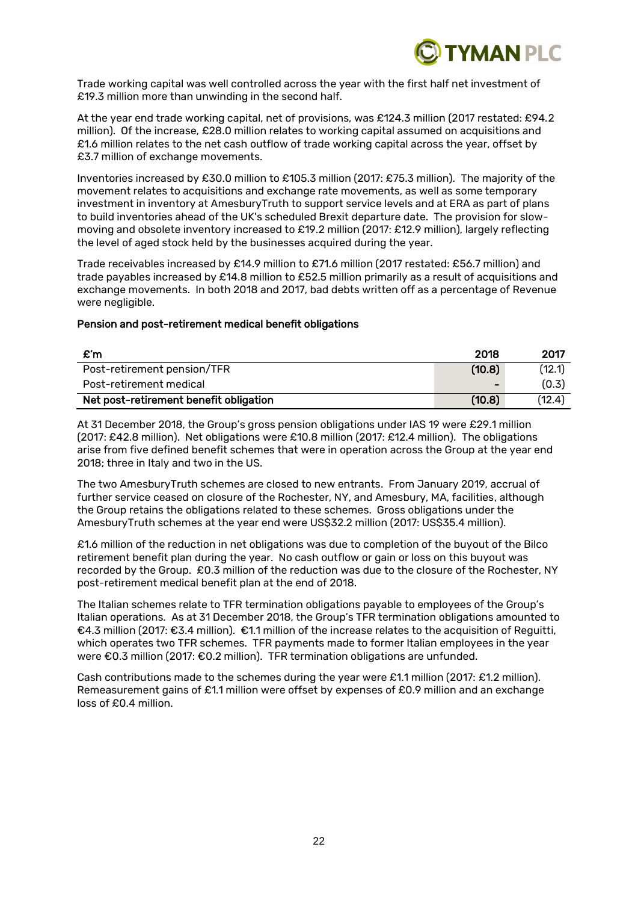

Trade working capital was well controlled across the year with the first half net investment of £19.3 million more than unwinding in the second half.

At the year end trade working capital, net of provisions, was £124.3 million (2017 restated: £94.2 million). Of the increase, £28.0 million relates to working capital assumed on acquisitions and £1.6 million relates to the net cash outflow of trade working capital across the year, offset by £3.7 million of exchange movements.

Inventories increased by £30.0 million to £105.3 million (2017: £75.3 million). The majority of the movement relates to acquisitions and exchange rate movements, as well as some temporary investment in inventory at AmesburyTruth to support service levels and at ERA as part of plans to build inventories ahead of the UK's scheduled Brexit departure date. The provision for slowmoving and obsolete inventory increased to £19.2 million (2017: £12.9 million), largely reflecting the level of aged stock held by the businesses acquired during the year.

Trade receivables increased by £14.9 million to £71.6 million (2017 restated: £56.7 million) and trade payables increased by £14.8 million to £52.5 million primarily as a result of acquisitions and exchange movements. In both 2018 and 2017, bad debts written off as a percentage of Revenue were negligible.

#### Pension and post-retirement medical benefit obligations

| £'n                                    | 2018           | 2017   |
|----------------------------------------|----------------|--------|
| Post-retirement pension/TFR            | (10.8)         | (12.1) |
| Post-retirement medical                | $\blacksquare$ | (0.3)  |
| Net post-retirement benefit obligation | (10.8)         | (12.4) |

At 31 December 2018, the Group's gross pension obligations under IAS 19 were £29.1 million (2017: £42.8 million). Net obligations were £10.8 million (2017: £12.4 million). The obligations arise from five defined benefit schemes that were in operation across the Group at the year end 2018; three in Italy and two in the US.

The two AmesburyTruth schemes are closed to new entrants. From January 2019, accrual of further service ceased on closure of the Rochester, NY, and Amesbury, MA, facilities, although the Group retains the obligations related to these schemes. Gross obligations under the AmesburyTruth schemes at the year end were US\$32.2 million (2017: US\$35.4 million).

£1.6 million of the reduction in net obligations was due to completion of the buyout of the Bilco retirement benefit plan during the year. No cash outflow or gain or loss on this buyout was recorded by the Group. £0.3 million of the reduction was due to the closure of the Rochester, NY post-retirement medical benefit plan at the end of 2018.

The Italian schemes relate to TFR termination obligations payable to employees of the Group's Italian operations. As at 31 December 2018, the Group's TFR termination obligations amounted to €4.3 million (2017: €3.4 million). €1.1 million of the increase relates to the acquisition of Reguitti, which operates two TFR schemes. TFR payments made to former Italian employees in the year were €0.3 million (2017: €0.2 million). TFR termination obligations are unfunded.

Cash contributions made to the schemes during the year were £1.1 million (2017: £1.2 million). Remeasurement gains of £1.1 million were offset by expenses of £0.9 million and an exchange loss of £0.4 million.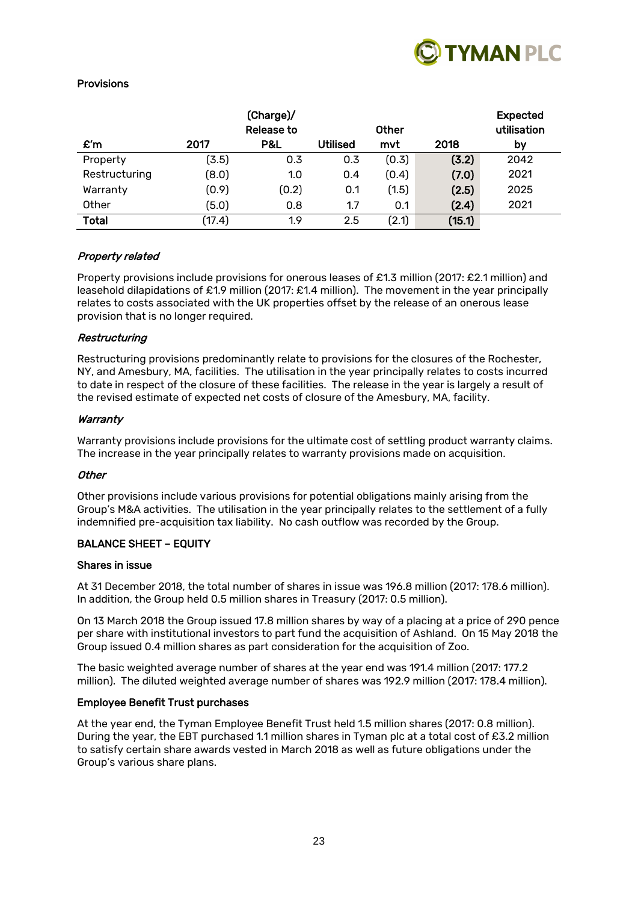

# Provisions

|                |        | (Charge)/<br><b>Release to</b> |                 | Other |        | <b>Expected</b><br>utilisation |
|----------------|--------|--------------------------------|-----------------|-------|--------|--------------------------------|
| $\mathbf{f}$ m | 2017   | P&L                            | <b>Utilised</b> | mvt   | 2018   | by                             |
| Property       | (3.5)  | 0.3                            | 0.3             | (0.3) | (3.2)  | 2042                           |
| Restructuring  | (8.0)  | 1.0                            | 0.4             | (0.4) | (7.0)  | 2021                           |
| Warranty       | (0.9)  | (0.2)                          | 0.1             | (1.5) | (2.5)  | 2025                           |
| Other          | (5.0)  | 0.8                            | 1.7             | 0.1   | (2.4)  | 2021                           |
| <b>Total</b>   | (17.4) | 1.9                            | 2.5             | (2.1) | (15.1) |                                |

# Property related

Property provisions include provisions for onerous leases of £1.3 million (2017: £2.1 million) and leasehold dilapidations of £1.9 million (2017: £1.4 million). The movement in the year principally relates to costs associated with the UK properties offset by the release of an onerous lease provision that is no longer required.

#### Restructuring

Restructuring provisions predominantly relate to provisions for the closures of the Rochester, NY, and Amesbury, MA, facilities. The utilisation in the year principally relates to costs incurred to date in respect of the closure of these facilities. The release in the year is largely a result of the revised estimate of expected net costs of closure of the Amesbury, MA, facility.

#### Warranty

Warranty provisions include provisions for the ultimate cost of settling product warranty claims. The increase in the year principally relates to warranty provisions made on acquisition.

#### **Other**

Other provisions include various provisions for potential obligations mainly arising from the Group's M&A activities. The utilisation in the year principally relates to the settlement of a fully indemnified pre-acquisition tax liability. No cash outflow was recorded by the Group.

# BALANCE SHEET – EQUITY

#### Shares in issue

At 31 December 2018, the total number of shares in issue was 196.8 million (2017: 178.6 million). In addition, the Group held 0.5 million shares in Treasury (2017: 0.5 million).

On 13 March 2018 the Group issued 17.8 million shares by way of a placing at a price of 290 pence per share with institutional investors to part fund the acquisition of Ashland. On 15 May 2018 the Group issued 0.4 million shares as part consideration for the acquisition of Zoo.

The basic weighted average number of shares at the year end was 191.4 million (2017: 177.2 million). The diluted weighted average number of shares was 192.9 million (2017: 178.4 million).

#### Employee Benefit Trust purchases

At the year end, the Tyman Employee Benefit Trust held 1.5 million shares (2017: 0.8 million). During the year, the EBT purchased 1.1 million shares in Tyman plc at a total cost of £3.2 million to satisfy certain share awards vested in March 2018 as well as future obligations under the Group's various share plans.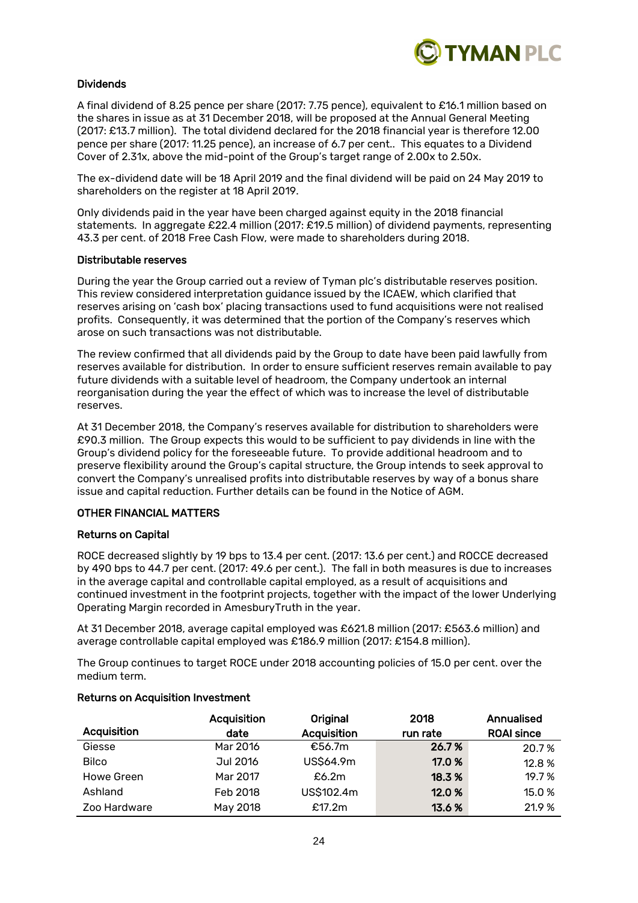

# Dividends

A final dividend of 8.25 pence per share (2017: 7.75 pence), equivalent to £16.1 million based on the shares in issue as at 31 December 2018, will be proposed at the Annual General Meeting (2017: £13.7 million). The total dividend declared for the 2018 financial year is therefore 12.00 pence per share (2017: 11.25 pence), an increase of 6.7 per cent.. This equates to a Dividend Cover of 2.31x, above the mid-point of the Group's target range of 2.00x to 2.50x.

The ex-dividend date will be 18 April 2019 and the final dividend will be paid on 24 May 2019 to shareholders on the register at 18 April 2019.

Only dividends paid in the year have been charged against equity in the 2018 financial statements. In aggregate £22.4 million (2017: £19.5 million) of dividend payments, representing 43.3 per cent. of 2018 Free Cash Flow, were made to shareholders during 2018.

#### Distributable reserves

During the year the Group carried out a review of Tyman plc's distributable reserves position. This review considered interpretation guidance issued by the ICAEW, which clarified that reserves arising on 'cash box' placing transactions used to fund acquisitions were not realised profits. Consequently, it was determined that the portion of the Company's reserves which arose on such transactions was not distributable.

The review confirmed that all dividends paid by the Group to date have been paid lawfully from reserves available for distribution. In order to ensure sufficient reserves remain available to pay future dividends with a suitable level of headroom, the Company undertook an internal reorganisation during the year the effect of which was to increase the level of distributable reserves.

At 31 December 2018, the Company's reserves available for distribution to shareholders were £90.3 million. The Group expects this would to be sufficient to pay dividends in line with the Group's dividend policy for the foreseeable future. To provide additional headroom and to preserve flexibility around the Group's capital structure, the Group intends to seek approval to convert the Company's unrealised profits into distributable reserves by way of a bonus share issue and capital reduction. Further details can be found in the Notice of AGM.

# OTHER FINANCIAL MATTERS

# Returns on Capital

ROCE decreased slightly by 19 bps to 13.4 per cent. (2017: 13.6 per cent.) and ROCCE decreased by 490 bps to 44.7 per cent. (2017: 49.6 per cent.). The fall in both measures is due to increases in the average capital and controllable capital employed, as a result of acquisitions and continued investment in the footprint projects, together with the impact of the lower Underlying Operating Margin recorded in AmesburyTruth in the year.

At 31 December 2018, average capital employed was £621.8 million (2017: £563.6 million) and average controllable capital employed was £186.9 million (2017: £154.8 million).

The Group continues to target ROCE under 2018 accounting policies of 15.0 per cent. over the medium term.

|              | Acquisition | Original    | 2018     | Annualised        |
|--------------|-------------|-------------|----------|-------------------|
| Acquisition  | date        | Acquisition | run rate | <b>ROAI since</b> |
| Giesse       | Mar 2016    | €56.7m      | 26.7%    | 20.7%             |
| <b>Bilco</b> | Jul 2016    | US\$64.9m   | 17.0 %   | 12.8 %            |
| Howe Green   | Mar 2017    | £6.2 $m$    | 18.3 %   | 19.7%             |
| Ashland      | Feb 2018    | US\$102.4m  | 12.0 %   | 15.0 %            |
| Zoo Hardware | May 2018    | £17.2m      | 13.6 %   | 21.9 %            |

#### Returns on Acquisition Investment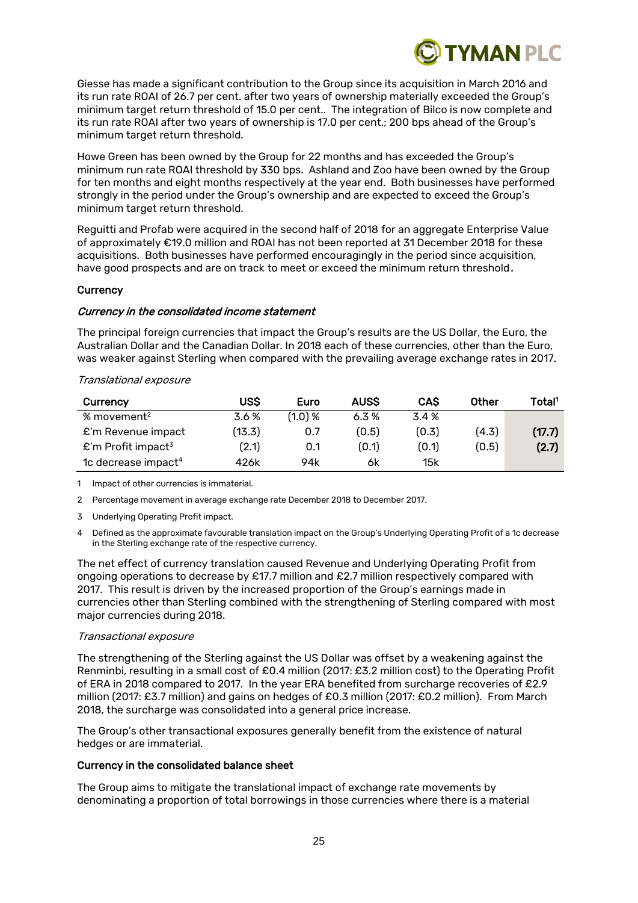

Giesse has made a significant contribution to the Group since its acquisition in March 2016 and its run rate ROAI of 26.7 per cent. after two years of ownership materially exceeded the Group's minimum target return threshold of 15.0 per cent.. The integration of Bilco is now complete and its run rate ROAI after two years of ownership is 17.0 per cent.; 200 bps ahead of the Group's minimum target return threshold.

Howe Green has been owned by the Group for 22 months and has exceeded the Group's minimum run rate ROAI threshold by 330 bps. Ashland and Zoo have been owned by the Group for ten months and eight months respectively at the year end. Both businesses have performed strongly in the period under the Group's ownership and are expected to exceed the Group's minimum target return threshold.

Reguitti and Profab were acquired in the second half of 2018 for an aggregate Enterprise Value of approximately €19.0 million and ROAI has not been reported at 31 December 2018 for these acquisitions. Both businesses have performed encouragingly in the period since acquisition, have good prospects and are on track to meet or exceed the minimum return threshold.

#### **Currency**

#### Currency in the consolidated income statement

The principal foreign currencies that impact the Group's results are the US Dollar, the Euro, the Australian Dollar and the Canadian Dollar. In 2018 each of these currencies, other than the Euro, was weaker against Sterling when compared with the prevailing average exchange rates in 2017.

#### Translational exposure

| Currency                        | US\$   | Euro    | <b>AUSS</b> | <b>CAS</b> | Other | Total <sup>1</sup> |
|---------------------------------|--------|---------|-------------|------------|-------|--------------------|
| % movement <sup>2</sup>         | 3.6%   | (1.0) % | 6.3%        | 3.4%       |       |                    |
| $E'm$ Revenue impact            | (13.3) | 0.7     | (0.5)       | (0.3)      | (4.3) | (17.7)             |
| £'m Profit impact <sup>3</sup>  | (2.1)  | 0.1     | (0.1)       | (0.1)      | (0.5) | (2.7)              |
| 1c decrease impact <sup>4</sup> | 426k   | 94k     | 6k          | 15k        |       |                    |

1 Impact of other currencies is immaterial.

2 Percentage movement in average exchange rate December 2018 to December 2017.

3 Underlying Operating Profit impact.

4 Defined as the approximate favourable translation impact on the Group's Underlying Operating Profit of a 1c decrease in the Sterling exchange rate of the respective currency.

The net effect of currency translation caused Revenue and Underlying Operating Profit from ongoing operations to decrease by £17.7 million and £2.7 million respectively compared with 2017. This result is driven by the increased proportion of the Group's earnings made in currencies other than Sterling combined with the strengthening of Sterling compared with most major currencies during 2018.

#### Transactional exposure

The strengthening of the Sterling against the US Dollar was offset by a weakening against the Renminbi, resulting in a small cost of £0.4 million (2017: £3.2 million cost) to the Operating Profit of ERA in 2018 compared to 2017. In the year ERA benefited from surcharge recoveries of £2.9 million (2017: £3.7 million) and gains on hedges of £0.3 million (2017: £0.2 million). From March 2018, the surcharge was consolidated into a general price increase.

The Group's other transactional exposures generally benefit from the existence of natural hedges or are immaterial.

#### Currency in the consolidated balance sheet

The Group aims to mitigate the translational impact of exchange rate movements by denominating a proportion of total borrowings in those currencies where there is a material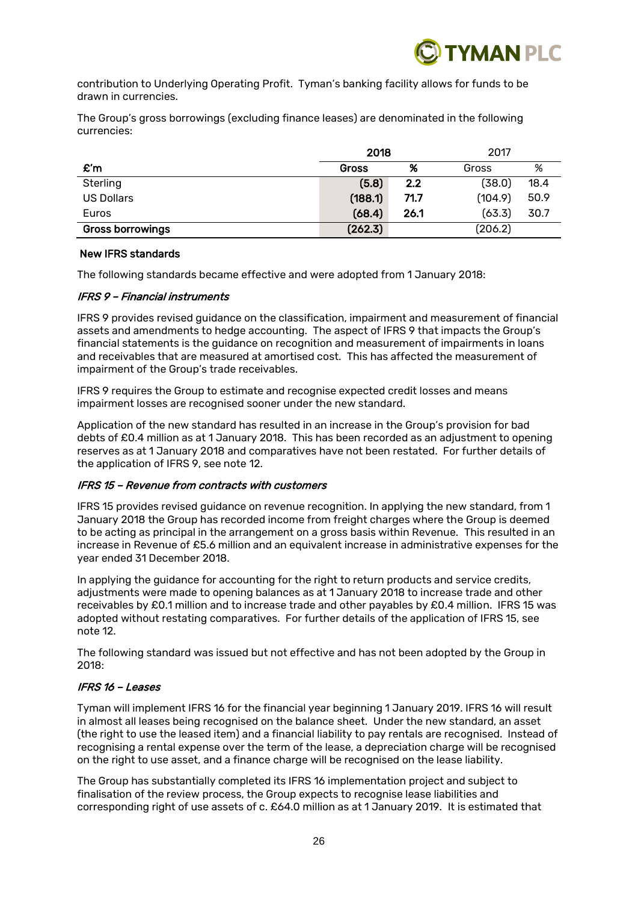

contribution to Underlying Operating Profit. Tyman's banking facility allows for funds to be drawn in currencies.

The Group's gross borrowings (excluding finance leases) are denominated in the following currencies:

|                         | 2018         |      | 2017    |      |  |
|-------------------------|--------------|------|---------|------|--|
| $\mathbf{f}'$ m         | <b>Gross</b> | %    | Gross   | %    |  |
| Sterling                | (5.8)        | 2.2  | (38.0)  | 18.4 |  |
| <b>US Dollars</b>       | (188.1)      | 71.7 | (104.9) | 50.9 |  |
| Euros                   | (68.4)       | 26.1 | (63.3)  | 30.7 |  |
| <b>Gross borrowings</b> | (262.3)      |      | (206.2) |      |  |

#### New IFRS standards

The following standards became effective and were adopted from 1 January 2018:

# IFRS 9 – Financial instruments

IFRS 9 provides revised guidance on the classification, impairment and measurement of financial assets and amendments to hedge accounting. The aspect of IFRS 9 that impacts the Group's financial statements is the guidance on recognition and measurement of impairments in loans and receivables that are measured at amortised cost. This has affected the measurement of impairment of the Group's trade receivables.

IFRS 9 requires the Group to estimate and recognise expected credit losses and means impairment losses are recognised sooner under the new standard.

Application of the new standard has resulted in an increase in the Group's provision for bad debts of £0.4 million as at 1 January 2018. This has been recorded as an adjustment to opening reserves as at 1 January 2018 and comparatives have not been restated. For further details of the application of IFRS 9, see note 12.

# IFRS 15 – Revenue from contracts with customers

IFRS 15 provides revised guidance on revenue recognition. In applying the new standard, from 1 January 2018 the Group has recorded income from freight charges where the Group is deemed to be acting as principal in the arrangement on a gross basis within Revenue. This resulted in an increase in Revenue of £5.6 million and an equivalent increase in administrative expenses for the year ended 31 December 2018.

In applying the guidance for accounting for the right to return products and service credits, adjustments were made to opening balances as at 1 January 2018 to increase trade and other receivables by £0.1 million and to increase trade and other payables by £0.4 million. IFRS 15 was adopted without restating comparatives. For further details of the application of IFRS 15, see note 12.

The following standard was issued but not effective and has not been adopted by the Group in 2018:

#### IFRS 16 – Leases

Tyman will implement IFRS 16 for the financial year beginning 1 January 2019. IFRS 16 will result in almost all leases being recognised on the balance sheet. Under the new standard, an asset (the right to use the leased item) and a financial liability to pay rentals are recognised. Instead of recognising a rental expense over the term of the lease, a depreciation charge will be recognised on the right to use asset, and a finance charge will be recognised on the lease liability.

The Group has substantially completed its IFRS 16 implementation project and subject to finalisation of the review process, the Group expects to recognise lease liabilities and corresponding right of use assets of c. £64.0 million as at 1 January 2019. It is estimated that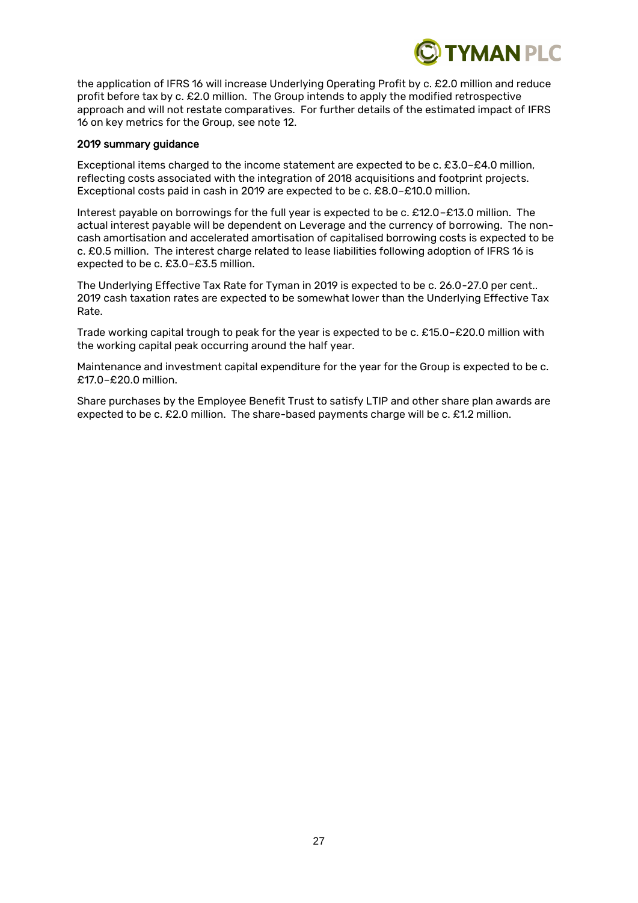

the application of IFRS 16 will increase Underlying Operating Profit by c. £2.0 million and reduce profit before tax by c. £2.0 million. The Group intends to apply the modified retrospective approach and will not restate comparatives. For further details of the estimated impact of IFRS 16 on key metrics for the Group, see note 12.

#### 2019 summary guidance

Exceptional items charged to the income statement are expected to be c. £3.0–£4.0 million, reflecting costs associated with the integration of 2018 acquisitions and footprint projects. Exceptional costs paid in cash in 2019 are expected to be c. £8.0–£10.0 million.

Interest payable on borrowings for the full year is expected to be c. £12.0–£13.0 million. The actual interest payable will be dependent on Leverage and the currency of borrowing. The noncash amortisation and accelerated amortisation of capitalised borrowing costs is expected to be c. £0.5 million. The interest charge related to lease liabilities following adoption of IFRS 16 is expected to be c. £3.0–£3.5 million.

The Underlying Effective Tax Rate for Tyman in 2019 is expected to be c. 26.0-27.0 per cent.. 2019 cash taxation rates are expected to be somewhat lower than the Underlying Effective Tax Rate.

Trade working capital trough to peak for the year is expected to be c. £15.0–£20.0 million with the working capital peak occurring around the half year.

Maintenance and investment capital expenditure for the year for the Group is expected to be c. £17.0–£20.0 million.

Share purchases by the Employee Benefit Trust to satisfy LTIP and other share plan awards are expected to be c. £2.0 million. The share-based payments charge will be c. £1.2 million.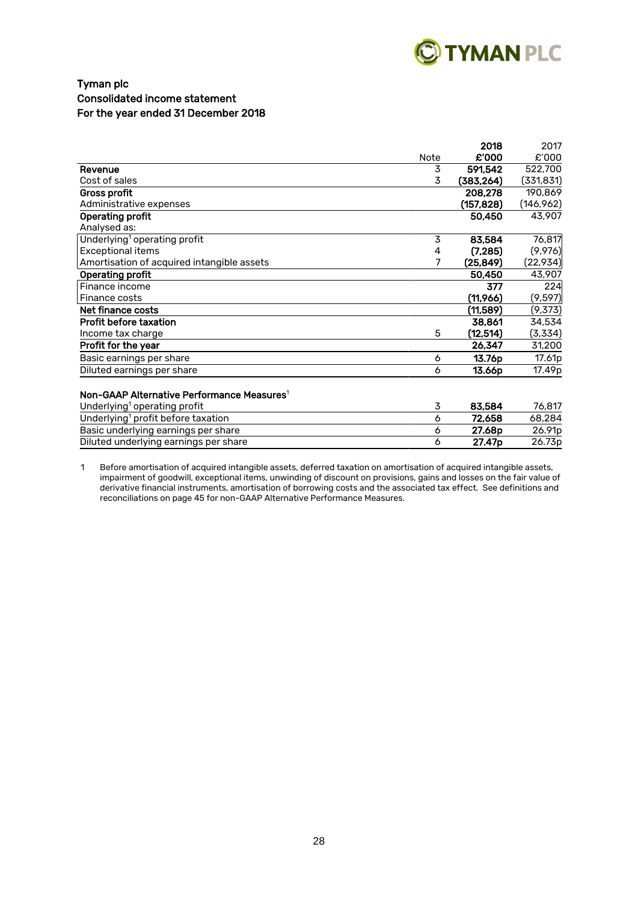

# Tyman plc Consolidated income statement For the year ended 31 December 2018

|                                                        |      | 2018       | 2017       |
|--------------------------------------------------------|------|------------|------------|
|                                                        | Note | £'000      | £'000      |
| Revenue                                                | 3    | 591,542    | 522,700    |
| Cost of sales                                          | 3    | (383, 264) | (331, 831) |
| <b>Gross profit</b>                                    |      | 208.278    | 190,869    |
| Administrative expenses                                |      | (157, 828) | (146, 962) |
| <b>Operating profit</b>                                |      | 50,450     | 43,907     |
| Analysed as:                                           |      |            |            |
| Underlying <sup>1</sup> operating profit               | 3    | 83,584     | 76,817     |
| <b>Exceptional items</b>                               | 4    | (7, 285)   | (9,976)    |
| Amortisation of acquired intangible assets             | 7    | (25, 849)  | (22, 934)  |
| Operating profit                                       |      | 50,450     | 43,907     |
| Finance income                                         |      | 377        | 224        |
| Finance costs                                          |      | (11,966)   | (9, 597)   |
| Net finance costs                                      |      | (11,589)   | (9,373)    |
| <b>Profit before taxation</b>                          |      | 38,861     | 34,534     |
| Income tax charge                                      | 5    | (12, 514)  | (3,334)    |
| Profit for the year                                    |      | 26,347     | 31,200     |
| Basic earnings per share                               | 6    | 13.76p     | 17.61p     |
| Diluted earnings per share                             | 6    | 13.66p     | 17.49p     |
|                                                        |      |            |            |
| Non-GAAP Alternative Performance Measures <sup>1</sup> |      |            |            |
| Underlying <sup>1</sup> operating profit               | 3    | 83,584     | 76,817     |
| Underlying <sup>1</sup> profit before taxation         | 6    | 72,658     | 68,284     |
| Basic underlying earnings per share                    | 6    | 27.68p     | 26.91p     |
| Diluted underlying earnings per share                  | 6    | 27.47p     | 26.73p     |

1 Before amortisation of acquired intangible assets, deferred taxation on amortisation of acquired intangible assets, impairment of goodwill, exceptional items, unwinding of discount on provisions, gains and losses on the fair value of derivative financial instruments, amortisation of borrowing costs and the associated tax effect. See definitions and reconciliations on page 45 for non-GAAP Alternative Performance Measures.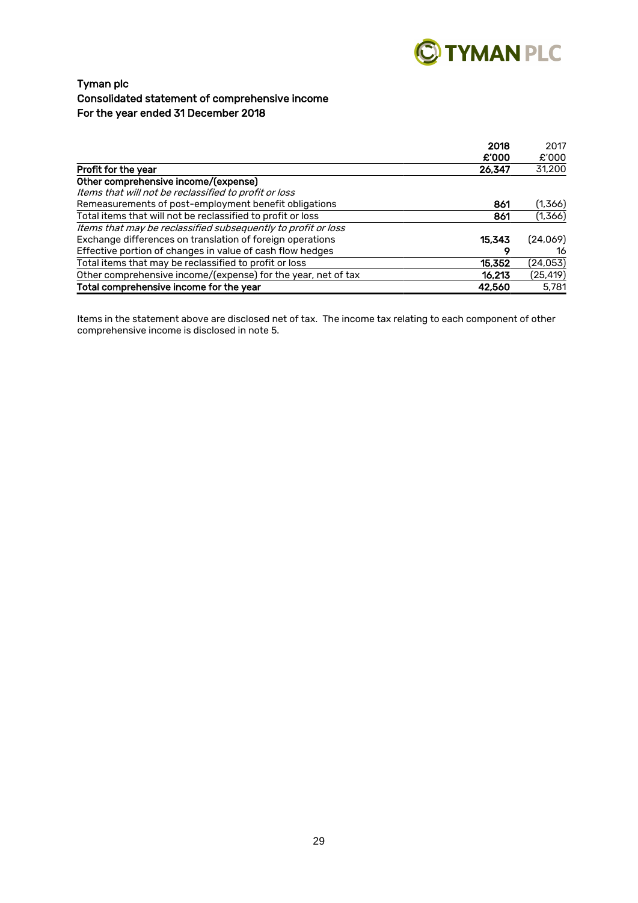

# Tyman plc Consolidated statement of comprehensive income For the year ended 31 December 2018

|                                                               | 2018   | 2017      |
|---------------------------------------------------------------|--------|-----------|
|                                                               | £'000  | £'000     |
| Profit for the year                                           | 26,347 | 31,200    |
| Other comprehensive income/(expense)                          |        |           |
| Items that will not be reclassified to profit or loss         |        |           |
| Remeasurements of post-employment benefit obligations         | 861    | (1,366)   |
| Total items that will not be reclassified to profit or loss   | 861    | (1,366)   |
| Items that may be reclassified subsequently to profit or loss |        |           |
| Exchange differences on translation of foreign operations     | 15.343 | (24,069)  |
| Effective portion of changes in value of cash flow hedges     | О      | 16        |
| Total items that may be reclassified to profit or loss        | 15.352 | (24, 053) |
| Other comprehensive income/(expense) for the year, net of tax | 16.213 | (25, 419) |
| Total comprehensive income for the year                       | 42,560 | 5.781     |

Items in the statement above are disclosed net of tax. The income tax relating to each component of other comprehensive income is disclosed in note 5.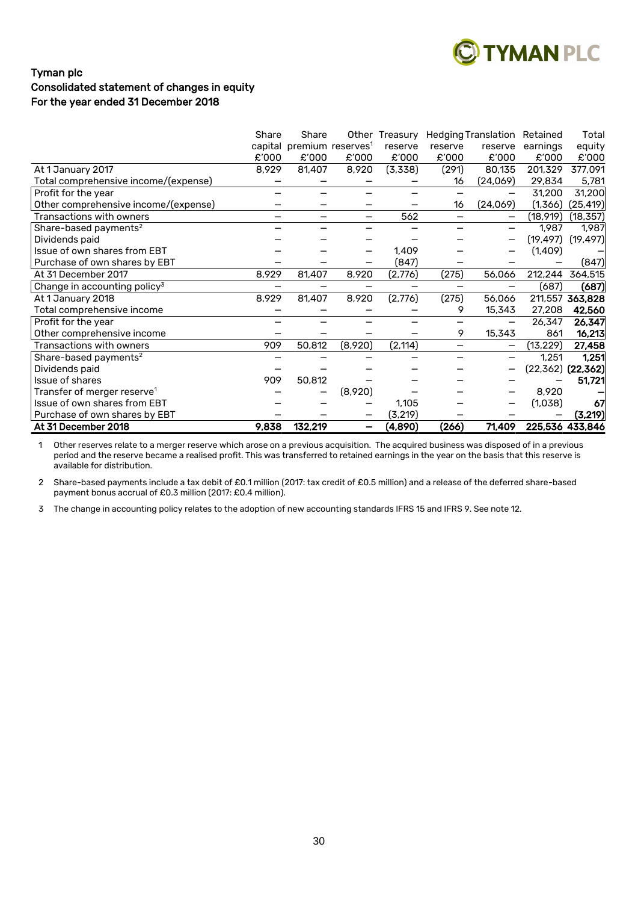

# Tyman plc Consolidated statement of changes in equity For the year ended 31 December 2018

|                                          | Share | Share                                 |                          | Other Treasury |                          | <b>Hedging Translation</b> | Retained  | Total                   |
|------------------------------------------|-------|---------------------------------------|--------------------------|----------------|--------------------------|----------------------------|-----------|-------------------------|
|                                          |       | capital premium reserves <sup>1</sup> |                          | reserve        | reserve                  | reserve                    | earnings  | equity                  |
|                                          | £'000 | £'000                                 | £'000                    | £'000          | £'000                    | £'000                      | £'000     | £'000                   |
| At 1 January 2017                        | 8,929 | 81,407                                | 8,920                    | (3,338)        | (291)                    | 80,135                     | 201,329   | 377,091                 |
| Total comprehensive income/(expense)     |       |                                       |                          |                | 16                       | (24,069)                   | 29,834    | 5,781                   |
| Profit for the year                      |       |                                       |                          |                |                          |                            | 31,200    | 31,200                  |
| Other comprehensive income/(expense)     |       |                                       |                          |                | 16                       | (24,069)                   | (1,366)   | (25, 419)               |
| Transactions with owners                 |       |                                       | $\overline{\phantom{0}}$ | 562            |                          | $\overline{\phantom{0}}$   | (18,919)  | (18, 357)               |
| Share-based payments <sup>2</sup>        |       |                                       |                          |                |                          |                            | 1,987     | 1,987                   |
| Dividends paid                           |       |                                       |                          |                |                          | —                          | (19, 497) | (19, 497)               |
| Issue of own shares from EBT             |       |                                       |                          | 1,409          |                          |                            | (1,409)   |                         |
| Purchase of own shares by EBT            |       |                                       |                          | (847)          |                          |                            |           | (847)                   |
| At 31 December 2017                      | 8,929 | 81,407                                | 8,920                    | (2,776)        | (275)                    | 56,066                     | 212,244   | 364,515                 |
| Change in accounting policy <sup>3</sup> |       |                                       |                          |                |                          |                            | (687)     | (687)                   |
| At 1 January 2018                        | 8,929 | 81,407                                | 8,920                    | (2,776)        | (275)                    | 56.066                     |           | 211,557 363,828         |
| Total comprehensive income               |       |                                       |                          |                | 9                        | 15,343                     | 27,208    | 42,560                  |
| Profit for the year                      |       |                                       |                          |                |                          | —                          | 26,347    | 26,347                  |
| Other comprehensive income               |       |                                       |                          |                | 9                        | 15,343                     | 861       | 16,213                  |
| Transactions with owners                 | 909   | 50,812                                | (8,920)                  | (2, 114)       | $\overline{\phantom{0}}$ | —                          | (13, 229) | 27,458                  |
| Share-based payments <sup>2</sup>        |       |                                       |                          |                |                          | $\overline{\phantom{0}}$   | 1,251     | 1,251                   |
| Dividends paid                           |       |                                       |                          |                |                          |                            |           | $(22, 362)$ $(22, 362)$ |
| Issue of shares                          | 909   | 50,812                                |                          |                |                          |                            |           | 51,721                  |
| Transfer of merger reserve <sup>1</sup>  |       |                                       | (8,920)                  |                |                          |                            | 8,920     |                         |
| Issue of own shares from EBT             |       |                                       |                          | 1,105          |                          |                            | (1,038)   | 67                      |
| Purchase of own shares by EBT            |       |                                       |                          | (3, 219)       |                          |                            |           | (3, 219)                |
| At 31 December 2018                      | 9,838 | 132,219                               | —                        | (4,890)        | (266)                    | 71,409                     |           | 225,536 433,846         |

1 Other reserves relate to a merger reserve which arose on a previous acquisition. The acquired business was disposed of in a previous period and the reserve became a realised profit. This was transferred to retained earnings in the year on the basis that this reserve is available for distribution.

2 Share-based payments include a tax debit of £0.1 million (2017: tax credit of £0.5 million) and a release of the deferred share-based payment bonus accrual of £0.3 million (2017: £0.4 million).

3 The change in accounting policy relates to the adoption of new accounting standards IFRS 15 and IFRS 9. See note 12.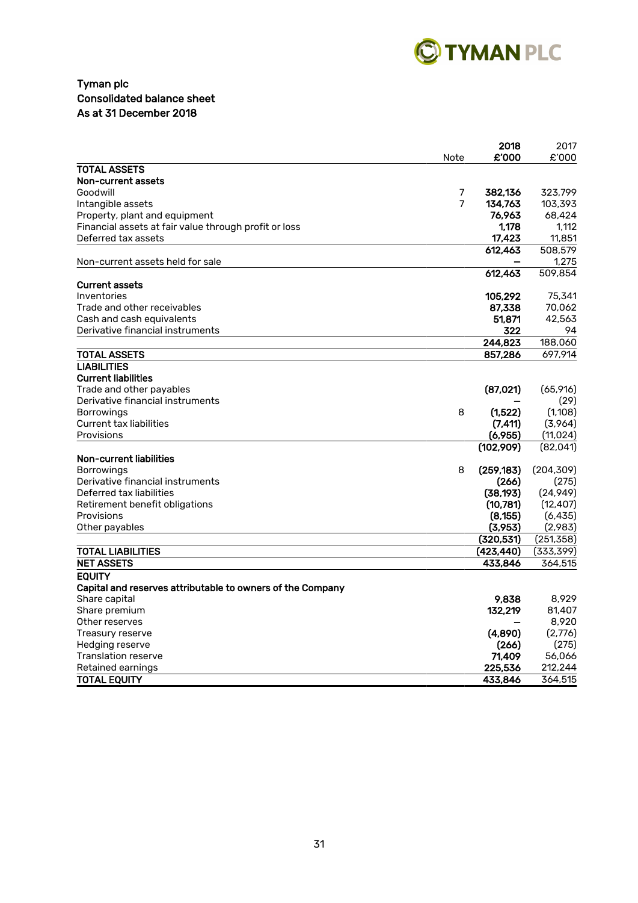

# Tyman plc Consolidated balance sheet As at 31 December 2018

|                                                            |      | 2018       | 2017       |
|------------------------------------------------------------|------|------------|------------|
|                                                            | Note | £'000      | £'000      |
| <b>TOTAL ASSETS</b>                                        |      |            |            |
| Non-current assets                                         |      |            |            |
| Goodwill                                                   | 7    | 382.136    | 323,799    |
| Intangible assets                                          | 7    | 134,763    | 103,393    |
| Property, plant and equipment                              |      | 76,963     | 68,424     |
| Financial assets at fair value through profit or loss      |      | 1,178      | 1,112      |
| Deferred tax assets                                        |      | 17,423     | 11,851     |
|                                                            |      | 612.463    | 508,579    |
| Non-current assets held for sale                           |      |            | 1,275      |
|                                                            |      | 612,463    | 509,854    |
| <b>Current assets</b>                                      |      |            |            |
| Inventories                                                |      | 105,292    | 75,341     |
| Trade and other receivables                                |      | 87,338     | 70,062     |
| Cash and cash equivalents                                  |      | 51.871     | 42,563     |
| Derivative financial instruments                           |      | 322        | 94         |
|                                                            |      | 244,823    | 188,060    |
| <b>TOTAL ASSETS</b>                                        |      | 857,286    | 697,914    |
| <b>LIABILITIES</b>                                         |      |            |            |
| <b>Current liabilities</b>                                 |      |            |            |
| Trade and other payables                                   |      | (87,021)   | (65,916)   |
| Derivative financial instruments                           |      |            | (29)       |
| <b>Borrowings</b>                                          | 8    | (1.522)    | (1,108)    |
| <b>Current tax liabilities</b>                             |      | (7, 411)   | (3,964)    |
| Provisions                                                 |      | (6,955)    | (11, 024)  |
|                                                            |      | (102,909)  | (82, 041)  |
| Non-current liabilities                                    |      |            |            |
| <b>Borrowings</b>                                          | 8    | (259, 183) | (204, 309) |
| Derivative financial instruments                           |      | (266)      | (275)      |
| Deferred tax liabilities                                   |      | (38, 193)  | (24, 949)  |
| Retirement benefit obligations                             |      | (10,781)   | (12, 407)  |
| Provisions                                                 |      | (8, 155)   | (6, 435)   |
| Other payables                                             |      | (3,953)    | (2,983)    |
|                                                            |      | (320, 531) | (251, 358) |
| TOTAL LIABILITIES                                          |      | (423, 440) | (333, 399) |
| <b>NET ASSETS</b>                                          |      | 433,846    | 364,515    |
|                                                            |      |            |            |
| <b>EQUITY</b>                                              |      |            |            |
| Capital and reserves attributable to owners of the Company |      |            |            |
| Share capital                                              |      | 9.838      | 8.929      |
| Share premium                                              |      | 132,219    | 81,407     |
| Other reserves                                             |      |            | 8,920      |
| Treasury reserve                                           |      | (4.890)    | (2,776)    |
| Hedging reserve                                            |      | (266)      | (275)      |
| Translation reserve                                        |      | 71,409     | 56,066     |
| Retained earnings                                          |      | 225,536    | 212,244    |
| <b>TOTAL EQUITY</b>                                        |      | 433,846    | 364,515    |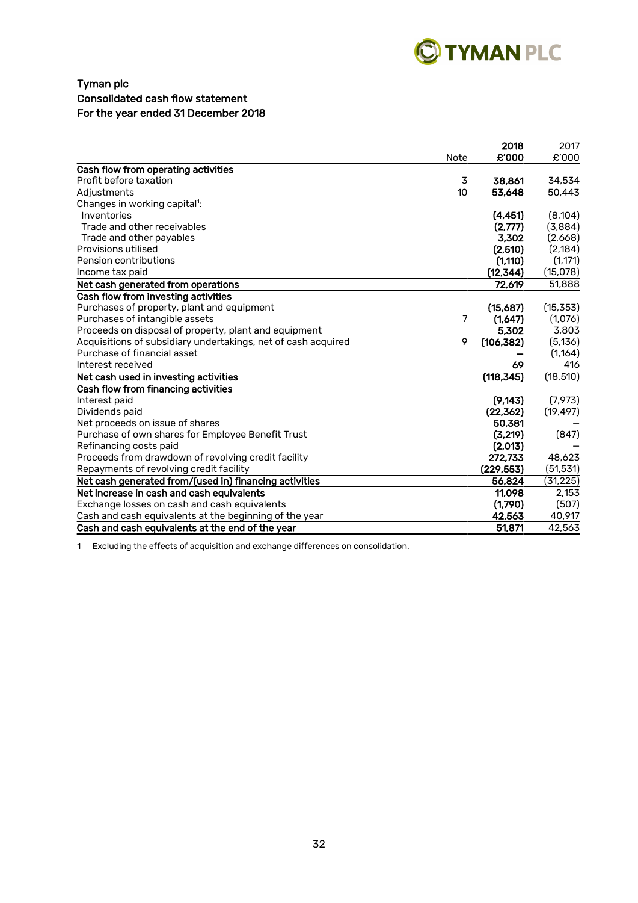

# Tyman plc Consolidated cash flow statement For the year ended 31 December 2018

|                                                               |      | 2018       | 2017      |
|---------------------------------------------------------------|------|------------|-----------|
|                                                               | Note | £'000      | £'000     |
| Cash flow from operating activities                           |      |            |           |
| Profit before taxation                                        | 3    | 38.861     | 34,534    |
| Adjustments                                                   | 10   | 53,648     | 50,443    |
| Changes in working capital <sup>1</sup> :                     |      |            |           |
| Inventories                                                   |      | (4, 451)   | (8, 104)  |
| Trade and other receivables                                   |      | (2.777)    | (3,884)   |
| Trade and other payables                                      |      | 3,302      | (2,668)   |
| Provisions utilised                                           |      | (2,510)    | (2, 184)  |
| Pension contributions                                         |      | (1, 110)   | (1, 171)  |
| Income tax paid                                               |      | (12, 344)  | (15,078)  |
| Net cash generated from operations                            |      | 72,619     | 51,888    |
| Cash flow from investing activities                           |      |            |           |
| Purchases of property, plant and equipment                    |      | (15,687)   | (15, 353) |
| Purchases of intangible assets                                | 7    | (1,647)    | (1,076)   |
| Proceeds on disposal of property, plant and equipment         |      | 5.302      | 3,803     |
| Acquisitions of subsidiary undertakings, net of cash acquired | 9    | (106, 382) | (5, 136)  |
| Purchase of financial asset                                   |      |            | (1, 164)  |
| Interest received                                             |      | 69         | 416       |
| Net cash used in investing activities                         |      | (118, 345) | (18, 510) |
| Cash flow from financing activities                           |      |            |           |
| Interest paid                                                 |      | (9, 143)   | (7, 973)  |
| Dividends paid                                                |      | (22, 362)  | (19, 497) |
| Net proceeds on issue of shares                               |      | 50,381     |           |
| Purchase of own shares for Employee Benefit Trust             |      | (3,219)    | (847)     |
| Refinancing costs paid                                        |      | (2,013)    |           |
| Proceeds from drawdown of revolving credit facility           |      | 272,733    | 48,623    |
| Repayments of revolving credit facility                       |      | (229.553)  | (51, 531) |
| Net cash generated from/(used in) financing activities        |      | 56,824     | (31, 225) |
| Net increase in cash and cash equivalents                     |      | 11.098     | 2,153     |
| Exchange losses on cash and cash equivalents                  |      | (1,790)    | (507)     |
| Cash and cash equivalents at the beginning of the year        |      | 42,563     | 40,917    |
| Cash and cash equivalents at the end of the year              |      | 51,871     | 42,563    |

1 Excluding the effects of acquisition and exchange differences on consolidation.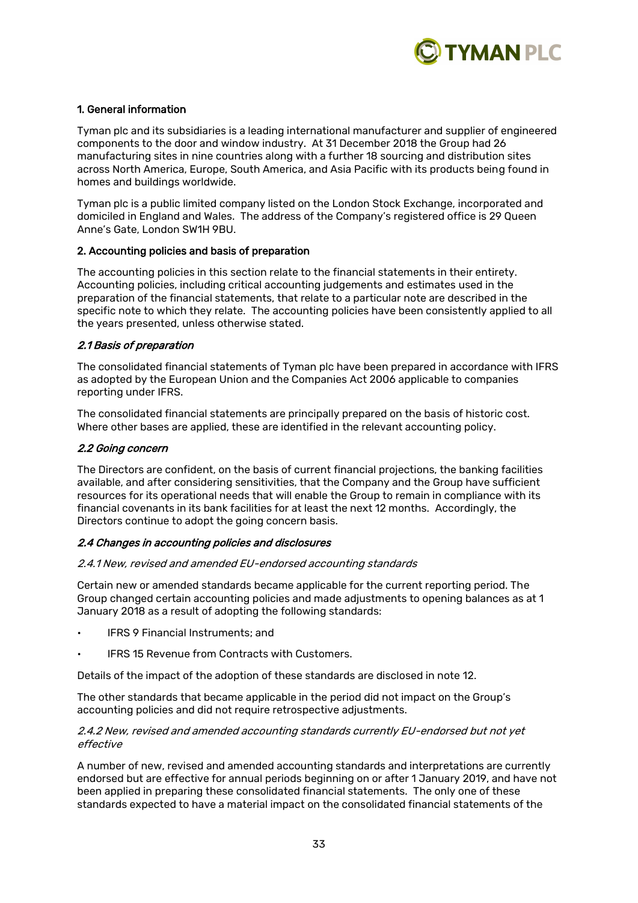

# 1. General information

Tyman plc and its subsidiaries is a leading international manufacturer and supplier of engineered components to the door and window industry. At 31 December 2018 the Group had 26 manufacturing sites in nine countries along with a further 18 sourcing and distribution sites across North America, Europe, South America, and Asia Pacific with its products being found in homes and buildings worldwide.

Tyman plc is a public limited company listed on the London Stock Exchange, incorporated and domiciled in England and Wales. The address of the Company's registered office is 29 Queen Anne's Gate, London SW1H 9BU.

#### 2. Accounting policies and basis of preparation

The accounting policies in this section relate to the financial statements in their entirety. Accounting policies, including critical accounting judgements and estimates used in the preparation of the financial statements, that relate to a particular note are described in the specific note to which they relate. The accounting policies have been consistently applied to all the years presented, unless otherwise stated.

#### 2.1 Basis of preparation

The consolidated financial statements of Tyman plc have been prepared in accordance with IFRS as adopted by the European Union and the Companies Act 2006 applicable to companies reporting under IFRS.

The consolidated financial statements are principally prepared on the basis of historic cost. Where other bases are applied, these are identified in the relevant accounting policy.

#### 2.2 Going concern

The Directors are confident, on the basis of current financial projections, the banking facilities available, and after considering sensitivities, that the Company and the Group have sufficient resources for its operational needs that will enable the Group to remain in compliance with its financial covenants in its bank facilities for at least the next 12 months. Accordingly, the Directors continue to adopt the going concern basis.

#### 2.4 Changes in accounting policies and disclosures

#### 2.4.1 New, revised and amended EU-endorsed accounting standards

Certain new or amended standards became applicable for the current reporting period. The Group changed certain accounting policies and made adjustments to opening balances as at 1 January 2018 as a result of adopting the following standards:

- IFRS 9 Financial Instruments; and
- IFRS 15 Revenue from Contracts with Customers.

Details of the impact of the adoption of these standards are disclosed in note 12.

The other standards that became applicable in the period did not impact on the Group's accounting policies and did not require retrospective adjustments.

#### 2.4.2 New, revised and amended accounting standards currently EU-endorsed but not yet effective

A number of new, revised and amended accounting standards and interpretations are currently endorsed but are effective for annual periods beginning on or after 1 January 2019, and have not been applied in preparing these consolidated financial statements. The only one of these standards expected to have a material impact on the consolidated financial statements of the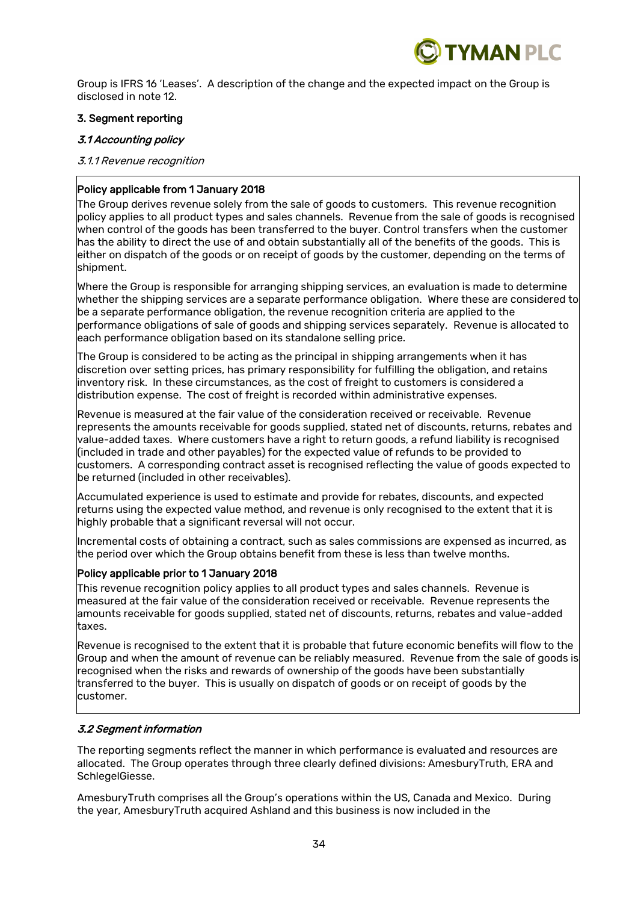

Group is IFRS 16 'Leases'. A description of the change and the expected impact on the Group is disclosed in note 12.

# 3. Segment reporting

# 3.1 Accounting policy

### 3.1.1 Revenue recognition

# Policy applicable from 1 January 2018

The Group derives revenue solely from the sale of goods to customers. This revenue recognition policy applies to all product types and sales channels. Revenue from the sale of goods is recognised when control of the goods has been transferred to the buyer. Control transfers when the customer has the ability to direct the use of and obtain substantially all of the benefits of the goods. This is either on dispatch of the goods or on receipt of goods by the customer, depending on the terms of shipment.

Where the Group is responsible for arranging shipping services, an evaluation is made to determine whether the shipping services are a separate performance obligation. Where these are considered to be a separate performance obligation, the revenue recognition criteria are applied to the performance obligations of sale of goods and shipping services separately. Revenue is allocated to each performance obligation based on its standalone selling price.

The Group is considered to be acting as the principal in shipping arrangements when it has discretion over setting prices, has primary responsibility for fulfilling the obligation, and retains inventory risk. In these circumstances, as the cost of freight to customers is considered a distribution expense. The cost of freight is recorded within administrative expenses.

Revenue is measured at the fair value of the consideration received or receivable. Revenue represents the amounts receivable for goods supplied, stated net of discounts, returns, rebates and value-added taxes. Where customers have a right to return goods, a refund liability is recognised (included in trade and other payables) for the expected value of refunds to be provided to customers. A corresponding contract asset is recognised reflecting the value of goods expected to be returned (included in other receivables).

Accumulated experience is used to estimate and provide for rebates, discounts, and expected  $\vert$ returns using the expected value method, and revenue is only recognised to the extent that it is  $\vert$ highly probable that a significant reversal will not occur.

Incremental costs of obtaining a contract, such as sales commissions are expensed as incurred, as the period over which the Group obtains benefit from these is less than twelve months.

# Policy applicable prior to 1 January 2018

This revenue recognition policy applies to all product types and sales channels. Revenue is measured at the fair value of the consideration received or receivable. Revenue represents the amounts receivable for goods supplied, stated net of discounts, returns, rebates and value-added taxes.

Revenue is recognised to the extent that it is probable that future economic benefits will flow to the Group and when the amount of revenue can be reliably measured. Revenue from the sale of goods is recognised when the risks and rewards of ownership of the goods have been substantially transferred to the buyer. This is usually on dispatch of goods or on receipt of goods by the customer.

# 3.2 Segment information

The reporting segments reflect the manner in which performance is evaluated and resources are allocated. The Group operates through three clearly defined divisions: AmesburyTruth, ERA and SchlegelGiesse.

AmesburyTruth comprises all the Group's operations within the US, Canada and Mexico. During the year, AmesburyTruth acquired Ashland and this business is now included in the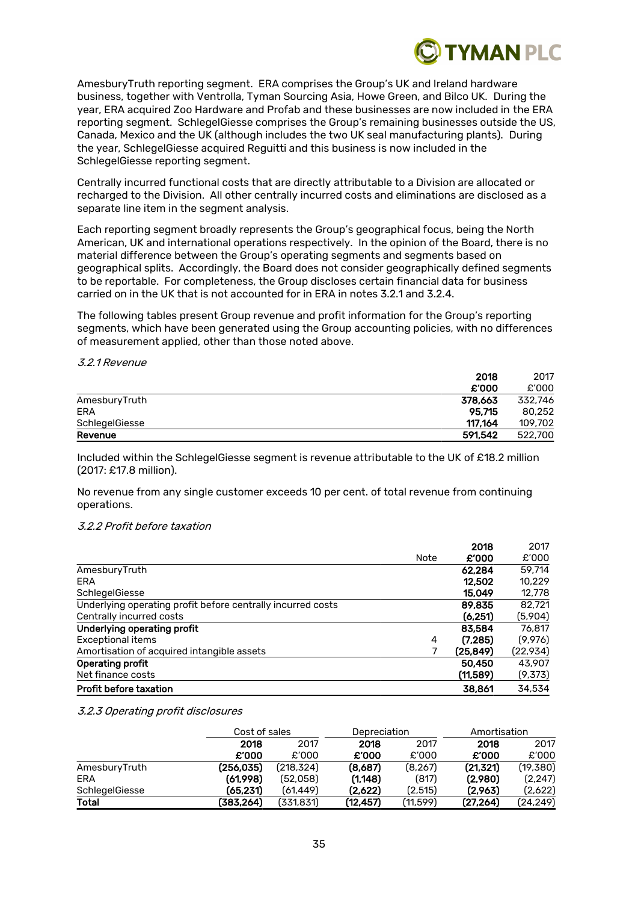

AmesburyTruth reporting segment. ERA comprises the Group's UK and Ireland hardware business, together with Ventrolla, Tyman Sourcing Asia, Howe Green, and Bilco UK. During the year, ERA acquired Zoo Hardware and Profab and these businesses are now included in the ERA reporting segment. SchlegelGiesse comprises the Group's remaining businesses outside the US, Canada, Mexico and the UK (although includes the two UK seal manufacturing plants). During the year, SchlegelGiesse acquired Reguitti and this business is now included in the SchlegelGiesse reporting segment.

Centrally incurred functional costs that are directly attributable to a Division are allocated or recharged to the Division. All other centrally incurred costs and eliminations are disclosed as a separate line item in the segment analysis.

Each reporting segment broadly represents the Group's geographical focus, being the North American, UK and international operations respectively. In the opinion of the Board, there is no material difference between the Group's operating segments and segments based on geographical splits. Accordingly, the Board does not consider geographically defined segments to be reportable. For completeness, the Group discloses certain financial data for business carried on in the UK that is not accounted for in ERA in notes 3.2.1 and 3.2.4.

The following tables present Group revenue and profit information for the Group's reporting segments, which have been generated using the Group accounting policies, with no differences of measurement applied, other than those noted above.

#### 3.2.1 Revenue

|                | 2018    | 2017    |
|----------------|---------|---------|
|                | £'000   | £'000   |
| AmesburyTruth  | 378.663 | 332.746 |
| ERA            | 95.715  | 80.252  |
| SchlegelGiesse | 117.164 | 109.702 |
| Revenue        | 591,542 | 522,700 |

Included within the SchlegelGiesse segment is revenue attributable to the UK of £18.2 million (2017: £17.8 million).

No revenue from any single customer exceeds 10 per cent. of total revenue from continuing operations.

#### 3.2.2 Profit before taxation

|                                                             |      | 2018     | 2017      |
|-------------------------------------------------------------|------|----------|-----------|
|                                                             | Note | £'000    | £'000     |
| AmesburyTruth                                               |      | 62.284   | 59.714    |
| ERA                                                         |      | 12.502   | 10.229    |
| SchlegelGiesse                                              |      | 15,049   | 12,778    |
| Underlying operating profit before centrally incurred costs |      | 89,835   | 82.721    |
| Centrally incurred costs                                    |      | (6,251)  | (5,904)   |
| Underlying operating profit                                 |      | 83,584   | 76.817    |
| Exceptional items                                           | 4    | (7,285)  | (9,976)   |
| Amortisation of acquired intangible assets                  | 7    | (25.849) | (22, 934) |
| Operating profit                                            |      | 50,450   | 43,907    |
| Net finance costs                                           |      | (11,589) | (9,373)   |
| <b>Profit before taxation</b>                               |      | 38,861   | 34,534    |

3.2.3 Operating profit disclosures

|                | Cost of sales |           |           | Depreciation |           | Amortisation |  |
|----------------|---------------|-----------|-----------|--------------|-----------|--------------|--|
|                | 2018          | 2017      | 2018      | 2017         | 2018      | 2017         |  |
|                | £'000         | £'000     | £'000     | £'000        | £'000     | £'000        |  |
| AmesburyTruth  | (256.035)     | (218,324) | (8,687)   | (8, 267)     | (21, 321) | (19,380)     |  |
| ERA            | (61.998)      | (52,058)  | (1, 148)  | (817)        | (2.980)   | (2,247)      |  |
| SchlegelGiesse | (65,231)      | (61.449)  | (2.622)   | (2.515)      | (2.963)   | (2,622)      |  |
| Total          | (383.264)     | (331.831) | (12, 457) | (11.599)     | (27,264)  | (24, 249)    |  |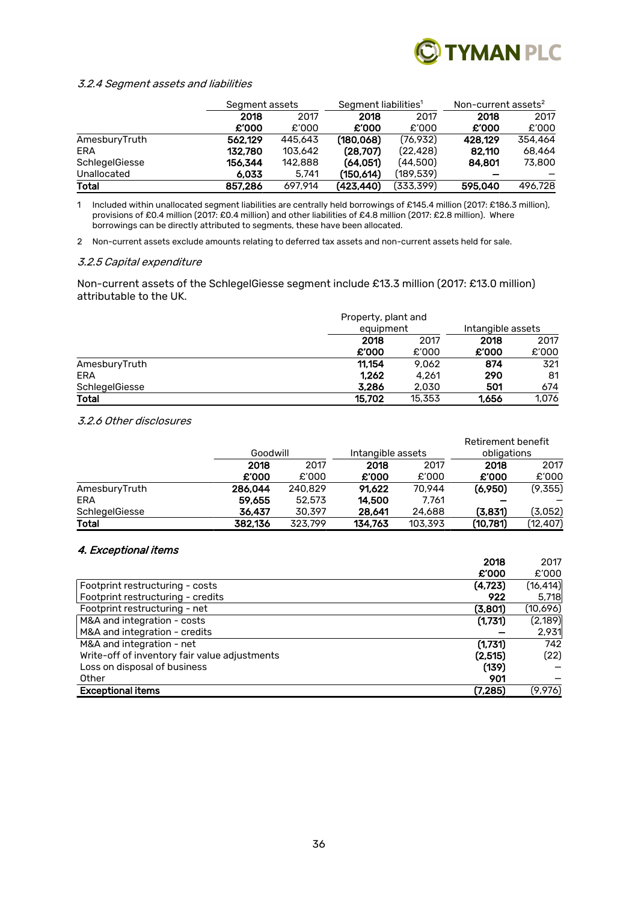

#### 3.2.4 Segment assets and liabilities

|                |         | Segment assets |            | Segment liabilities <sup>1</sup> |         | Non-current assets $2$ |  |
|----------------|---------|----------------|------------|----------------------------------|---------|------------------------|--|
|                | 2018    | 2017           | 2018       | 2017                             | 2018    | 2017                   |  |
|                | £'000   | £'000          | £'000      | £'000                            | £'000   | £'000                  |  |
| AmesburyTruth  | 562.129 | 445,643        | (180, 068) | (76.932)                         | 428.129 | 354,464                |  |
| ERA            | 132,780 | 103,642        | (28.707)   | (22.428)                         | 82.110  | 68,464                 |  |
| SchlegelGiesse | 156.344 | 142,888        | (64,051)   | (44.500)                         | 84.801  | 73,800                 |  |
| Unallocated    | 6.033   | 5.741          | (150.614)  | (189.539)                        |         |                        |  |
| <b>Total</b>   | 857,286 | 697.914        | (423,440)  | (333,399)                        | 595.040 | 496.728                |  |

1 Included within unallocated segment liabilities are centrally held borrowings of £145.4 million (2017: £186.3 million), provisions of £0.4 million (2017: £0.4 million) and other liabilities of £4.8 million (2017: £2.8 million). Where borrowings can be directly attributed to segments, these have been allocated.

2 Non-current assets exclude amounts relating to deferred tax assets and non-current assets held for sale.

#### 3.2.5 Capital expenditure

Non-current assets of the SchlegelGiesse segment include £13.3 million (2017: £13.0 million) attributable to the UK.

|                | Property, plant and |        |                   |       |
|----------------|---------------------|--------|-------------------|-------|
|                | equipment           |        | Intangible assets |       |
|                | 2018                | 2017   | 2018              | 2017  |
|                | £'000               | £'000  | £'000             | £'000 |
| AmesburyTruth  | 11.154              | 9.062  | 874               | 321   |
| ERA            | 1,262               | 4.261  | 290               | 81    |
| SchlegelGiesse | 3,286               | 2,030  | 501               | 674   |
| <b>Total</b>   | 15.702              | 15,353 | 1.656             | 1.076 |

#### 3.2.6 Other disclosures

|                |         |          |         |                   | Retirement benefit |           |
|----------------|---------|----------|---------|-------------------|--------------------|-----------|
|                |         | Goodwill |         | Intangible assets | obligations        |           |
|                | 2018    | 2017     | 2018    | 2017              | 2018               | 2017      |
|                | £'000   | £'000    | £'000   | £'000             | £'000              | £'000     |
| AmesburyTruth  | 286.044 | 240.829  | 91.622  | 70.944            | (6,950)            | (9,355)   |
| ERA            | 59,655  | 52,573   | 14,500  | 7.761             |                    |           |
| SchlegelGiesse | 36.437  | 30,397   | 28,641  | 24,688            | (3,831)            | (3,052)   |
| Total          | 382.136 | 323.799  | 134,763 | 103,393           | (10.781)           | (12, 407) |

#### 4. Exceptional items

| $\tau$ . Labelphonen neumb                               |           |
|----------------------------------------------------------|-----------|
| 2018                                                     | 2017      |
| £'000                                                    | £'000     |
| (4, 723)<br>Footprint restructuring - costs              | (16, 414) |
| Footprint restructuring - credits<br>922                 | 5,718     |
| (3,801)<br>Footprint restructuring - net                 | (10,696)  |
| M&A and integration - costs<br>(1,731)                   | (2, 189)  |
| M&A and integration - credits                            | 2,931     |
| (1,731)<br>M&A and integration - net                     | 742       |
| Write-off of inventory fair value adjustments<br>(2,515) | (22)      |
| (139)<br>Loss on disposal of business                    |           |
| Other<br>901                                             |           |
| <b>Exceptional items</b><br>(7,285)                      | (9,976)   |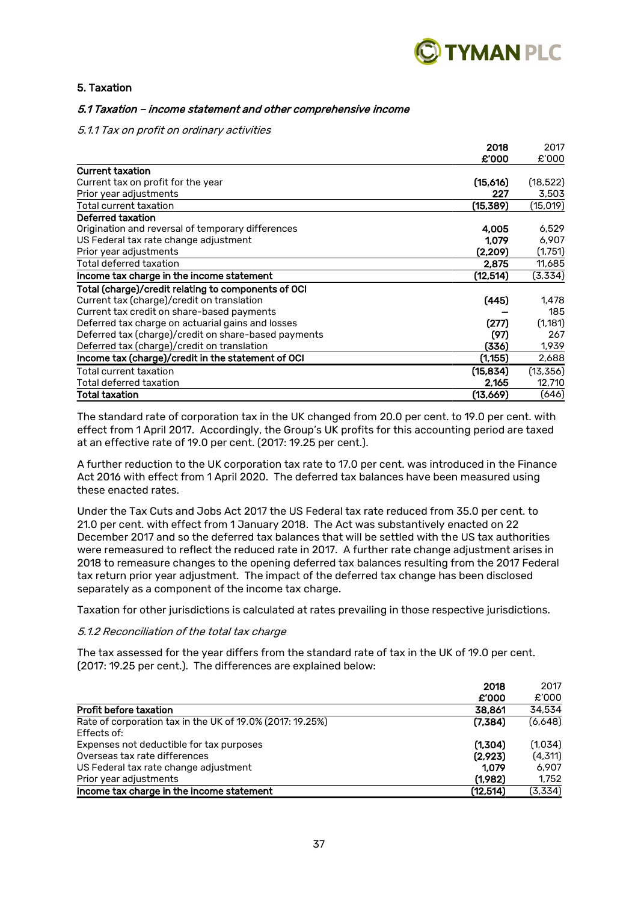

# 5. Taxation

### 5.1 Taxation – income statement and other comprehensive income

#### 5.1.1 Tax on profit on ordinary activities

|                                                      | 2018      | 2017      |
|------------------------------------------------------|-----------|-----------|
|                                                      | £'000     | £'000     |
| <b>Current taxation</b>                              |           |           |
| Current tax on profit for the year                   | (15,616)  | (18, 522) |
| Prior year adjustments                               | 227       | 3,503     |
| Total current taxation                               | (15, 389) | (15, 019) |
| Deferred taxation                                    |           |           |
| Origination and reversal of temporary differences    | 4,005     | 6,529     |
| US Federal tax rate change adjustment                | 1,079     | 6,907     |
| Prior year adjustments                               | (2, 209)  | (1,751)   |
| Total deferred taxation                              | 2,875     | 11,685    |
| Income tax charge in the income statement            | (12,514)  | (3,334)   |
| Total (charge)/credit relating to components of OCI  |           |           |
| Current tax (charge)/credit on translation           | (445)     | 1.478     |
| Current tax credit on share-based payments           |           | 185       |
| Deferred tax charge on actuarial gains and losses    | (277)     | (1, 181)  |
| Deferred tax (charge)/credit on share-based payments | (97)      | 267       |
| Deferred tax (charge)/credit on translation          | (336)     | 1,939     |
| Income tax (charge)/credit in the statement of OCI   | (1, 155)  | 2,688     |
| Total current taxation                               | (15, 834) | (13, 356) |
| Total deferred taxation                              | 2,165     | 12,710    |
| Total taxation                                       | (13,669)  | (646)     |

The standard rate of corporation tax in the UK changed from 20.0 per cent. to 19.0 per cent. with effect from 1 April 2017. Accordingly, the Group's UK profits for this accounting period are taxed at an effective rate of 19.0 per cent. (2017: 19.25 per cent.).

A further reduction to the UK corporation tax rate to 17.0 per cent. was introduced in the Finance Act 2016 with effect from 1 April 2020. The deferred tax balances have been measured using these enacted rates.

Under the Tax Cuts and Jobs Act 2017 the US Federal tax rate reduced from 35.0 per cent. to 21.0 per cent. with effect from 1 January 2018. The Act was substantively enacted on 22 December 2017 and so the deferred tax balances that will be settled with the US tax authorities were remeasured to reflect the reduced rate in 2017. A further rate change adjustment arises in 2018 to remeasure changes to the opening deferred tax balances resulting from the 2017 Federal tax return prior year adjustment. The impact of the deferred tax change has been disclosed separately as a component of the income tax charge.

Taxation for other jurisdictions is calculated at rates prevailing in those respective jurisdictions.

#### 5.1.2 Reconciliation of the total tax charge

The tax assessed for the year differs from the standard rate of tax in the UK of 19.0 per cent. (2017: 19.25 per cent.). The differences are explained below:

| 2018                                                                                | 2017    |
|-------------------------------------------------------------------------------------|---------|
| £'000                                                                               | £'000   |
| <b>Profit before taxation</b><br>38,861                                             | 34,534  |
| (7,384)<br>Rate of corporation tax in the UK of 19.0% (2017: 19.25%)<br>Effects of: | (6,648) |
| (1,304)<br>Expenses not deductible for tax purposes                                 | (1,034) |
| Overseas tax rate differences<br>(2.923)                                            | (4,311) |
| US Federal tax rate change adjustment<br>1.079                                      | 6.907   |
| (1,982)<br>Prior year adjustments                                                   | 1,752   |
| Income tax charge in the income statement<br>(12, 514)                              | (3,334) |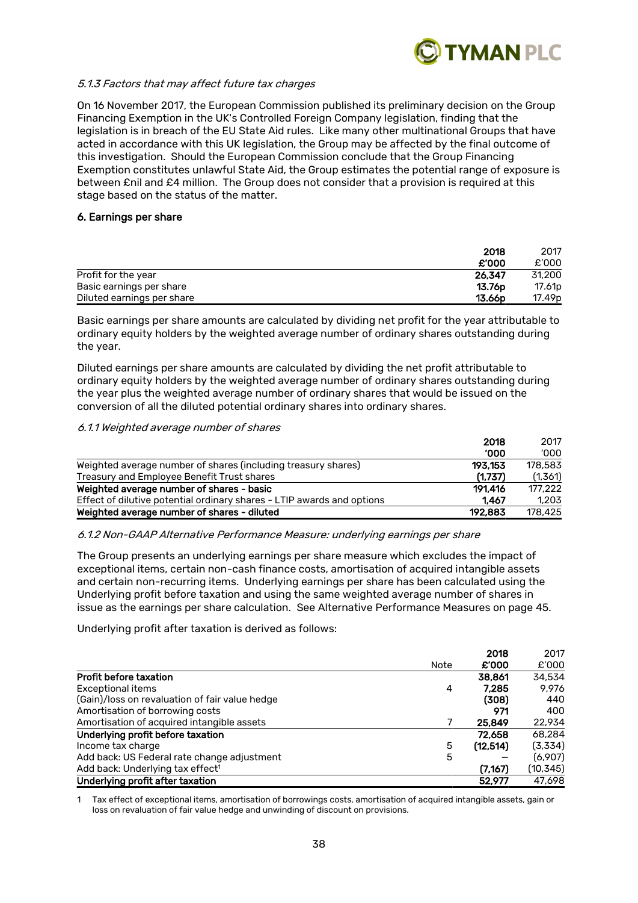

#### 5.1.3 Factors that may affect future tax charges

On 16 November 2017, the European Commission published its preliminary decision on the Group Financing Exemption in the UK's Controlled Foreign Company legislation, finding that the legislation is in breach of the EU State Aid rules. Like many other multinational Groups that have acted in accordance with this UK legislation, the Group may be affected by the final outcome of this investigation. Should the European Commission conclude that the Group Financing Exemption constitutes unlawful State Aid, the Group estimates the potential range of exposure is between £nil and £4 million. The Group does not consider that a provision is required at this stage based on the status of the matter.

#### 6. Earnings per share

|                            | 2018               | 2017               |
|----------------------------|--------------------|--------------------|
|                            | £'000              | £'000              |
| Profit for the year        | 26.347             | 31,200             |
| Basic earnings per share   | 13.76 <sub>p</sub> | 17.61 <sub>p</sub> |
| Diluted earnings per share | 13.66 <sub>D</sub> | 17.49 <sub>p</sub> |

Basic earnings per share amounts are calculated by dividing net profit for the year attributable to ordinary equity holders by the weighted average number of ordinary shares outstanding during the year.

Diluted earnings per share amounts are calculated by dividing the net profit attributable to ordinary equity holders by the weighted average number of ordinary shares outstanding during the year plus the weighted average number of ordinary shares that would be issued on the conversion of all the diluted potential ordinary shares into ordinary shares.

#### 6.1.1 Weighted average number of shares

|                                                                        | 2018       | 2017    |
|------------------------------------------------------------------------|------------|---------|
|                                                                        | <b>000</b> | '000'   |
| Weighted average number of shares (including treasury shares)          | 193.153    | 178.583 |
| Treasury and Employee Benefit Trust shares                             | (1,737)    | (1,361) |
| Weighted average number of shares - basic                              | 191.416    | 177.222 |
| Effect of dilutive potential ordinary shares - LTIP awards and options | 1.467      | 1.203   |
| Weighted average number of shares - diluted                            | 192.883    | 178.425 |

#### 6.1.2 Non-GAAP Alternative Performance Measure: underlying earnings per share

The Group presents an underlying earnings per share measure which excludes the impact of exceptional items, certain non-cash finance costs, amortisation of acquired intangible assets and certain non-recurring items. Underlying earnings per share has been calculated using the Underlying profit before taxation and using the same weighted average number of shares in issue as the earnings per share calculation. See Alternative Performance Measures on page 45.

Underlying profit after taxation is derived as follows:

|                                                |      | 2018     | 2017      |
|------------------------------------------------|------|----------|-----------|
|                                                | Note | £'000    | £'000     |
| <b>Profit before taxation</b>                  |      | 38.861   | 34,534    |
| <b>Exceptional items</b>                       | 4    | 7.285    | 9.976     |
| (Gain)/loss on revaluation of fair value hedge |      | (308)    | 440       |
| Amortisation of borrowing costs                |      | 971      | 400       |
| Amortisation of acquired intangible assets     |      | 25,849   | 22.934    |
| Underlying profit before taxation              |      | 72,658   | 68.284    |
| Income tax charge                              | 5    | (12.514) | (3,334)   |
| Add back: US Federal rate change adjustment    | 5    |          | (6,907)   |
| Add back: Underlying tax effect <sup>1</sup>   |      | (7.167)  | (10, 345) |
| Underlying profit after taxation               |      | 52,977   | 47.698    |

1 Tax effect of exceptional items, amortisation of borrowings costs, amortisation of acquired intangible assets, gain or loss on revaluation of fair value hedge and unwinding of discount on provisions.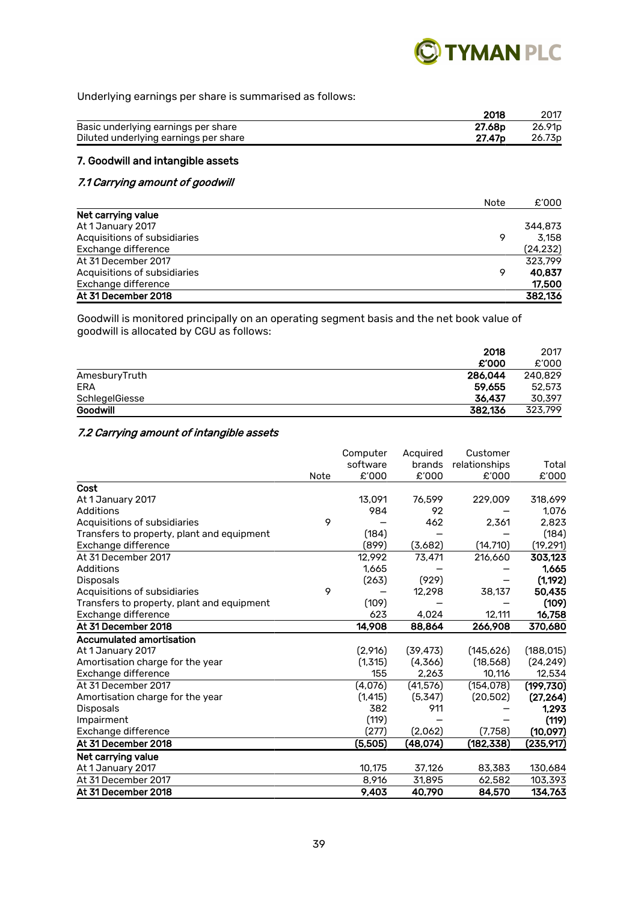

Underlying earnings per share is summarised as follows:

|                                       | 2018               | 2017               |
|---------------------------------------|--------------------|--------------------|
| Basic underlying earnings per share   | 27.68p             | 26.91 <sub>p</sub> |
| Diluted underlying earnings per share | 27.47 <sub>p</sub> | 26.73 <sub>p</sub> |
|                                       |                    |                    |

# 7. Goodwill and intangible assets

# 7.1 Carrying amount of goodwill

|                              | Note | £'000     |
|------------------------------|------|-----------|
| Net carrying value           |      |           |
| At 1 January 2017            |      | 344,873   |
| Acquisitions of subsidiaries | 9    | 3.158     |
| Exchange difference          |      | (24, 232) |
| At 31 December 2017          |      | 323.799   |
| Acquisitions of subsidiaries | 9    | 40.837    |
| Exchange difference          |      | 17,500    |
| At 31 December 2018          |      | 382,136   |

Goodwill is monitored principally on an operating segment basis and the net book value of goodwill is allocated by CGU as follows:

|                | 2018    | 2017    |
|----------------|---------|---------|
|                | £'000   | £'000   |
| AmesburyTruth  | 286.044 | 240.829 |
| ERA            | 59.655  | 52,573  |
| SchlegelGiesse | 36.437  | 30.397  |
| Goodwill       | 382.136 | 323.799 |

# 7.2 Carrying amount of intangible assets

|                                            |      | Computer | Acquired  | Customer      |            |
|--------------------------------------------|------|----------|-----------|---------------|------------|
|                                            |      | software | brands    | relationships | Total      |
|                                            | Note | £'000    | £'000     | £'000         | £'000      |
| Cost                                       |      |          |           |               |            |
| At 1 January 2017                          |      | 13,091   | 76,599    | 229,009       | 318,699    |
| Additions                                  |      | 984      | 92        |               | 1,076      |
| Acquisitions of subsidiaries               | 9    |          | 462       | 2,361         | 2,823      |
| Transfers to property, plant and equipment |      | (184)    |           |               | (184)      |
| Exchange difference                        |      | (899)    | (3,682)   | (14, 710)     | (19, 291)  |
| At 31 December 2017                        |      | 12.992   | 73,471    | 216,660       | 303,123    |
| <b>Additions</b>                           |      | 1.665    |           |               | 1.665      |
| Disposals                                  |      | (263)    | (929)     |               | (1, 192)   |
| Acquisitions of subsidiaries               | 9    |          | 12,298    | 38.137        | 50.435     |
| Transfers to property, plant and equipment |      | (109)    |           |               | (109)      |
| Exchange difference                        |      | 623      | 4,024     | 12,111        | 16,758     |
| At 31 December 2018                        |      | 14,908   | 88,864    | 266,908       | 370,680    |
| <b>Accumulated amortisation</b>            |      |          |           |               |            |
| At 1 January 2017                          |      | (2,916)  | (39, 473) | (145,626)     | (188, 015) |
| Amortisation charge for the year           |      | (1,315)  | (4,366)   | (18,568)      | (24, 249)  |
| Exchange difference                        |      | 155      | 2,263     | 10,116        | 12,534     |
| At 31 December 2017                        |      | (4,076)  | (41, 576) | (154, 078)    | (199, 730) |
| Amortisation charge for the year           |      | (1, 415) | (5,347)   | (20, 502)     | (27, 264)  |
| <b>Disposals</b>                           |      | 382      | 911       |               | 1,293      |
| Impairment                                 |      | (119)    |           |               | (119)      |
| Exchange difference                        |      | (277)    | (2,062)   | (7,758)       | (10, 097)  |
| At 31 December 2018                        |      | (5,505)  | (48,074)  | (182, 338)    | (235,917)  |
| Net carrying value                         |      |          |           |               |            |
| At 1 January 2017                          |      | 10,175   | 37,126    | 83,383        | 130,684    |
| At 31 December 2017                        |      | 8,916    | 31,895    | 62,582        | 103,393    |
| At 31 December 2018                        |      | 9.403    | 40,790    | 84,570        | 134,763    |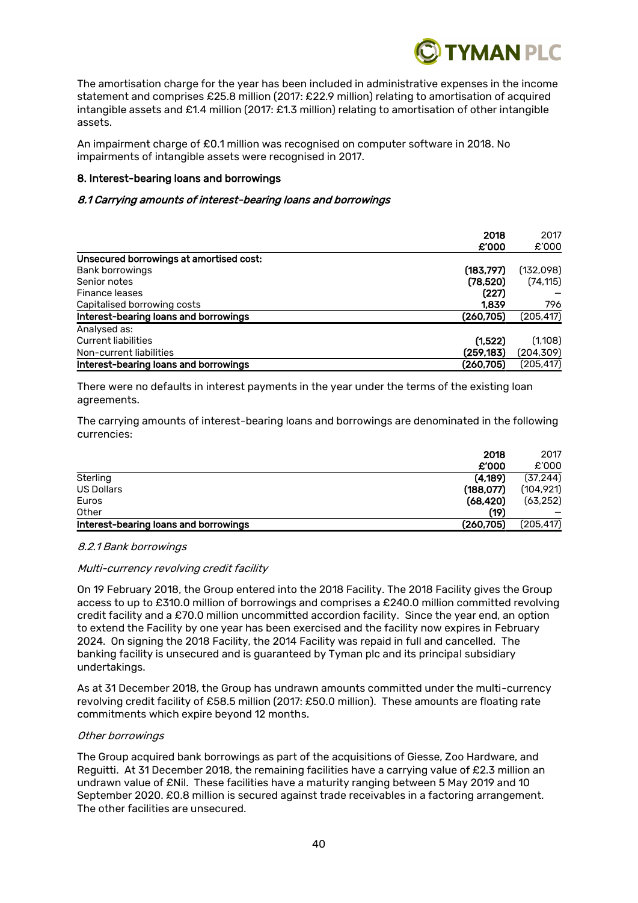

The amortisation charge for the year has been included in administrative expenses in the income statement and comprises £25.8 million (2017: £22.9 million) relating to amortisation of acquired intangible assets and £1.4 million (2017: £1.3 million) relating to amortisation of other intangible assets.

An impairment charge of £0.1 million was recognised on computer software in 2018. No impairments of intangible assets were recognised in 2017.

# 8. Interest-bearing loans and borrowings

### 8.1 Carrying amounts of interest-bearing loans and borrowings

|                                         | 2018       | 2017       |
|-----------------------------------------|------------|------------|
|                                         | £'000      | £'000      |
| Unsecured borrowings at amortised cost: |            |            |
| <b>Bank borrowings</b>                  | (183, 797) | (132,098)  |
| Senior notes                            | (78,520)   | (74, 115)  |
| Finance leases                          | (227)      |            |
| Capitalised borrowing costs             | 1,839      | 796        |
| Interest-bearing loans and borrowings   | (260, 705) | (205, 417) |
| Analysed as:                            |            |            |
| <b>Current liabilities</b>              | (1,522)    | (1,108)    |
| Non-current liabilities                 | (259, 183) | (204, 309) |
| Interest-bearing loans and borrowings   | (260.705)  | (205.417)  |

There were no defaults in interest payments in the year under the terms of the existing loan agreements.

The carrying amounts of interest-bearing loans and borrowings are denominated in the following currencies:

| 2018                                                | 2017       |
|-----------------------------------------------------|------------|
| £'000                                               | £'000      |
| (4.189)<br>Sterling                                 | (37, 244)  |
| (188, 077)<br><b>US Dollars</b>                     | (104, 921) |
| (68, 420)<br>Euros                                  | (63, 252)  |
| (19)<br>Other                                       |            |
| (260, 705)<br>Interest-bearing loans and borrowings | (205, 417) |

#### 8.2.1 Bank borrowings

#### Multi-currency revolving credit facility

On 19 February 2018, the Group entered into the 2018 Facility. The 2018 Facility gives the Group access to up to £310.0 million of borrowings and comprises a £240.0 million committed revolving credit facility and a £70.0 million uncommitted accordion facility. Since the year end, an option to extend the Facility by one year has been exercised and the facility now expires in February 2024. On signing the 2018 Facility, the 2014 Facility was repaid in full and cancelled. The banking facility is unsecured and is guaranteed by Tyman plc and its principal subsidiary undertakings.

As at 31 December 2018, the Group has undrawn amounts committed under the multi-currency revolving credit facility of £58.5 million (2017: £50.0 million). These amounts are floating rate commitments which expire beyond 12 months.

#### Other borrowings

The Group acquired bank borrowings as part of the acquisitions of Giesse, Zoo Hardware, and Reguitti. At 31 December 2018, the remaining facilities have a carrying value of £2.3 million an undrawn value of £Nil. These facilities have a maturity ranging between 5 May 2019 and 10 September 2020. £0.8 million is secured against trade receivables in a factoring arrangement. The other facilities are unsecured.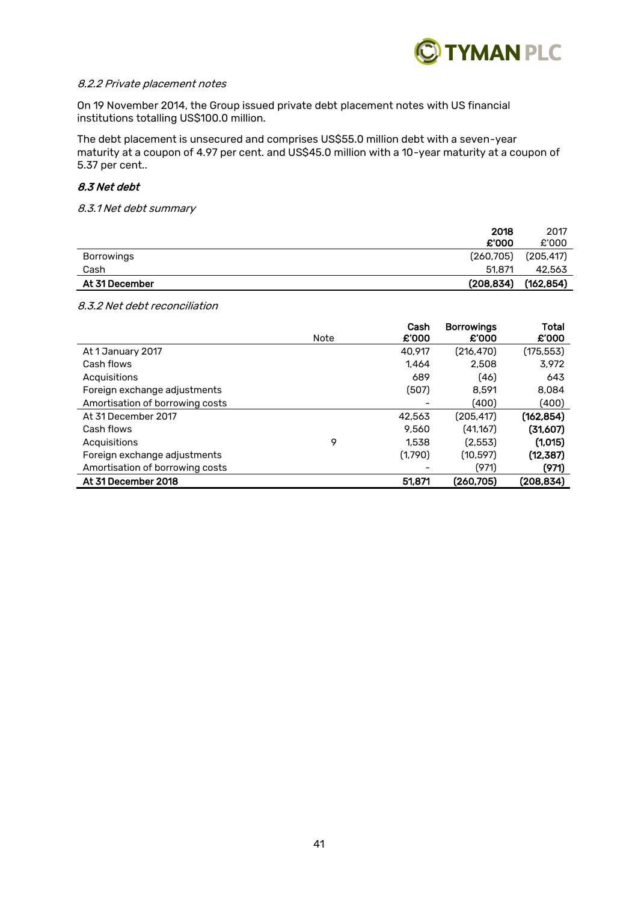

#### 8.2.2 Private placement notes

On 19 November 2014, the Group issued private debt placement notes with US financial institutions totalling US\$100.0 million.

The debt placement is unsecured and comprises US\$55.0 million debt with a seven-year maturity at a coupon of 4.97 per cent. and US\$45.0 million with a 10-year maturity at a coupon of 5.37 per cent..

# 8.3 Net debt

8.3.1 Net debt summary

|                   | 2018       | 2017       |
|-------------------|------------|------------|
|                   | £'000      | £'000      |
| <b>Borrowings</b> | (260, 705) | (205, 417) |
| Cash              | 51.871     | 42,563     |
| At 31 December    | (208, 834) | (162, 854) |

8.3.2 Net debt reconciliation

|                                 | Note | Cash<br>£'000 | <b>Borrowings</b><br>£'000 | Total<br>£'000 |
|---------------------------------|------|---------------|----------------------------|----------------|
| At 1 January 2017               |      | 40.917        | (216, 470)                 | (175, 553)     |
| Cash flows                      |      | 1.464         | 2.508                      | 3,972          |
| Acquisitions                    |      | 689           | (46)                       | 643            |
| Foreign exchange adjustments    |      | (507)         | 8.591                      | 8.084          |
| Amortisation of borrowing costs |      |               | (400)                      | (400)          |
| At 31 December 2017             |      | 42.563        | (205, 417)                 | (162, 854)     |
| Cash flows                      |      | 9.560         | (41,167)                   | (31,607)       |
| Acquisitions                    | 9    | 1.538         | (2.553)                    | (1,015)        |
| Foreign exchange adjustments    |      | (1,790)       | (10, 597)                  | (12, 387)      |
| Amortisation of borrowing costs |      |               | (971)                      | (971)          |
| At 31 December 2018             |      | 51,871        | (260.705)                  | (208.834)      |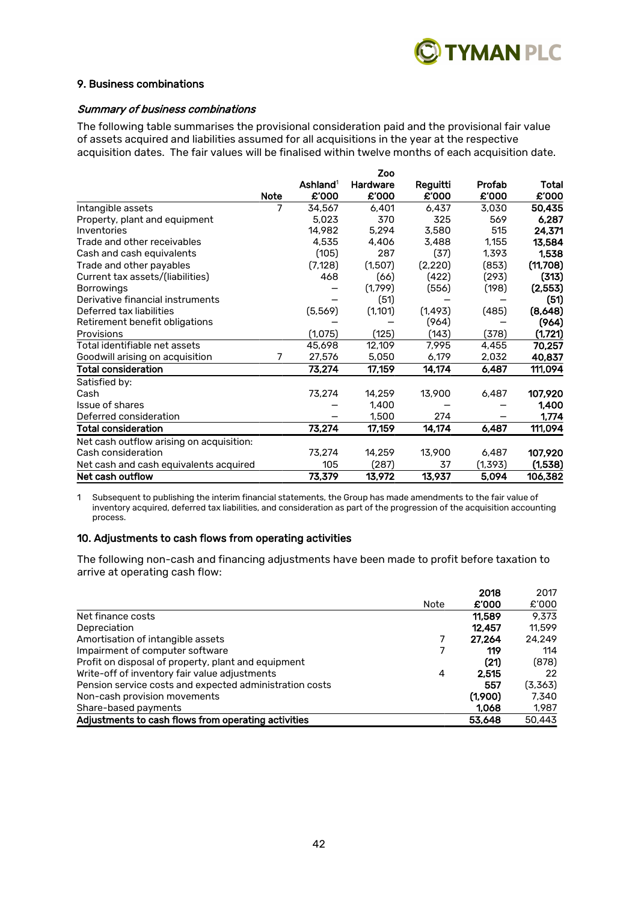

#### 9. Business combinations

#### Summary of business combinations

The following table summarises the provisional consideration paid and the provisional fair value of assets acquired and liabilities assumed for all acquisitions in the year at the respective acquisition dates. The fair values will be finalised within twelve months of each acquisition date.

|                                          |             |                      | Zoo      |          |         |          |
|------------------------------------------|-------------|----------------------|----------|----------|---------|----------|
|                                          |             | Ashland <sup>1</sup> | Hardware | Reguitti | Profab  | Total    |
|                                          | <b>Note</b> | £'000                | £'000    | £'000    | £'000   | £'000    |
| Intangible assets                        | 7           | 34.567               | 6,401    | 6,437    | 3,030   | 50,435   |
| Property, plant and equipment            |             | 5.023                | 370      | 325      | 569     | 6,287    |
| Inventories                              |             | 14,982               | 5,294    | 3,580    | 515     | 24,371   |
| Trade and other receivables              |             | 4,535                | 4,406    | 3,488    | 1,155   | 13,584   |
| Cash and cash equivalents                |             | (105)                | 287      | (37)     | 1,393   | 1,538    |
| Trade and other payables                 |             | (7, 128)             | (1,507)  | (2,220)  | (853)   | (11,708) |
| Current tax assets/(liabilities)         |             | 468                  | (66)     | (422)    | (293)   | (313)    |
| <b>Borrowings</b>                        |             |                      | (1,799)  | (556)    | (198)   | (2,553)  |
| Derivative financial instruments         |             |                      | (51)     |          |         | (51)     |
| Deferred tax liabilities                 |             | (5,569)              | (1, 101) | (1, 493) | (485)   | (8,648)  |
| Retirement benefit obligations           |             |                      |          | (964)    |         | (964)    |
| Provisions                               |             | (1,075)              | (125)    | (143)    | (378)   | (1,721)  |
| Total identifiable net assets            |             | 45,698               | 12,109   | 7,995    | 4,455   | 70,257   |
| Goodwill arising on acquisition          | 7           | 27.576               | 5,050    | 6,179    | 2,032   | 40,837   |
| Total consideration                      |             | 73,274               | 17,159   | 14,174   | 6,487   | 111,094  |
| Satisfied by:                            |             |                      |          |          |         |          |
| Cash                                     |             | 73,274               | 14,259   | 13,900   | 6,487   | 107,920  |
| Issue of shares                          |             |                      | 1,400    |          |         | 1,400    |
| Deferred consideration                   |             |                      | 1,500    | 274      |         | 1,774    |
| <b>Total consideration</b>               |             | 73,274               | 17,159   | 14,174   | 6,487   | 111,094  |
| Net cash outflow arising on acquisition: |             |                      |          |          |         |          |
| Cash consideration                       |             | 73,274               | 14,259   | 13,900   | 6,487   | 107,920  |
| Net cash and cash equivalents acquired   |             | 105                  | (287)    | 37       | (1,393) | (1,538)  |
| Net cash outflow                         |             | 73,379               | 13,972   | 13,937   | 5.094   | 106,382  |

1 Subsequent to publishing the interim financial statements, the Group has made amendments to the fair value of inventory acquired, deferred tax liabilities, and consideration as part of the progression of the acquisition accounting process.

# 10. Adjustments to cash flows from operating activities

The following non-cash and financing adjustments have been made to profit before taxation to arrive at operating cash flow:

|                                                         |      | 2018    | 2017    |
|---------------------------------------------------------|------|---------|---------|
|                                                         | Note | £'000   | £'000   |
| Net finance costs                                       |      | 11.589  | 9.373   |
| Depreciation                                            |      | 12.457  | 11.599  |
| Amortisation of intangible assets                       |      | 27.264  | 24.249  |
| Impairment of computer software                         |      | 119     | 114     |
| Profit on disposal of property, plant and equipment     |      | (21)    | (878)   |
| Write-off of inventory fair value adjustments           | 4    | 2.515   | 22      |
| Pension service costs and expected administration costs |      | 557     | (3,363) |
| Non-cash provision movements                            |      | (1,900) | 7.340   |
| Share-based payments                                    |      | 1.068   | 1.987   |
| Adjustments to cash flows from operating activities     |      | 53.648  | 50,443  |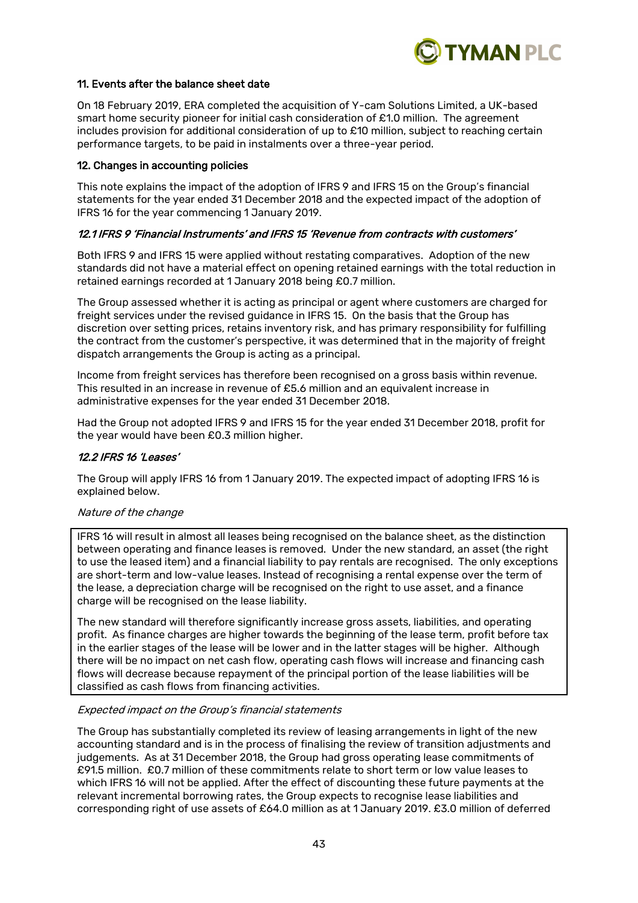

# 11. Events after the balance sheet date

On 18 February 2019, ERA completed the acquisition of Y-cam Solutions Limited, a UK-based smart home security pioneer for initial cash consideration of £1.0 million. The agreement includes provision for additional consideration of up to £10 million, subject to reaching certain performance targets, to be paid in instalments over a three-year period.

#### 12. Changes in accounting policies

This note explains the impact of the adoption of IFRS 9 and IFRS 15 on the Group's financial statements for the year ended 31 December 2018 and the expected impact of the adoption of IFRS 16 for the year commencing 1 January 2019.

# 12.1 IFRS 9 'Financial Instruments' and IFRS 15 'Revenue from contracts with customers'

Both IFRS 9 and IFRS 15 were applied without restating comparatives. Adoption of the new standards did not have a material effect on opening retained earnings with the total reduction in retained earnings recorded at 1 January 2018 being £0.7 million.

The Group assessed whether it is acting as principal or agent where customers are charged for freight services under the revised guidance in IFRS 15. On the basis that the Group has discretion over setting prices, retains inventory risk, and has primary responsibility for fulfilling the contract from the customer's perspective, it was determined that in the majority of freight dispatch arrangements the Group is acting as a principal.

Income from freight services has therefore been recognised on a gross basis within revenue. This resulted in an increase in revenue of £5.6 million and an equivalent increase in administrative expenses for the year ended 31 December 2018.

Had the Group not adopted IFRS 9 and IFRS 15 for the year ended 31 December 2018, profit for the year would have been £0.3 million higher.

### 12.2 IFRS 16 'Leases'

The Group will apply IFRS 16 from 1 January 2019. The expected impact of adopting IFRS 16 is explained below.

#### Nature of the change

IFRS 16 will result in almost all leases being recognised on the balance sheet, as the distinction between operating and finance leases is removed. Under the new standard, an asset (the right to use the leased item) and a financial liability to pay rentals are recognised. The only exceptions are short-term and low-value leases. Instead of recognising a rental expense over the term of the lease, a depreciation charge will be recognised on the right to use asset, and a finance charge will be recognised on the lease liability.

The new standard will therefore significantly increase gross assets, liabilities, and operating profit. As finance charges are higher towards the beginning of the lease term, profit before tax in the earlier stages of the lease will be lower and in the latter stages will be higher. Although there will be no impact on net cash flow, operating cash flows will increase and financing cash flows will decrease because repayment of the principal portion of the lease liabilities will be classified as cash flows from financing activities.

#### Expected impact on the Group's financial statements

The Group has substantially completed its review of leasing arrangements in light of the new accounting standard and is in the process of finalising the review of transition adjustments and judgements. As at 31 December 2018, the Group had gross operating lease commitments of £91.5 million. £0.7 million of these commitments relate to short term or low value leases to which IFRS 16 will not be applied. After the effect of discounting these future payments at the relevant incremental borrowing rates, the Group expects to recognise lease liabilities and corresponding right of use assets of £64.0 million as at 1 January 2019. £3.0 million of deferred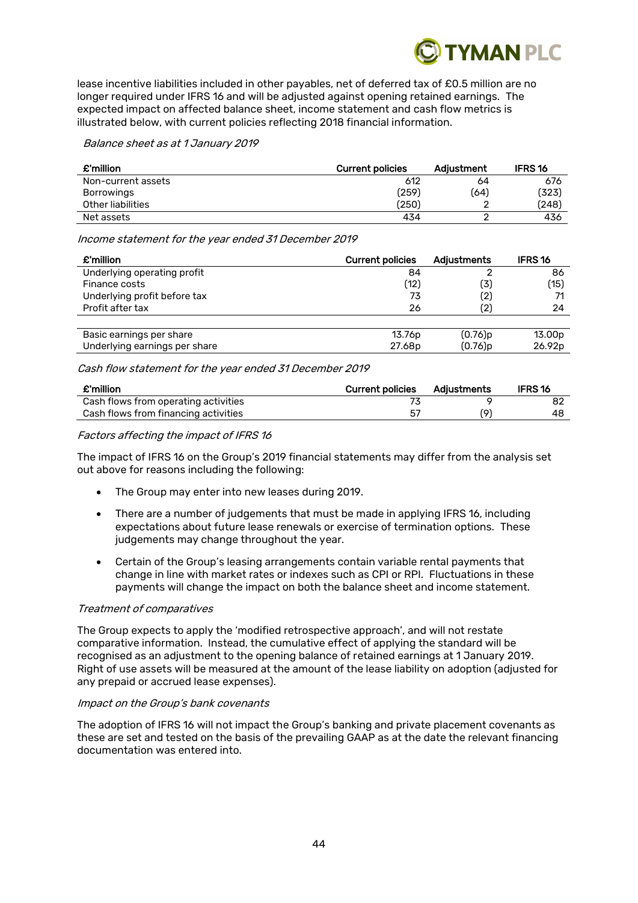

lease incentive liabilities included in other payables, net of deferred tax of £0.5 million are no longer required under IFRS 16 and will be adjusted against opening retained earnings. The expected impact on affected balance sheet, income statement and cash flow metrics is illustrated below, with current policies reflecting 2018 financial information.

Balance sheet as at 1 January 2019

| £'million          | <b>Current policies</b> | Adjustment | <b>IFRS16</b> |
|--------------------|-------------------------|------------|---------------|
| Non-current assets | 612                     | 64         | 676           |
| Borrowings         | (259)                   | 〔64〕       | (323)         |
| Other liabilities  | (250)                   |            | (248)         |
| Net assets         | 434                     |            | 436           |

Income statement for the year ended 31 December 2019

| £'million                     | <b>Current policies</b> | <b>Adjustments</b> | <b>IFRS 16</b>     |
|-------------------------------|-------------------------|--------------------|--------------------|
| Underlying operating profit   | 84                      |                    | 86                 |
| Finance costs                 | (12)                    | 〔3〕                | (15)               |
| Underlying profit before tax  | 73                      | (2)                | 71                 |
| Profit after tax              | 26                      | (2)                | 24                 |
|                               |                         |                    |                    |
| Basic earnings per share      | 13.76p                  | (0.76)p            | 13.00 <sub>p</sub> |
| Underlying earnings per share | 27.68p                  | (0.76)p            | 26.92p             |

Cash flow statement for the year ended 31 December 2019

| £'million                            | <b>Current policies</b> | Adiustments | <b>IFRS16</b> |
|--------------------------------------|-------------------------|-------------|---------------|
| Cash flows from operating activities |                         |             |               |
| Cash flows from financing activities | -57                     | (6.         | 48            |

# Factors affecting the impact of IFRS 16

The impact of IFRS 16 on the Group's 2019 financial statements may differ from the analysis set out above for reasons including the following:

- The Group may enter into new leases during 2019.
- There are a number of judgements that must be made in applying IFRS 16, including expectations about future lease renewals or exercise of termination options. These judgements may change throughout the year.
- Certain of the Group's leasing arrangements contain variable rental payments that change in line with market rates or indexes such as CPI or RPI. Fluctuations in these payments will change the impact on both the balance sheet and income statement.

# Treatment of comparatives

The Group expects to apply the 'modified retrospective approach', and will not restate comparative information. Instead, the cumulative effect of applying the standard will be recognised as an adjustment to the opening balance of retained earnings at 1 January 2019. Right of use assets will be measured at the amount of the lease liability on adoption (adjusted for any prepaid or accrued lease expenses).

#### Impact on the Group's bank covenants

The adoption of IFRS 16 will not impact the Group's banking and private placement covenants as these are set and tested on the basis of the prevailing GAAP as at the date the relevant financing documentation was entered into.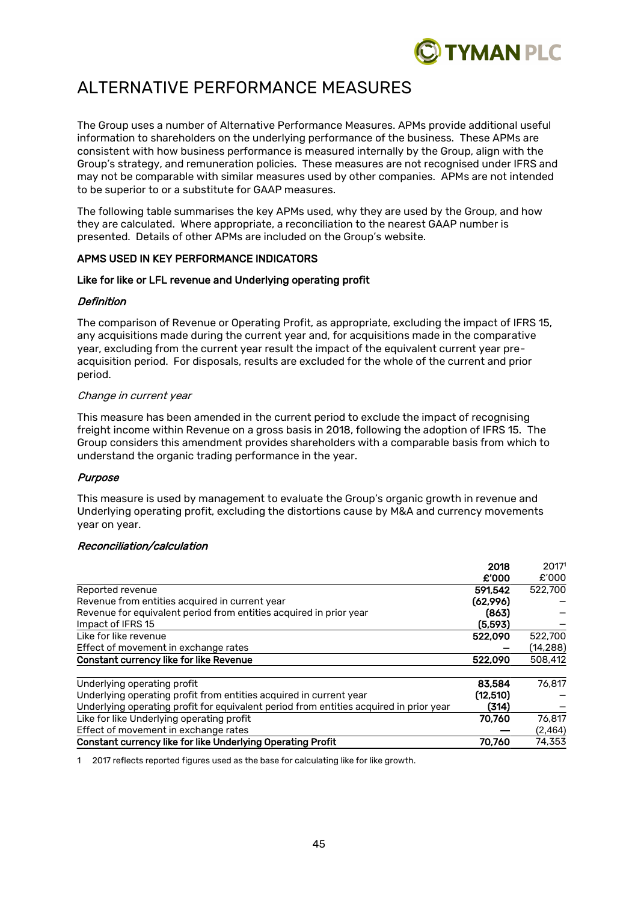

# ALTERNATIVE PERFORMANCE MEASURES

The Group uses a number of Alternative Performance Measures. APMs provide additional useful information to shareholders on the underlying performance of the business. These APMs are consistent with how business performance is measured internally by the Group, align with the Group's strategy, and remuneration policies. These measures are not recognised under IFRS and may not be comparable with similar measures used by other companies. APMs are not intended to be superior to or a substitute for GAAP measures.

The following table summarises the key APMs used, why they are used by the Group, and how they are calculated. Where appropriate, a reconciliation to the nearest GAAP number is presented. Details of other APMs are included on the Group's website.

# APMS USED IN KEY PERFORMANCE INDICATORS

# Like for like or LFL revenue and Underlying operating profit

#### Definition

The comparison of Revenue or Operating Profit, as appropriate, excluding the impact of IFRS 15, any acquisitions made during the current year and, for acquisitions made in the comparative year, excluding from the current year result the impact of the equivalent current year preacquisition period. For disposals, results are excluded for the whole of the current and prior period.

#### Change in current year

This measure has been amended in the current period to exclude the impact of recognising freight income within Revenue on a gross basis in 2018, following the adoption of IFRS 15. The Group considers this amendment provides shareholders with a comparable basis from which to understand the organic trading performance in the year.

# Purpose

This measure is used by management to evaluate the Group's organic growth in revenue and Underlying operating profit, excluding the distortions cause by M&A and currency movements year on year.

#### Reconciliation/calculation

|                                                                                        | 2018      | 2017 <sup>1</sup> |
|----------------------------------------------------------------------------------------|-----------|-------------------|
|                                                                                        | £'000     | £'000             |
| Reported revenue                                                                       | 591.542   | 522,700           |
| Revenue from entities acquired in current year                                         | (62,996)  |                   |
| Revenue for equivalent period from entities acquired in prior year                     | (863)     |                   |
| Impact of IFRS 15                                                                      | (5.593)   |                   |
| Like for like revenue                                                                  | 522.090   | 522,700           |
| Effect of movement in exchange rates                                                   |           | (14, 288)         |
| Constant currency like for like Revenue                                                | 522,090   | 508,412           |
| Underlying operating profit                                                            | 83,584    | 76.817            |
| Underlying operating profit from entities acquired in current year                     | (12, 510) |                   |
| Underlying operating profit for equivalent period from entities acquired in prior year | (314)     |                   |
| Like for like Underlying operating profit                                              | 70.760    | 76.817            |
| Effect of movement in exchange rates                                                   |           | (2, 464)          |
| Constant currency like for like Underlying Operating Profit                            | 70.760    | 74,353            |

1 2017 reflects reported figures used as the base for calculating like for like growth.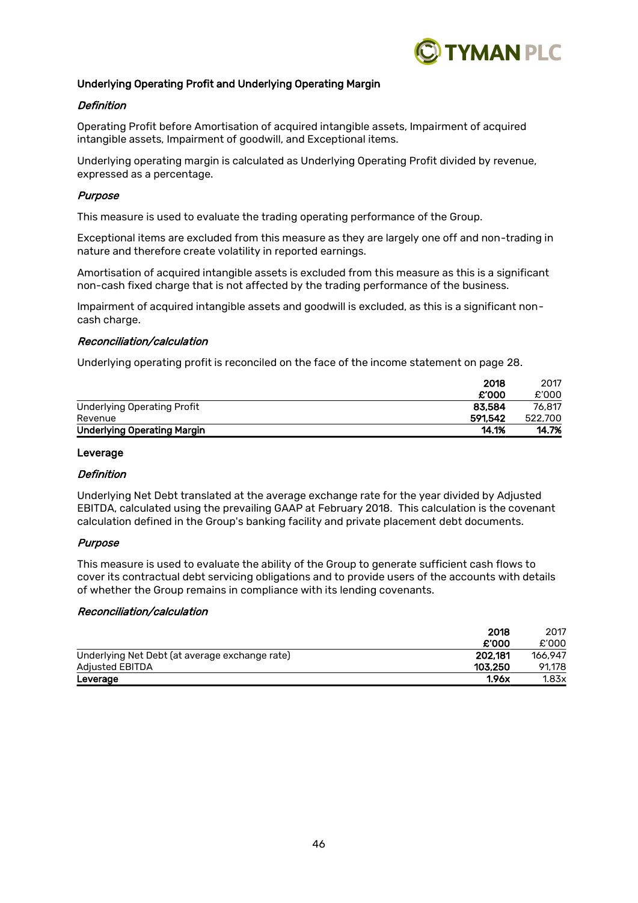

# Underlying Operating Profit and Underlying Operating Margin

### **Definition**

Operating Profit before Amortisation of acquired intangible assets, Impairment of acquired intangible assets, Impairment of goodwill, and Exceptional items.

Underlying operating margin is calculated as Underlying Operating Profit divided by revenue, expressed as a percentage.

#### Purpose

This measure is used to evaluate the trading operating performance of the Group.

Exceptional items are excluded from this measure as they are largely one off and non-trading in nature and therefore create volatility in reported earnings.

Amortisation of acquired intangible assets is excluded from this measure as this is a significant non-cash fixed charge that is not affected by the trading performance of the business.

Impairment of acquired intangible assets and goodwill is excluded, as this is a significant noncash charge.

#### Reconciliation/calculation

Underlying operating profit is reconciled on the face of the income statement on page 28.

|                                    | 2018    | 2017    |
|------------------------------------|---------|---------|
|                                    | £'000   | £'000   |
| <b>Underlying Operating Profit</b> | 83.584  | 76.817  |
| Revenue                            | 591.542 | 522,700 |
| <b>Underlying Operating Margin</b> | 14.1%   | 14.7%   |

#### Leverage

#### **Definition**

Underlying Net Debt translated at the average exchange rate for the year divided by Adjusted EBITDA, calculated using the prevailing GAAP at February 2018. This calculation is the covenant calculation defined in the Group's banking facility and private placement debt documents.

# Purpose

This measure is used to evaluate the ability of the Group to generate sufficient cash flows to cover its contractual debt servicing obligations and to provide users of the accounts with details of whether the Group remains in compliance with its lending covenants.

#### Reconciliation/calculation

| 2018                                                      | 2017    |
|-----------------------------------------------------------|---------|
| £'000                                                     | £'000   |
| 202.181<br>Underlying Net Debt (at average exchange rate) | 166.947 |
| 103.250<br><b>Adjusted EBITDA</b>                         | 91.178  |
| 1.96x<br>Leverage                                         | 1.83x   |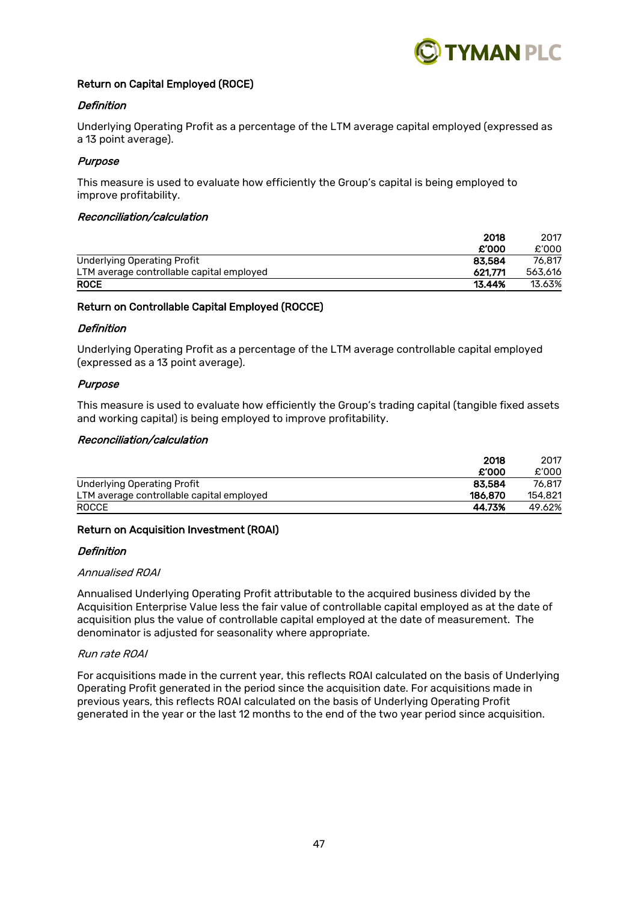

# Return on Capital Employed (ROCE)

#### Definition

Underlying Operating Profit as a percentage of the LTM average capital employed (expressed as a 13 point average).

### Purpose

This measure is used to evaluate how efficiently the Group's capital is being employed to improve profitability.

#### Reconciliation/calculation

| 2018                                                 | 2017    |
|------------------------------------------------------|---------|
| £'000                                                | £'000   |
| <b>Underlying Operating Profit</b><br>83.584         | 76.817  |
| 621.771<br>LTM average controllable capital employed | 563,616 |
| <b>ROCE</b><br>13.44%                                | 13.63%  |

#### Return on Controllable Capital Employed (ROCCE)

#### **Definition**

Underlying Operating Profit as a percentage of the LTM average controllable capital employed (expressed as a 13 point average).

#### Purpose

This measure is used to evaluate how efficiently the Group's trading capital (tangible fixed assets and working capital) is being employed to improve profitability.

### Reconciliation/calculation

|                                           | 2018    |         |
|-------------------------------------------|---------|---------|
|                                           | £'000   | £'000   |
| Underlying Operating Profit               | 83.584  | 76.817  |
| LTM average controllable capital employed | 186.870 | 154.821 |
| <b>ROCCE</b>                              | 44.73%  | 49.62%  |

# Return on Acquisition Investment (ROAI)

#### **Definition**

#### Annualised ROAI

Annualised Underlying Operating Profit attributable to the acquired business divided by the Acquisition Enterprise Value less the fair value of controllable capital employed as at the date of acquisition plus the value of controllable capital employed at the date of measurement. The denominator is adjusted for seasonality where appropriate.

#### Run rate ROAI

For acquisitions made in the current year, this reflects ROAI calculated on the basis of Underlying Operating Profit generated in the period since the acquisition date. For acquisitions made in previous years, this reflects ROAI calculated on the basis of Underlying Operating Profit generated in the year or the last 12 months to the end of the two year period since acquisition.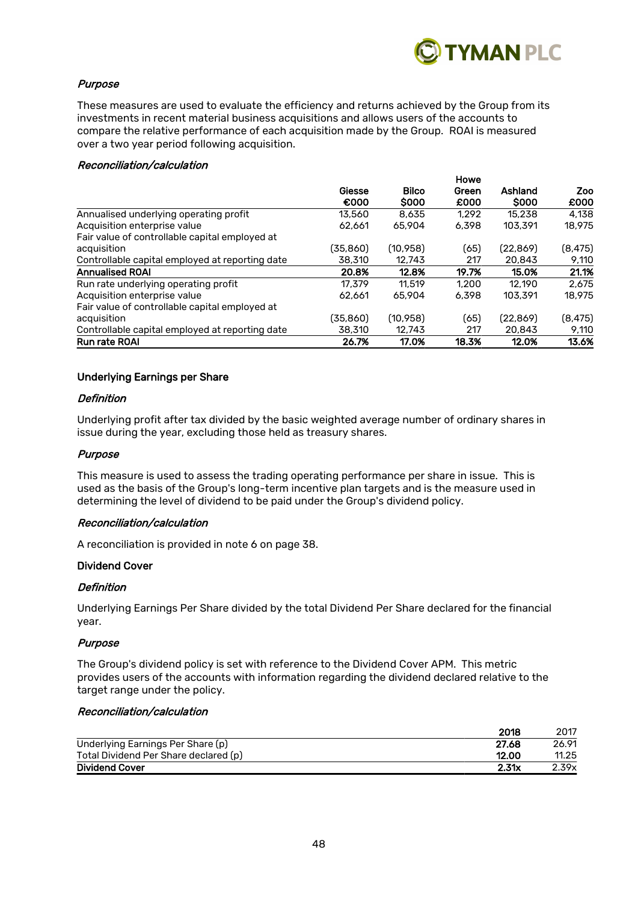

# Purpose

These measures are used to evaluate the efficiency and returns achieved by the Group from its investments in recent material business acquisitions and allows users of the accounts to compare the relative performance of each acquisition made by the Group. ROAI is measured over a two year period following acquisition.

#### Reconciliation/calculation

|                                                 |           |              | Howe<br>Green | Ashland     | Zoo      |
|-------------------------------------------------|-----------|--------------|---------------|-------------|----------|
|                                                 | Giesse    | <b>Bilco</b> |               |             |          |
|                                                 | €000      | <b>SOOO</b>  | £000          | <b>SOOO</b> | £000     |
| Annualised underlying operating profit          | 13,560    | 8.635        | 1.292         | 15.238      | 4.138    |
| Acquisition enterprise value                    | 62.661    | 65,904       | 6.398         | 103,391     | 18.975   |
| Fair value of controllable capital employed at  |           |              |               |             |          |
| acquisition                                     | (35,860)  | (10.958)     | (65)          | (22.869)    | (8, 475) |
| Controllable capital employed at reporting date | 38,310    | 12.743       | 217           | 20,843      | 9,110    |
| <b>Annualised ROAI</b>                          | 20.8%     | 12.8%        | 19.7%         | 15.0%       | 21.1%    |
| Run rate underlying operating profit            | 17.379    | 11.519       | 1.200         | 12.190      | 2.675    |
| Acquisition enterprise value                    | 62.661    | 65,904       | 6.398         | 103,391     | 18.975   |
| Fair value of controllable capital employed at  |           |              |               |             |          |
| acquisition                                     | (35, 860) | (10,958)     | (65)          | (22, 869)   | (8, 475) |
| Controllable capital employed at reporting date | 38,310    | 12.743       | 217           | 20,843      | 9,110    |
| <b>Run rate ROAI</b>                            | 26.7%     | 17.0%        | 18.3%         | 12.0%       | 13.6%    |

# Underlying Earnings per Share

#### Definition

Underlying profit after tax divided by the basic weighted average number of ordinary shares in issue during the year, excluding those held as treasury shares.

### Purpose

This measure is used to assess the trading operating performance per share in issue. This is used as the basis of the Group's long-term incentive plan targets and is the measure used in determining the level of dividend to be paid under the Group's dividend policy.

#### Reconciliation/calculation

A reconciliation is provided in note 6 on page 38.

#### Dividend Cover

#### **Definition**

Underlying Earnings Per Share divided by the total Dividend Per Share declared for the financial year.

#### Purpose

The Group's dividend policy is set with reference to the Dividend Cover APM. This metric provides users of the accounts with information regarding the dividend declared relative to the target range under the policy.

# Reconciliation/calculation

|                                       | 2018  | 2017  |
|---------------------------------------|-------|-------|
| Underlying Earnings Per Share (p)     | 27.68 | 26.91 |
| Total Dividend Per Share declared (p) | 12.00 | 11.25 |
| <b>Dividend Cover</b>                 | 2.31x | 2.39x |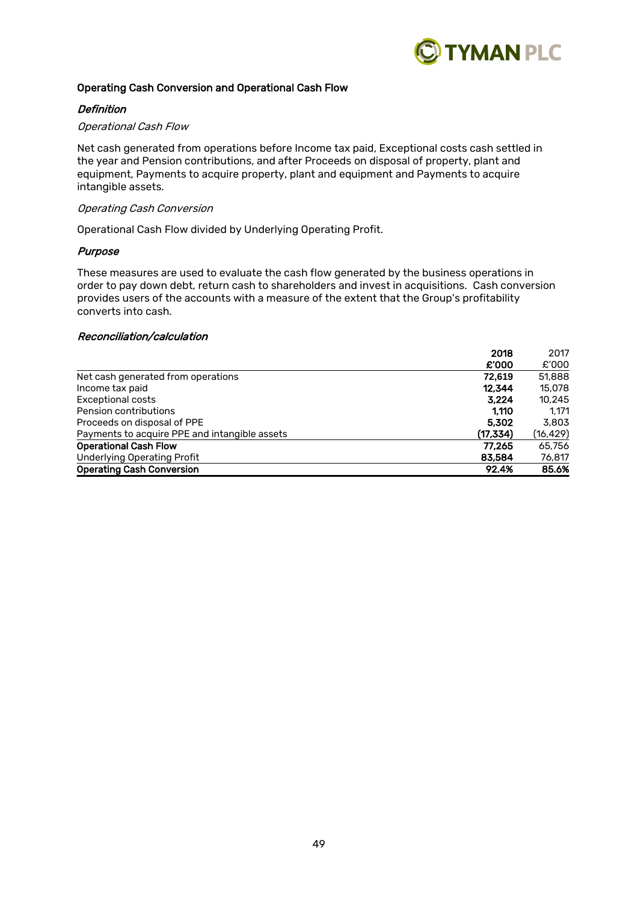

# Operating Cash Conversion and Operational Cash Flow

# **Definition**

#### Operational Cash Flow

Net cash generated from operations before Income tax paid, Exceptional costs cash settled in the year and Pension contributions, and after Proceeds on disposal of property, plant and equipment, Payments to acquire property, plant and equipment and Payments to acquire intangible assets.

#### Operating Cash Conversion

Operational Cash Flow divided by Underlying Operating Profit.

### Purpose

These measures are used to evaluate the cash flow generated by the business operations in order to pay down debt, return cash to shareholders and invest in acquisitions. Cash conversion provides users of the accounts with a measure of the extent that the Group's profitability converts into cash.

# Reconciliation/calculation

| 2018                                                       | 2017      |
|------------------------------------------------------------|-----------|
| £'000                                                      | £'000     |
| Net cash generated from operations<br>72.619               | 51,888    |
| 12.344<br>Income tax paid                                  | 15,078    |
| <b>Exceptional costs</b><br>3.224                          | 10.245    |
| Pension contributions<br>1.110                             | 1.171     |
| Proceeds on disposal of PPE<br>5,302                       | 3.803     |
| Payments to acquire PPE and intangible assets<br>(17, 334) | (16, 429) |
| <b>Operational Cash Flow</b><br>77.265                     | 65,756    |
| <b>Underlying Operating Profit</b><br>83,584               | 76,817    |
| <b>Operating Cash Conversion</b><br>92.4%                  | 85.6%     |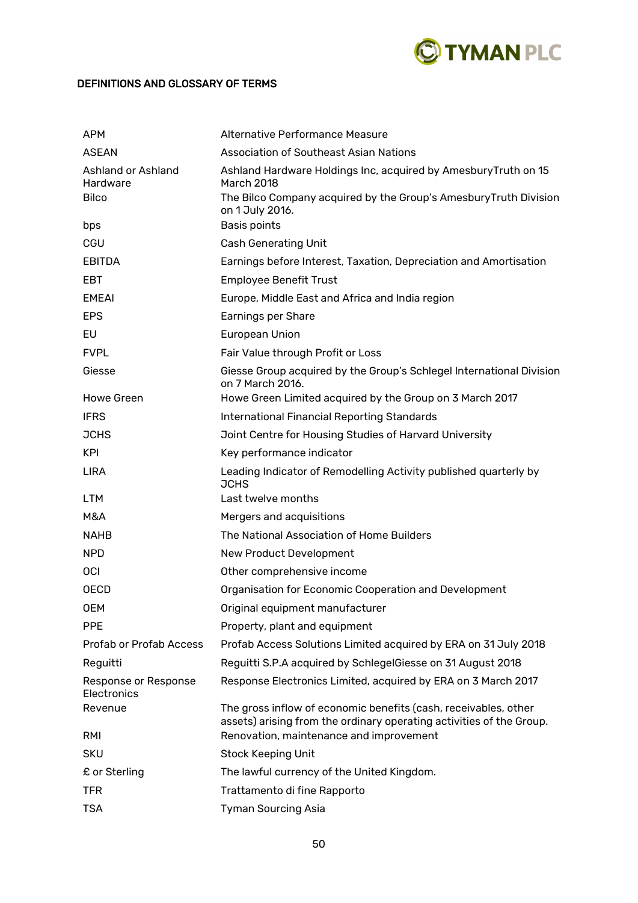

# DEFINITIONS AND GLOSSARY OF TERMS

| <b>APM</b>                          | Alternative Performance Measure                                                                                                         |
|-------------------------------------|-----------------------------------------------------------------------------------------------------------------------------------------|
| <b>ASEAN</b>                        | Association of Southeast Asian Nations                                                                                                  |
| Ashland or Ashland<br>Hardware      | Ashland Hardware Holdings Inc, acquired by Amesbury Truth on 15<br><b>March 2018</b>                                                    |
| <b>Bilco</b>                        | The Bilco Company acquired by the Group's Amesbury Truth Division<br>on 1 July 2016.                                                    |
| bps                                 | Basis points                                                                                                                            |
| CGU                                 | <b>Cash Generating Unit</b>                                                                                                             |
| <b>EBITDA</b>                       | Earnings before Interest, Taxation, Depreciation and Amortisation                                                                       |
| <b>EBT</b>                          | <b>Employee Benefit Trust</b>                                                                                                           |
| <b>EMEAI</b>                        | Europe, Middle East and Africa and India region                                                                                         |
| <b>EPS</b>                          | Earnings per Share                                                                                                                      |
| EU                                  | <b>European Union</b>                                                                                                                   |
| <b>FVPL</b>                         | Fair Value through Profit or Loss                                                                                                       |
| Giesse                              | Giesse Group acquired by the Group's Schlegel International Division<br>on 7 March 2016.                                                |
| <b>Howe Green</b>                   | Howe Green Limited acquired by the Group on 3 March 2017                                                                                |
| <b>IFRS</b>                         | <b>International Financial Reporting Standards</b>                                                                                      |
| <b>JCHS</b>                         | Joint Centre for Housing Studies of Harvard University                                                                                  |
| <b>KPI</b>                          | Key performance indicator                                                                                                               |
| <b>LIRA</b>                         | Leading Indicator of Remodelling Activity published quarterly by<br><b>JCHS</b>                                                         |
| <b>LTM</b>                          | Last twelve months                                                                                                                      |
| M&A                                 | Mergers and acquisitions                                                                                                                |
| <b>NAHB</b>                         | The National Association of Home Builders                                                                                               |
| <b>NPD</b>                          | New Product Development                                                                                                                 |
| <b>OCI</b>                          | Other comprehensive income                                                                                                              |
| <b>OECD</b>                         | Organisation for Economic Cooperation and Development                                                                                   |
| <b>OEM</b>                          | Original equipment manufacturer                                                                                                         |
| <b>PPE</b>                          | Property, plant and equipment                                                                                                           |
| <b>Profab or Profab Access</b>      | Profab Access Solutions Limited acquired by ERA on 31 July 2018                                                                         |
| Reguitti                            | Reguitti S.P.A acquired by SchlegelGiesse on 31 August 2018                                                                             |
| Response or Response<br>Electronics | Response Electronics Limited, acquired by ERA on 3 March 2017                                                                           |
| Revenue                             | The gross inflow of economic benefits (cash, receivables, other<br>assets) arising from the ordinary operating activities of the Group. |
| RMI                                 | Renovation, maintenance and improvement                                                                                                 |
| <b>SKU</b>                          | <b>Stock Keeping Unit</b>                                                                                                               |
| £ or Sterling                       | The lawful currency of the United Kingdom.                                                                                              |
| <b>TFR</b>                          | Trattamento di fine Rapporto                                                                                                            |
| <b>TSA</b>                          | <b>Tyman Sourcing Asia</b>                                                                                                              |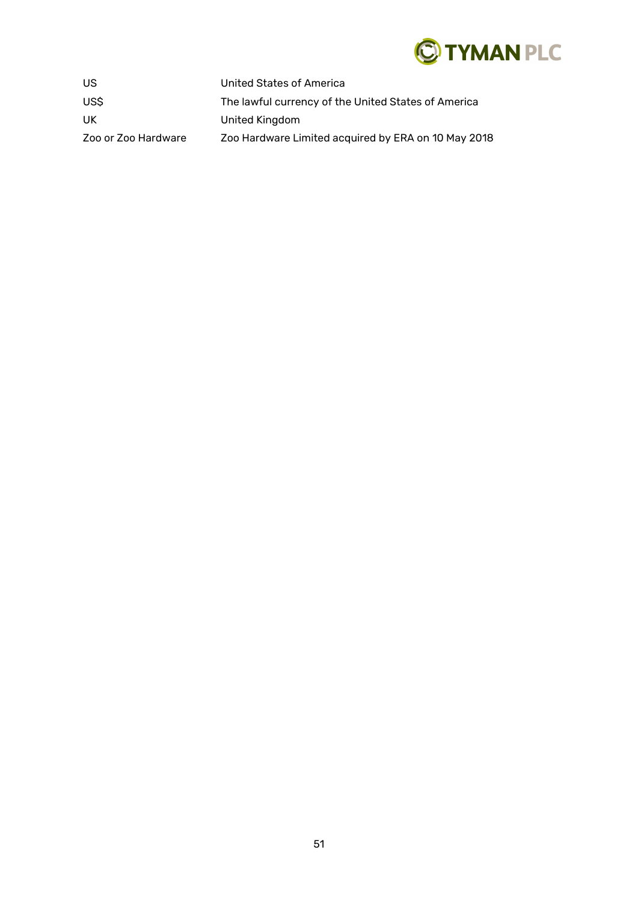

| US.                 | United States of America                            |
|---------------------|-----------------------------------------------------|
| US\$                | The lawful currency of the United States of America |
| UK.                 | United Kingdom                                      |
| Zoo or Zoo Hardware | Zoo Hardware Limited acquired by ERA on 10 May 2018 |